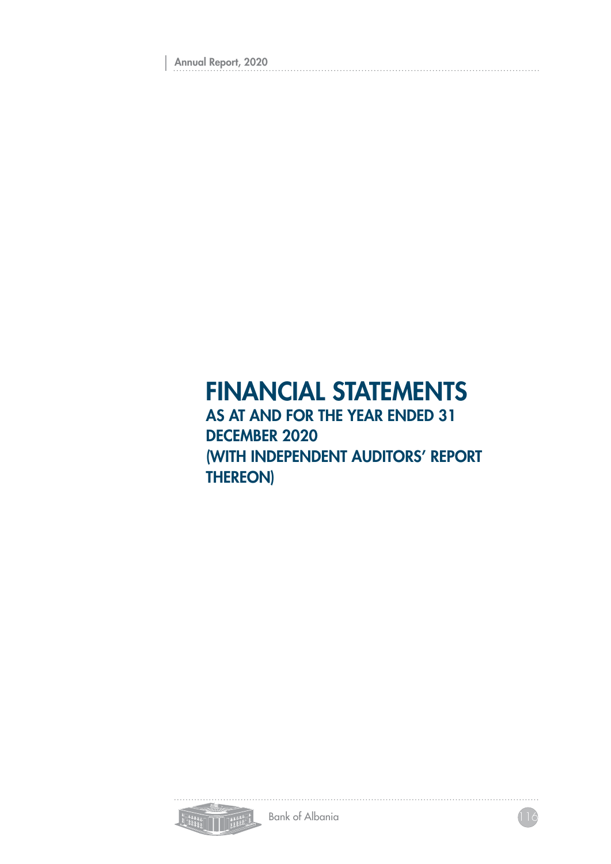| <b>Annual Report, 2020</b> |  |
|----------------------------|--|
|                            |  |

# FINANCIAL STATEMENTS

AS AT AND FOR THE YEAR ENDED 31 DECEMBER 2020 (WITH INDEPENDENT AUDITORS' REPORT THEREON)

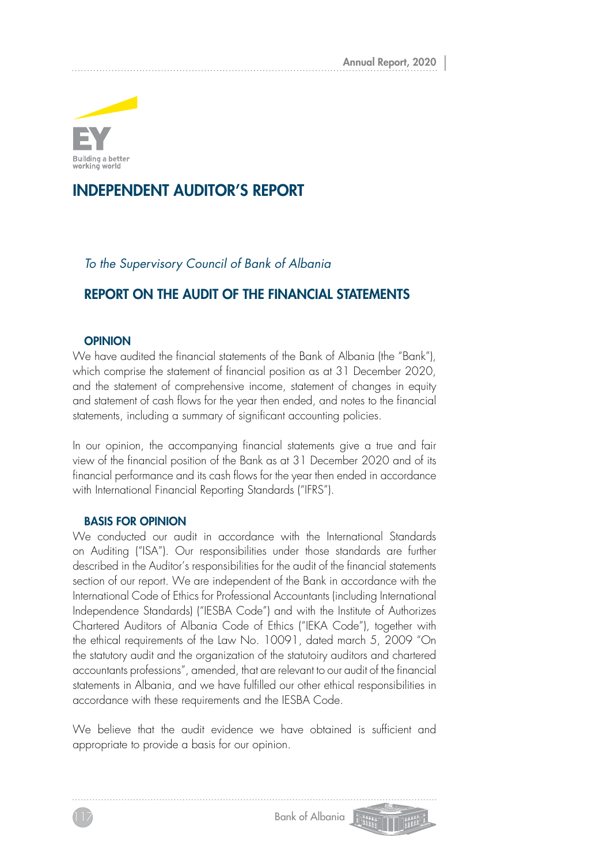

# Independent auditor's report

*To the Supervisory Council of Bank of Albania*

# Report on the audit of the Financial Statements

### **OPINION**

We have audited the financial statements of the Bank of Albania (the "Bank"), which comprise the statement of financial position as at 31 December 2020, and the statement of comprehensive income, statement of changes in equity and statement of cash flows for the year then ended, and notes to the financial statements, including a summary of significant accounting policies.

In our opinion, the accompanying financial statements give a true and fair view of the financial position of the Bank as at 31 December 2020 and of its financial performance and its cash flows for the year then ended in accordance with International Financial Reporting Standards ("IFRS").

#### Basis for opinion

We conducted our audit in accordance with the International Standards on Auditing ("ISA"). Our responsibilities under those standards are further described in the Auditor's responsibilities for the audit of the financial statements section of our report. We are independent of the Bank in accordance with the International Code of Ethics for Professional Accountants (including International Independence Standards) ("IESBA Code") and with the Institute of Authorizes Chartered Auditors of Albania Code of Ethics ("IEKA Code"), together with the ethical requirements of the Law No. 10091, dated march 5, 2009 "On the statutory audit and the organization of the statutoiry auditors and chartered accountants professions", amended, that are relevant to our audit of the financial statements in Albania, and we have fulfilled our other ethical responsibilities in accordance with these requirements and the IESBA Code.

We believe that the audit evidence we have obtained is sufficient and appropriate to provide a basis for our opinion.

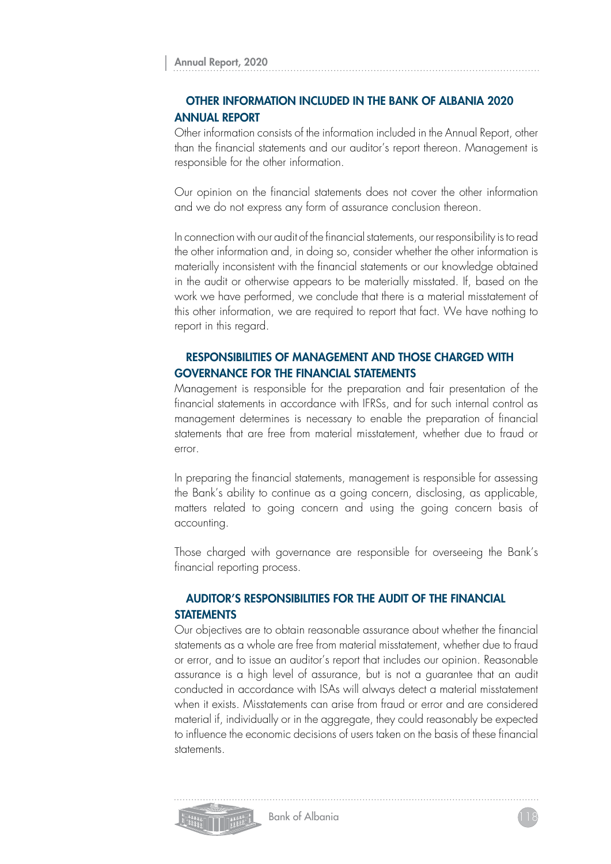## Other information included in the Bank of Albania 2020 Annual Report

Other information consists of the information included in the Annual Report, other than the financial statements and our auditor's report thereon. Management is responsible for the other information.

Our opinion on the financial statements does not cover the other information and we do not express any form of assurance conclusion thereon.

In connection with our audit of the financial statements, our responsibility is to read the other information and, in doing so, consider whether the other information is materially inconsistent with the financial statements or our knowledge obtained in the audit or otherwise appears to be materially misstated. If, based on the work we have performed, we conclude that there is a material misstatement of this other information, we are required to report that fact. We have nothing to report in this regard.

## Responsibilities of management and those charged with governance for the financial statements

Management is responsible for the preparation and fair presentation of the financial statements in accordance with IFRSs, and for such internal control as management determines is necessary to enable the preparation of financial statements that are free from material misstatement, whether due to fraud or error.

In preparing the financial statements, management is responsible for assessing the Bank's ability to continue as a going concern, disclosing, as applicable, matters related to going concern and using the going concern basis of accounting.

Those charged with governance are responsible for overseeing the Bank's financial reporting process.

## Auditor's responsibilities for the audit of the financial **STATFMENTS**

Our objectives are to obtain reasonable assurance about whether the financial statements as a whole are free from material misstatement, whether due to fraud or error, and to issue an auditor's report that includes our opinion. Reasonable assurance is a high level of assurance, but is not a guarantee that an audit conducted in accordance with ISAs will always detect a material misstatement when it exists. Misstatements can arise from fraud or error and are considered material if, individually or in the aggregate, they could reasonably be expected to influence the economic decisions of users taken on the basis of these financial statements.



statements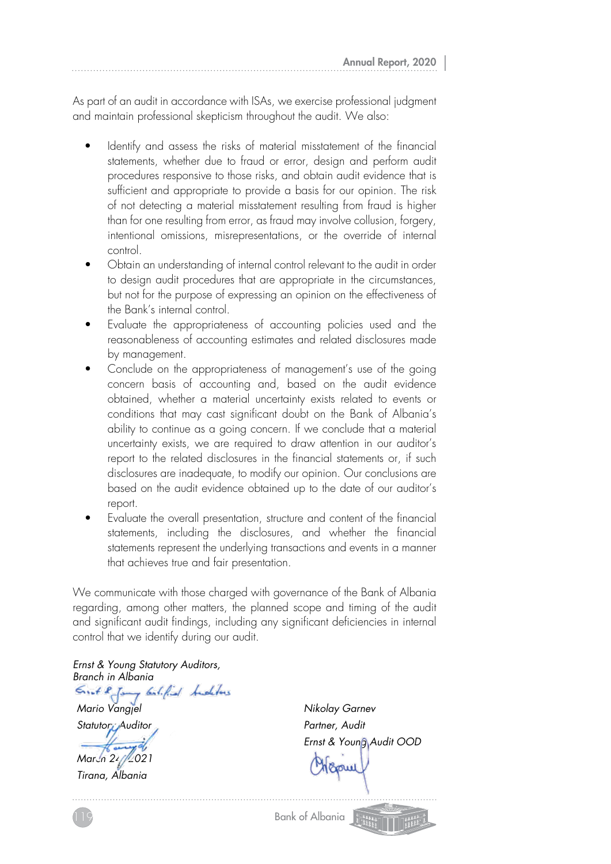As part of an audit in accordance with ISAs, we exercise professional judgment and maintain professional skepticism throughout the audit. We also:

- Identify and assess the risks of material misstatement of the financial statements, whether due to fraud or error, design and perform audit procedures responsive to those risks, and obtain audit evidence that is sufficient and appropriate to provide a basis for our opinion. The risk of not detecting a material misstatement resulting from fraud is higher than for one resulting from error, as fraud may involve collusion, forgery, intentional omissions, misrepresentations, or the override of internal control.
- Obtain an understanding of internal control relevant to the audit in order to design audit procedures that are appropriate in the circumstances, but not for the purpose of expressing an opinion on the effectiveness of the Bank's internal control.
- Evaluate the appropriateness of accounting policies used and the reasonableness of accounting estimates and related disclosures made by management.
- Conclude on the appropriateness of management's use of the going concern basis of accounting and, based on the audit evidence obtained, whether a material uncertainty exists related to events or conditions that may cast significant doubt on the Bank of Albania's ability to continue as a going concern. If we conclude that a material uncertainty exists, we are required to draw attention in our auditor's report to the related disclosures in the financial statements or, if such disclosures are inadequate, to modify our opinion. Our conclusions are based on the audit evidence obtained up to the date of our auditor's report.
- Evaluate the overall presentation, structure and content of the financial statements, including the disclosures, and whether the financial statements represent the underlying transactions and events in a manner that achieves true and fair presentation.

We communicate with those charged with governance of the Bank of Albania regarding, among other matters, the planned scope and timing of the audit and significant audit findings, including any significant deficiencies in internal control that we identify during our audit.

*Ernst & Young Statutory Auditors,* 

*Branch in Albania* y butified traditions

*March 24/2021* 

*Tirana, Albania*

*Mario Vangjel Nikolay Garnev Statutory Auditor Partner, Audit Ernst & Young Audit OOD*

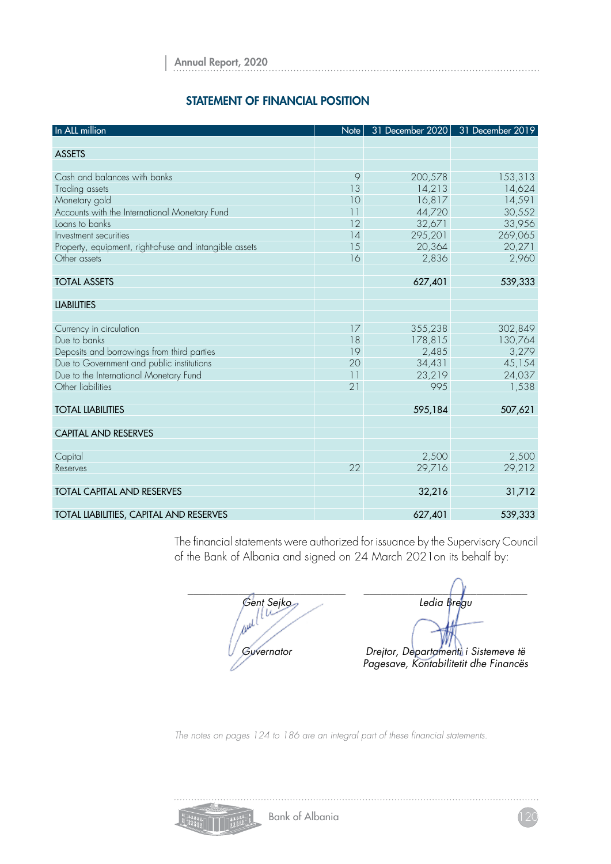## STATEMENT OF FINANCIAL POSITION

| In ALL million                                              | Note          |               | 31 December 2020 31 December 2019 |
|-------------------------------------------------------------|---------------|---------------|-----------------------------------|
|                                                             |               |               |                                   |
| <b>ASSETS</b>                                               |               |               |                                   |
| Cash and balances with banks                                | 9             | 200,578       | 153,313                           |
| Trading assets                                              | 13            | 14,213        | 14,624                            |
| Monetary gold                                               | 10            | 16,817        | 14,591                            |
| Accounts with the International Monetary Fund               | $\vert \vert$ | 44,720        | 30,552                            |
| Loans to banks                                              | 12            | 32,671        | 33,956                            |
| Investment securities                                       | 14            | 295,201       | 269,065                           |
| Property, equipment, right-of-use and intangible assets     | 15            | 20,364        | 20,271                            |
| Other assets                                                | 16            | 2,836         | 2,960                             |
|                                                             |               |               |                                   |
| <b>TOTAL ASSETS</b>                                         |               | 627,401       | 539,333                           |
|                                                             |               |               |                                   |
| <b>LIABILITIES</b>                                          |               |               |                                   |
|                                                             |               |               |                                   |
| Currency in circulation                                     | 17            | 355,238       | 302,849                           |
| Due to banks                                                | 18            | 178,815       | 130,764                           |
| Deposits and borrowings from third parties                  | 19            | 2,485         | 3,279                             |
| Due to Government and public institutions                   | 20<br>11      | 34,431        | 45,154                            |
| Due to the International Monetary Fund<br>Other liabilities | 21            | 23,219<br>995 | 24,037<br>1,538                   |
|                                                             |               |               |                                   |
| <b>TOTAL LIABILITIES</b>                                    |               | 595,184       | 507,621                           |
|                                                             |               |               |                                   |
| <b>CAPITAL AND RESERVES</b>                                 |               |               |                                   |
|                                                             |               |               |                                   |
| Capital                                                     |               | 2,500         | 2,500                             |
| Reserves                                                    | 22            | 29,716        | 29,212                            |
|                                                             |               |               |                                   |
| <b>TOTAL CAPITAL AND RESERVES</b>                           |               | 32,216        | 31,712                            |
| TOTAL LIABILITIES, CAPITAL AND RESERVES                     |               | 627,401       | 539,333                           |
|                                                             |               |               |                                   |

The financial statements were authorized for issuance by the Supervisory Council of the Bank of Albania and signed on 24 March 2021on its behalf by:

\_\_\_\_\_\_\_\_\_\_\_\_\_\_\_\_\_\_\_\_\_\_\_\_\_\_\_\_ *Gent Sejko Guvernator* 

 $\overline{\phantom{a}}$ *Ledia Bregu*

*Drejtor, Departamenti i Sistemeve të Pagesave, Kontabilitetit dhe Financës*

*The notes on pages 124 to 186 are an integral part of these financial statements.*

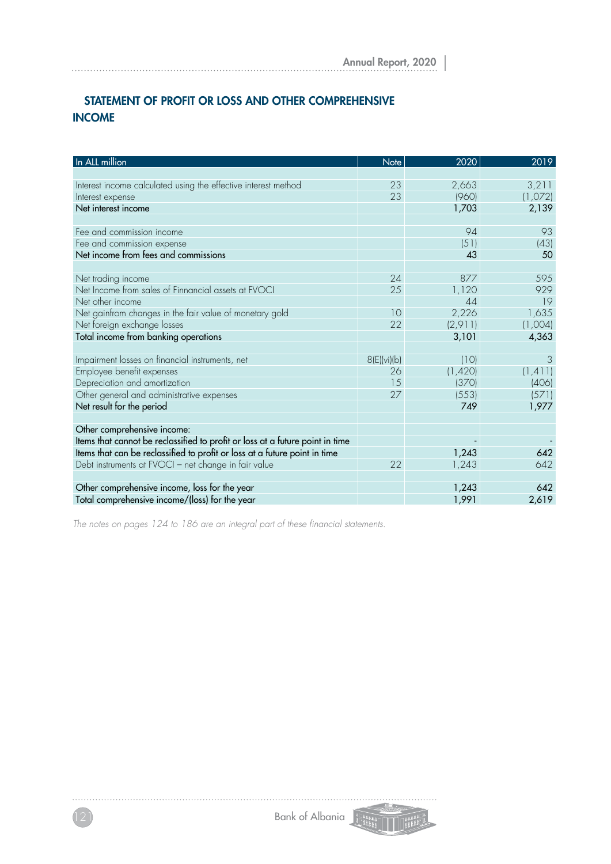# STATEMENT OF PROFIT OR LOSS AND OTHER COMPREHENSIVE INCOME

| In ALL million                                                                | <b>Note</b> | 2020     | 2019     |
|-------------------------------------------------------------------------------|-------------|----------|----------|
|                                                                               |             |          |          |
| Interest income calculated using the effective interest method                | 23          | 2,663    | 3,211    |
| Interest expense                                                              | 23          | (960)    | (1,072)  |
| Net interest income                                                           |             | 1,703    | 2,139    |
| Fee and commission income                                                     |             | 94       | 93       |
| Fee and commission expense                                                    |             | (51)     | (43)     |
| Net income from fees and commissions                                          |             | 43       | 50       |
| Net trading income                                                            | 24          | 877      | 595      |
| Net Income from sales of Finnancial assets at FVOCI                           | 25          | 1,120    | 929      |
| Net other income                                                              |             | 44       | 19       |
| Net gainfrom changes in the fair value of monetary gold                       | 10          | 2,226    | 1,635    |
| Net foreign exchange losses                                                   | 22          | (2, 911) | (1,004)  |
| Total income from banking operations                                          |             | 3,101    | 4,363    |
| Impairment losses on financial instruments, net                               | 8(E)(vi)(b) | (10)     | 3        |
| Employee benefit expenses                                                     | 26          | (1,420)  | (1, 411) |
| Depreciation and amortization                                                 | 15          | (370)    | (406)    |
| Other general and administrative expenses                                     | 27          | (553)    | (571)    |
| Net result for the period                                                     |             | 749      | 1,977    |
| Other comprehensive income:                                                   |             |          |          |
| Items that cannot be reclassified to profit or loss at a future point in time |             |          |          |
| Items that can be reclassified to profit or loss at a future point in time    |             | 1,243    | 642      |
| Debt instruments at FVOCI - net change in fair value                          | 22          | 1,243    | 642      |
| Other comprehensive income, loss for the year                                 |             | 1,243    | 642      |
| Total comprehensive income/(loss) for the year                                |             | 1,991    | 2,619    |

*The notes on pages 124 to 186 are an integral part of these financial statements.*

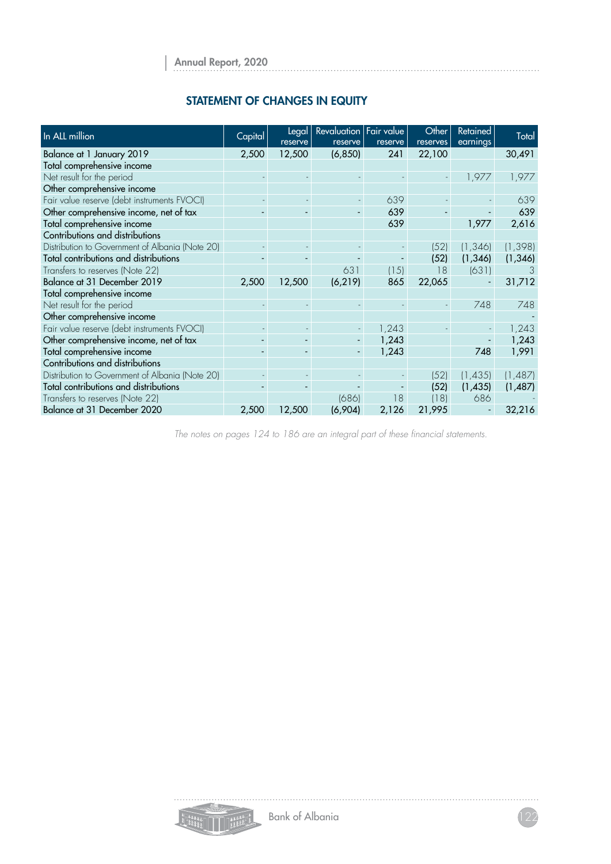# STATEMENT OF CHANGES IN EQUITY

| In ALL million                                  | Capital | Legal  <br>reserve | Revaluation   Fair value<br>reserve | reserve        | Other<br>reserves | Retained<br>earnings     | Total    |
|-------------------------------------------------|---------|--------------------|-------------------------------------|----------------|-------------------|--------------------------|----------|
| Balance at 1 January 2019                       | 2,500   | 12,500             | (6, 850)                            | 241            | 22,100            |                          | 30,491   |
| Total comprehensive income                      |         |                    |                                     |                |                   |                          |          |
| Net result for the period                       |         |                    |                                     |                |                   | 1,977                    | 1,977    |
| Other comprehensive income                      |         |                    |                                     |                |                   |                          |          |
| Fair value reserve (debt instruments FVOCI)     |         |                    |                                     | 639            |                   |                          | 639      |
| Other comprehensive income, net of tax          |         |                    |                                     | 639            |                   |                          | 639      |
| Total comprehensive income                      |         |                    |                                     | 639            |                   | 1,977                    | 2,616    |
| Contributions and distributions                 |         |                    |                                     |                |                   |                          |          |
| Distribution to Government of Albania (Note 20) |         |                    |                                     |                | (52)              | (1, 346)                 | (1, 398) |
| Total contributions and distributions           |         |                    |                                     | $\blacksquare$ | (52)              | (1, 346)                 | (1, 346) |
| Transfers to reserves (Note 22)                 |         |                    | 631                                 | (15)           | 18                | (631)                    | -3       |
| Balance at 31 December 2019                     | 2,500   | 12,500             | (6, 219)                            | 865            | 22,065            | $\overline{\phantom{a}}$ | 31,712   |
| Total comprehensive income                      |         |                    |                                     |                |                   |                          |          |
| Net result for the period                       |         |                    |                                     |                |                   | 748                      | 748      |
| Other comprehensive income                      |         |                    |                                     |                |                   |                          |          |
| Fair value reserve (debt instruments FVOCI)     |         |                    |                                     | 1,243          |                   |                          | 1,243    |
| Other comprehensive income, net of tax          |         |                    |                                     | 1,243          |                   |                          | 1,243    |
| Total comprehensive income                      |         |                    |                                     | 1,243          |                   | 748                      | 1,991    |
| Contributions and distributions                 |         |                    |                                     |                |                   |                          |          |
| Distribution to Government of Albania (Note 20) |         |                    |                                     |                | (52)              | (1, 435)                 | (1, 487) |
| Total contributions and distributions           |         |                    |                                     |                | (52)              | (1, 435)                 | (1,487)  |
| Transfers to reserves (Note 22)                 |         |                    | (686)                               | 18             | (18)              | 686                      |          |
| Balance at 31 December 2020                     | 2,500   | 12,500             | (6,904)                             | 2,126          | 21,995            | $\overline{\phantom{a}}$ | 32,216   |

*The notes on pages 124 to 186 are an integral part of these financial statements.*



. . . . . . . . . . . .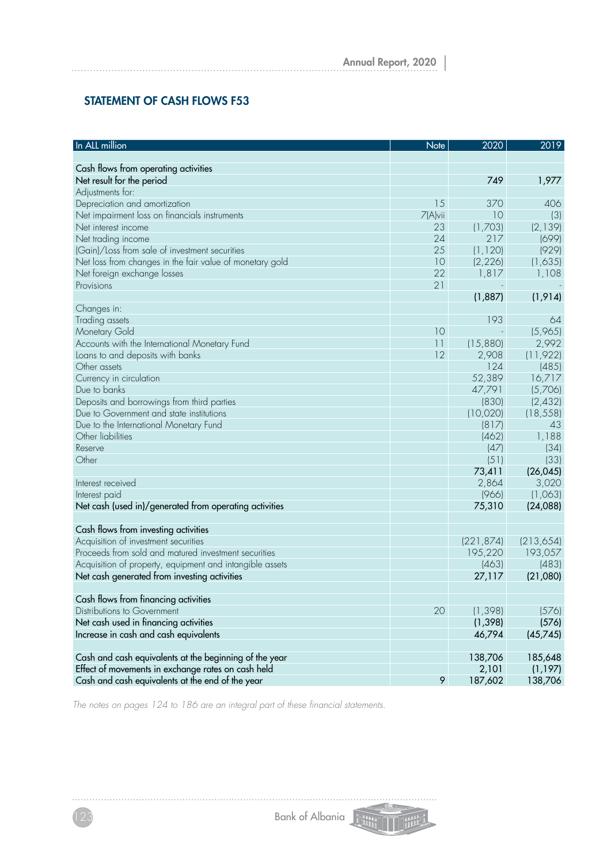|  | <b>Annual Report, 2020</b> |
|--|----------------------------|
|  |                            |

# STATEMENT OF CASH FLOWS f53

| In ALL million                                                    | <b>Note</b> | 2020              | 2019                  |
|-------------------------------------------------------------------|-------------|-------------------|-----------------------|
|                                                                   |             |                   |                       |
| Cash flows from operating activities<br>Net result for the period |             | 749               | 1,977                 |
| Adjustments for:                                                  |             |                   |                       |
| Depreciation and amortization                                     | 15          | 370               | 406                   |
| Net impairment loss on financials instruments                     | 7(A)vii     | 10                | (3)                   |
| Net interest income                                               | 23          | (1,703)           | (2, 139)              |
| Net trading income                                                | 24          | 217               | (699)                 |
| (Gain)/Loss from sale of investment securities                    | 25          | (1, 120)          | (929)                 |
| Net loss from changes in the fair value of monetary gold          | 10          | (2, 226)          | (1,635)               |
| Net foreign exchange losses                                       | 22          | 1,817             | 1,108                 |
| Provisions                                                        | 21          |                   |                       |
|                                                                   |             | (1,887)           | (1, 914)              |
| Changes in:                                                       |             |                   |                       |
| Trading assets                                                    |             | 193               | 64                    |
| Monetary Gold                                                     | 10          |                   | (5,965)               |
| Accounts with the International Monetary Fund                     | $  \  $     | (15,880)          | 2,992                 |
| Loans to and deposits with banks                                  | 12          | 2,908             | (11, 922)             |
| Other assets                                                      |             | 124               | (485)                 |
| Currency in circulation                                           |             | 52,389            | 16,717                |
| Due to banks<br>Deposits and borrowings from third parties        |             | 47,791            | (5,706)               |
| Due to Government and state institutions                          |             | (830)<br>(10,020) | (2, 432)<br>(18, 558) |
| Due to the International Monetary Fund                            |             | (817)             | 43                    |
| Other liabilities                                                 |             | (462)             | 1,188                 |
| Reserve                                                           |             | (47)              | (34)                  |
| Other                                                             |             | (51)              | (33)                  |
|                                                                   |             | 73,411            | (26, 045)             |
| Interest received                                                 |             | 2,864             | 3,020                 |
| Interest paid                                                     |             | (966)             | (1,063)               |
| Net cash (used in)/generated from operating activities            |             | 75,310            | (24,088)              |
|                                                                   |             |                   |                       |
| Cash flows from investing activities                              |             |                   |                       |
| Acquisition of investment securities                              |             | (221, 874)        | (213, 654)            |
| Proceeds from sold and matured investment securities              |             | 195,220           | 193,057               |
| Acquisition of property, equipment and intangible assets          |             | (463)             | (483)                 |
| Net cash generated from investing activities                      |             | 27,117            | (21,080)              |
| Cash flows from financing activities                              |             |                   |                       |
| Distributions to Government                                       | 20          | (1, 398)          | (576)                 |
| Net cash used in financing activities                             |             | (1, 398)          | (576)                 |
| Increase in cash and cash equivalents                             |             | 46,794            | (45, 745)             |
| Cash and cash equivalents at the beginning of the year            |             | 138,706           | 185,648               |
| Effect of movements in exchange rates on cash held                |             | 2,101             | (1, 197)              |
| Cash and cash equivalents at the end of the year                  | 9           | 187,602           | 138,706               |

*The notes on pages 124 to 186 are an integral part of these financial statements.*



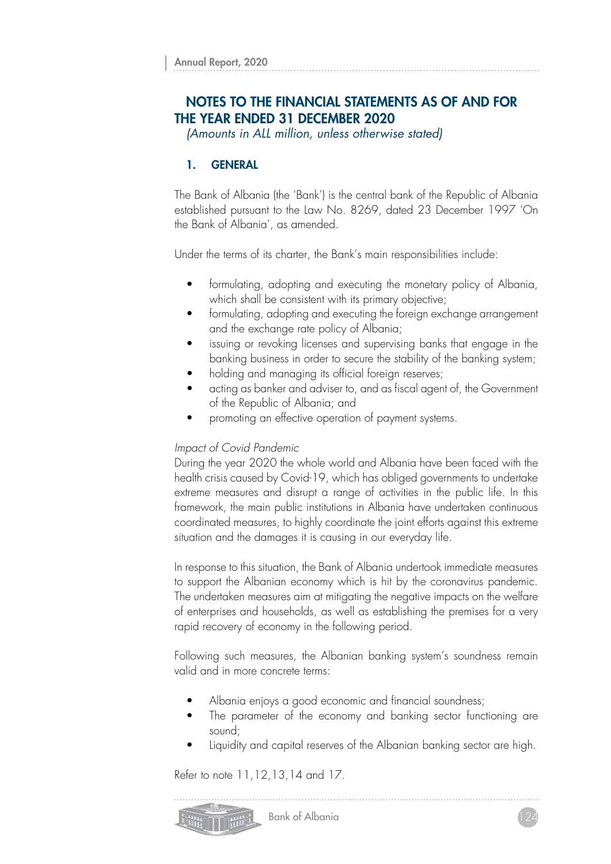# Notes to the financial statements as of and for the year ended 31 December 2020

*(Amounts in ALL million, unless otherwise stated)*

## 1. GENERAL

The Bank of Albania (the 'Bank') is the central bank of the Republic of Albania established pursuant to the Law No. 8269, dated 23 December 1997 'On the Bank of Albania', as amended.

Under the terms of its charter, the Bank's main responsibilities include:

- formulating, adopting and executing the monetary policy of Albania, which shall be consistent with its primary objective;
- formulating, adopting and executing the foreign exchange arrangement and the exchange rate policy of Albania;
- issuing or revoking licenses and supervising banks that engage in the banking business in order to secure the stability of the banking system;
- holding and managing its official foreign reserves;
- • acting as banker and adviser to, and as fiscal agent of, the Government of the Republic of Albania; and
- promoting an effective operation of payment systems.

### *Impact of Covid Pandemic*

During the year 2020 the whole world and Albania have been faced with the health crisis caused by Covid-19, which has obliged governments to undertake extreme measures and disrupt a range of activities in the public life. In this framework, the main public institutions in Albania have undertaken continuous coordinated measures, to highly coordinate the joint efforts against this extreme situation and the damages it is causing in our everyday life.

In response to this situation, the Bank of Albania undertook immediate measures to support the Albanian economy which is hit by the coronavirus pandemic. The undertaken measures aim at mitigating the negative impacts on the welfare of enterprises and households, as well as establishing the premises for a very rapid recovery of economy in the following period.

Following such measures, the Albanian banking system's soundness remain valid and in more concrete terms:

- Albania enjoys a good economic and financial soundness;
- The parameter of the economy and banking sector functioning are sound;
- Liquidity and capital reserves of the Albanian banking sector are high.

Refer to note 11,12,13,14 and 17.

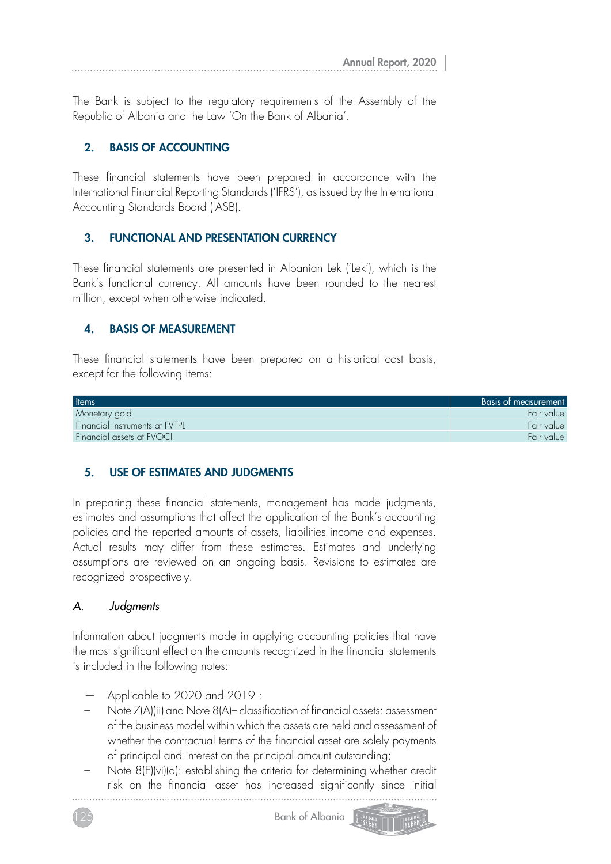The Bank is subject to the regulatory requirements of the Assembly of the Republic of Albania and the Law 'On the Bank of Albania'.

## 2. BASIS OF ACCOUNTING

These financial statements have been prepared in accordance with the International Financial Reporting Standards ('IFRS'), as issued by the International Accounting Standards Board (IASB).

## 3. FUNCTIONAL AND PRESENTATION CURRENCY

These financial statements are presented in Albanian Lek ('Lek'), which is the Bank's functional currency. All amounts have been rounded to the nearest million, except when otherwise indicated.

### 4. BASIS OF MEASUREMENT

These financial statements have been prepared on a historical cost basis, except for the following items:

| Items                          | Basis of measurement |
|--------------------------------|----------------------|
| Monetary gold                  | Fair value           |
| Financial instruments at FVTPL | Fair value           |
| Financial assets at FVOCI      | Fair value           |

## 5. USE OF ESTIMATES AND JUDGMENTS

In preparing these financial statements, management has made judgments, estimates and assumptions that affect the application of the Bank's accounting policies and the reported amounts of assets, liabilities income and expenses. Actual results may differ from these estimates. Estimates and underlying assumptions are reviewed on an ongoing basis. Revisions to estimates are recognized prospectively.

### *A. Judgments*

Information about judgments made in applying accounting policies that have the most significant effect on the amounts recognized in the financial statements is included in the following notes:

- Applicable to 2020 and 2019:
- Note 7(A)(ii) and Note 8(A)– classification of financial assets: assessment of the business model within which the assets are held and assessment of whether the contractual terms of the financial asset are solely payments of principal and interest on the principal amount outstanding;
- Note 8(E)(vi)(a): establishing the criteria for determining whether credit risk on the financial asset has increased significantly since initial



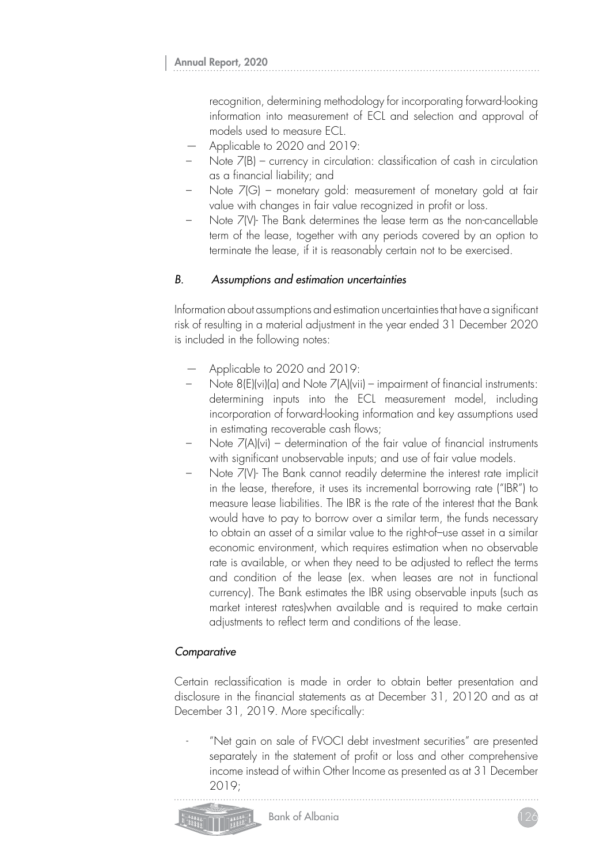recognition, determining methodology for incorporating forward-looking information into measurement of ECL and selection and approval of models used to measure ECL.

- Applicable to 2020 and 2019:
- Note 7(B) currency in circulation: classification of cash in circulation as a financial liability; and
- Note 7(G) monetary gold: measurement of monetary gold at fair value with changes in fair value recognized in profit or loss.
- Note 7(V)- The Bank determines the lease term as the non-cancellable term of the lease, together with any periods covered by an option to terminate the lease, if it is reasonably certain not to be exercised.

## *B. Assumptions and estimation uncertainties*

Information about assumptions and estimation uncertainties that have a significant risk of resulting in a material adjustment in the year ended 31 December 2020 is included in the following notes:

- Applicable to 2020 and 2019:
- Note 8(E)(vi)(a) and Note 7(A)(vii) impairment of financial instruments: determining inputs into the ECL measurement model, including incorporation of forward-looking information and key assumptions used in estimating recoverable cash flows;
- Note 7(A)(vi) determination of the fair value of financial instruments with significant unobservable inputs; and use of fair value models.
- Note 7(V)- The Bank cannot readily determine the interest rate implicit in the lease, therefore, it uses its incremental borrowing rate ("IBR") to measure lease liabilities. The IBR is the rate of the interest that the Bank would have to pay to borrow over a similar term, the funds necessary to obtain an asset of a similar value to the right-of–use asset in a similar economic environment, which requires estimation when no observable rate is available, or when they need to be adjusted to reflect the terms and condition of the lease (ex. when leases are not in functional currency). The Bank estimates the IBR using observable inputs (such as market interest rates)when available and is required to make certain adjustments to reflect term and conditions of the lease.

### *Comparative*

Certain reclassification is made in order to obtain better presentation and disclosure in the financial statements as at December 31, 20120 and as at December 31, 2019. More specifically:

"Net gain on sale of FVOCI debt investment securities" are presented separately in the statement of profit or loss and other comprehensive income instead of within Other Income as presented as at 31 December 2019;

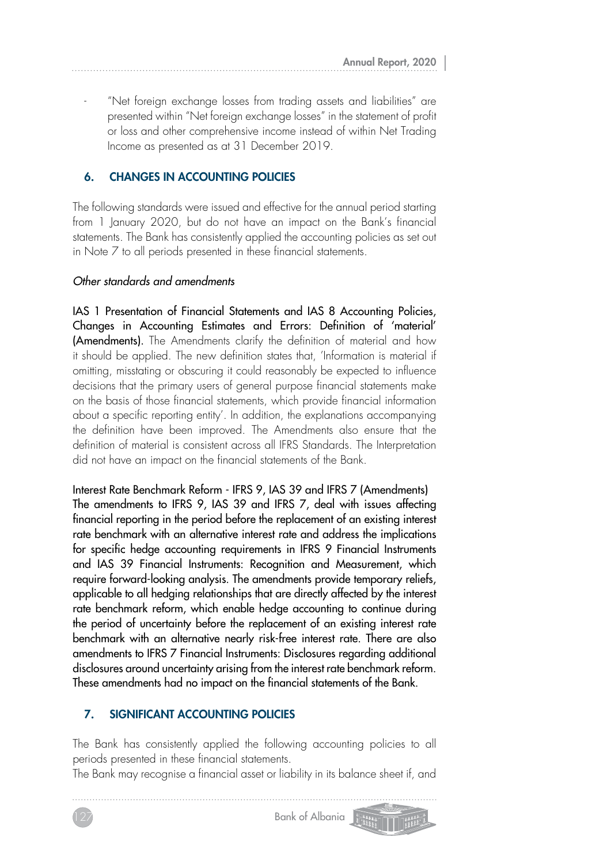"Net foreign exchange losses from trading assets and liabilities" are presented within "Net foreign exchange losses" in the statement of profit or loss and other comprehensive income instead of within Net Trading Income as presented as at 31 December 2019.

## 6. CHANGES IN ACCOUNTING POLICIES

The following standards were issued and effective for the annual period starting from 1 January 2020, but do not have an impact on the Bank's financial statements. The Bank has consistently applied the accounting policies as set out in Note 7 to all periods presented in these financial statements.

### *Other standards and amendments*

IAS 1 Presentation of Financial Statements and IAS 8 Accounting Policies, Changes in Accounting Estimates and Errors: Definition of 'material' (Amendments). The Amendments clarify the definition of material and how it should be applied. The new definition states that, 'Information is material if omitting, misstating or obscuring it could reasonably be expected to influence decisions that the primary users of general purpose financial statements make on the basis of those financial statements, which provide financial information about a specific reporting entity'. In addition, the explanations accompanying the definition have been improved. The Amendments also ensure that the definition of material is consistent across all IFRS Standards. The Interpretation did not have an impact on the financial statements of the Bank.

Interest Rate Benchmark Reform - IFRS 9, IAS 39 and IFRS 7 (Amendments) The amendments to IFRS 9, IAS 39 and IFRS 7, deal with issues affecting financial reporting in the period before the replacement of an existing interest rate benchmark with an alternative interest rate and address the implications for specific hedge accounting requirements in IFRS 9 Financial Instruments and IAS 39 Financial Instruments: Recognition and Measurement, which require forward-looking analysis. The amendments provide temporary reliefs, applicable to all hedging relationships that are directly affected by the interest rate benchmark reform, which enable hedge accounting to continue during the period of uncertainty before the replacement of an existing interest rate benchmark with an alternative nearly risk-free interest rate. There are also amendments to IFRS 7 Financial Instruments: Disclosures regarding additional disclosures around uncertainty arising from the interest rate benchmark reform. These amendments had no impact on the financial statements of the Bank.

### 7. SIGNIFICANT ACCOUNTING POLICIES

The Bank has consistently applied the following accounting policies to all periods presented in these financial statements.

The Bank may recognise a financial asset or liability in its balance sheet if, and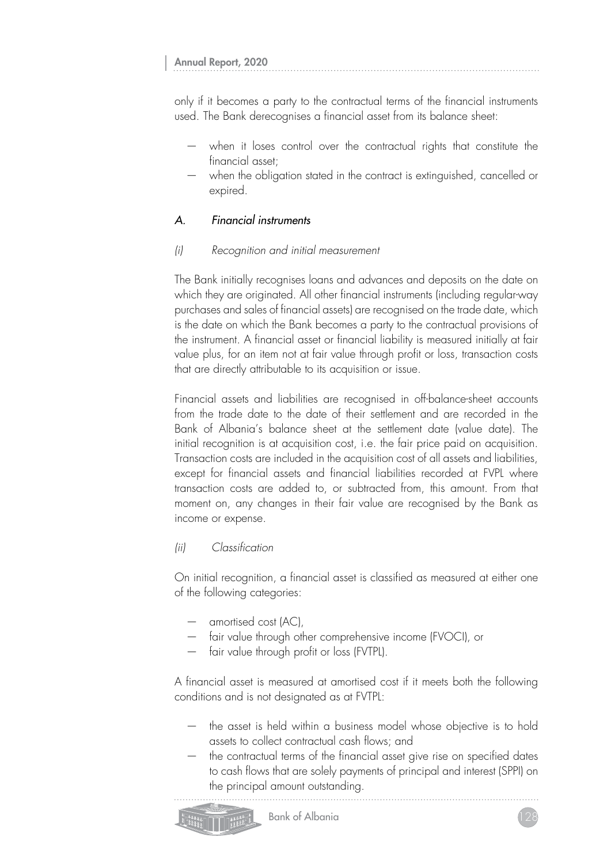only if it becomes a party to the contractual terms of the financial instruments used. The Bank derecognises a financial asset from its balance sheet:

- when it loses control over the contractual rights that constitute the financial asset;
- when the obligation stated in the contract is extinguished, cancelled or expired.

## *A. Financial instruments*

### *(i) Recognition and initial measurement*

The Bank initially recognises loans and advances and deposits on the date on which they are originated. All other financial instruments (including regular-way purchases and sales of financial assets) are recognised on the trade date, which is the date on which the Bank becomes a party to the contractual provisions of the instrument. A financial asset or financial liability is measured initially at fair value plus, for an item not at fair value through profit or loss, transaction costs that are directly attributable to its acquisition or issue.

Financial assets and liabilities are recognised in off-balance-sheet accounts from the trade date to the date of their settlement and are recorded in the Bank of Albania's balance sheet at the settlement date (value date). The initial recognition is at acquisition cost, i.e. the fair price paid on acquisition. Transaction costs are included in the acquisition cost of all assets and liabilities, except for financial assets and financial liabilities recorded at FVPL where transaction costs are added to, or subtracted from, this amount. From that moment on, any changes in their fair value are recognised by the Bank as income or expense.

### *(ii) Classification*

On initial recognition, a financial asset is classified as measured at either one of the following categories:

- amortised cost (AC),
- fair value through other comprehensive income (FVOCI), or
- fair value through profit or loss (FVTPL).

A financial asset is measured at amortised cost if it meets both the following conditions and is not designated as at FVTPL:

- the asset is held within a business model whose objective is to hold assets to collect contractual cash flows; and
- the contractual terms of the financial asset give rise on specified dates to cash flows that are solely payments of principal and interest (SPPI) on the principal amount outstanding.

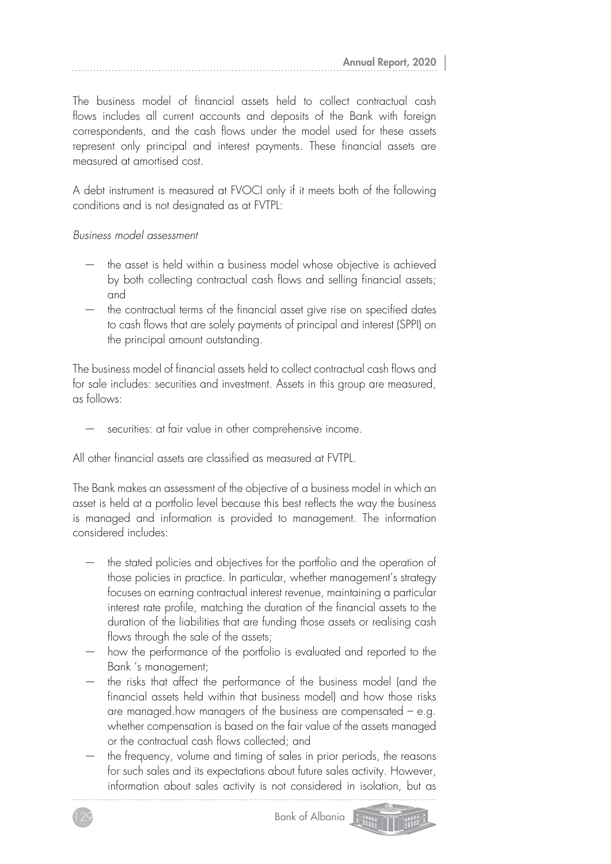The business model of financial assets held to collect contractual cash flows includes all current accounts and deposits of the Bank with foreign correspondents, and the cash flows under the model used for these assets represent only principal and interest payments. These financial assets are measured at amortised cost.

A debt instrument is measured at FVOCI only if it meets both of the following conditions and is not designated as at FVTPL:

#### *Business model assessment*

- the asset is held within a business model whose objective is achieved by both collecting contractual cash flows and selling financial assets; and
- the contractual terms of the financial asset give rise on specified dates to cash flows that are solely payments of principal and interest (SPPI) on the principal amount outstanding.

The business model of financial assets held to collect contractual cash flows and for sale includes: securities and investment. Assets in this group are measured, as follows:

securities: at fair value in other comprehensive income.

All other financial assets are classified as measured at FVTPL.

The Bank makes an assessment of the objective of a business model in which an asset is held at a portfolio level because this best reflects the way the business is managed and information is provided to management. The information considered includes:

- the stated policies and objectives for the portfolio and the operation of those policies in practice. In particular, whether management's strategy focuses on earning contractual interest revenue, maintaining a particular interest rate profile, matching the duration of the financial assets to the duration of the liabilities that are funding those assets or realising cash flows through the sale of the assets;
- how the performance of the portfolio is evaluated and reported to the Bank 's management;
- the risks that affect the performance of the business model (and the financial assets held within that business model) and how those risks are managed.how managers of the business are compensated – e.g. whether compensation is based on the fair value of the assets managed or the contractual cash flows collected; and
- the frequency, volume and timing of sales in prior periods, the reasons for such sales and its expectations about future sales activity. However, information about sales activity is not considered in isolation, but as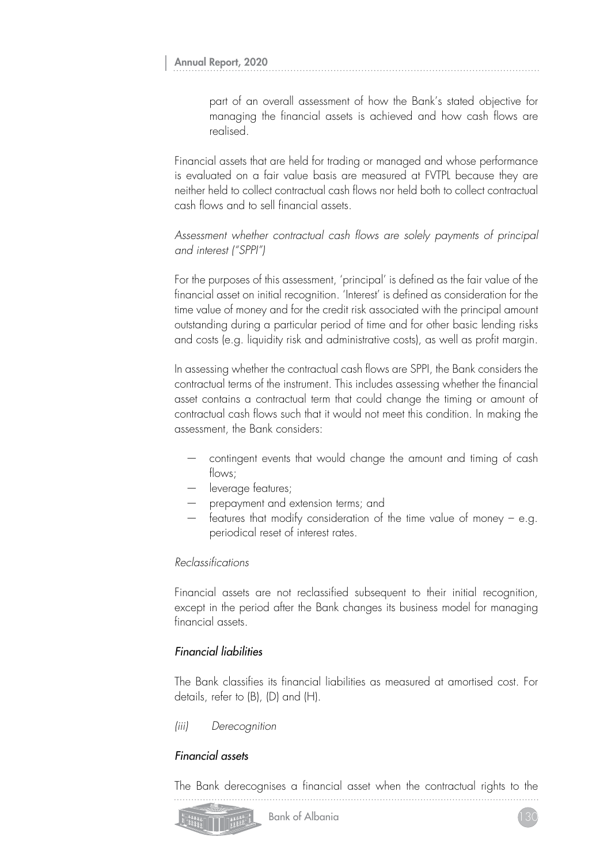part of an overall assessment of how the Bank's stated objective for managing the financial assets is achieved and how cash flows are realised.

Financial assets that are held for trading or managed and whose performance is evaluated on a fair value basis are measured at FVTPL because they are neither held to collect contractual cash flows nor held both to collect contractual cash flows and to sell financial assets.

### *Assessment whether contractual cash flows are solely payments of principal and interest ("SPPI")*

For the purposes of this assessment, 'principal' is defined as the fair value of the financial asset on initial recognition. 'Interest' is defined as consideration for the time value of money and for the credit risk associated with the principal amount outstanding during a particular period of time and for other basic lending risks and costs (e.g. liquidity risk and administrative costs), as well as profit margin.

In assessing whether the contractual cash flows are SPPI, the Bank considers the contractual terms of the instrument. This includes assessing whether the financial asset contains a contractual term that could change the timing or amount of contractual cash flows such that it would not meet this condition. In making the assessment, the Bank considers:

- contingent events that would change the amount and timing of cash flows:
- leverage features;
- prepayment and extension terms; and
- features that modify consideration of the time value of money  $-$  e.g. periodical reset of interest rates.

#### *Reclassifications*

Financial assets are not reclassified subsequent to their initial recognition, except in the period after the Bank changes its business model for managing financial assets.

#### *Financial liabilities*

The Bank classifies its financial liabilities as measured at amortised cost. For details, refer to (B), (D) and (H).

#### *(iii) Derecognition*

#### *Financial assets*

The Bank derecognises a financial asset when the contractual rights to the

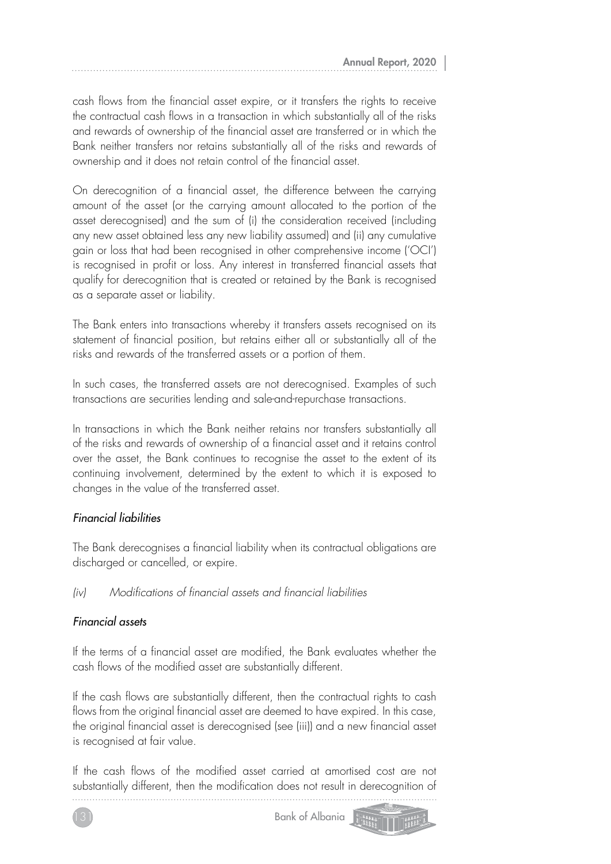cash flows from the financial asset expire, or it transfers the rights to receive the contractual cash flows in a transaction in which substantially all of the risks and rewards of ownership of the financial asset are transferred or in which the Bank neither transfers nor retains substantially all of the risks and rewards of ownership and it does not retain control of the financial asset.

On derecognition of a financial asset, the difference between the carrying amount of the asset (or the carrying amount allocated to the portion of the asset derecognised) and the sum of (i) the consideration received (including any new asset obtained less any new liability assumed) and (ii) any cumulative gain or loss that had been recognised in other comprehensive income ('OCI') is recognised in profit or loss. Any interest in transferred financial assets that qualify for derecognition that is created or retained by the Bank is recognised as a separate asset or liability.

The Bank enters into transactions whereby it transfers assets recognised on its statement of financial position, but retains either all or substantially all of the risks and rewards of the transferred assets or a portion of them.

In such cases, the transferred assets are not derecognised. Examples of such transactions are securities lending and sale-and-repurchase transactions.

In transactions in which the Bank neither retains nor transfers substantially all of the risks and rewards of ownership of a financial asset and it retains control over the asset, the Bank continues to recognise the asset to the extent of its continuing involvement, determined by the extent to which it is exposed to changes in the value of the transferred asset.

## *Financial liabilities*

The Bank derecognises a financial liability when its contractual obligations are discharged or cancelled, or expire.

### *(iv) Modifications of financial assets and financial liabilities*

## *Financial assets*

If the terms of a financial asset are modified, the Bank evaluates whether the cash flows of the modified asset are substantially different.

If the cash flows are substantially different, then the contractual rights to cash flows from the original financial asset are deemed to have expired. In this case, the original financial asset is derecognised (see (iii)) and a new financial asset is recognised at fair value.

If the cash flows of the modified asset carried at amortised cost are not substantially different, then the modification does not result in derecognition of



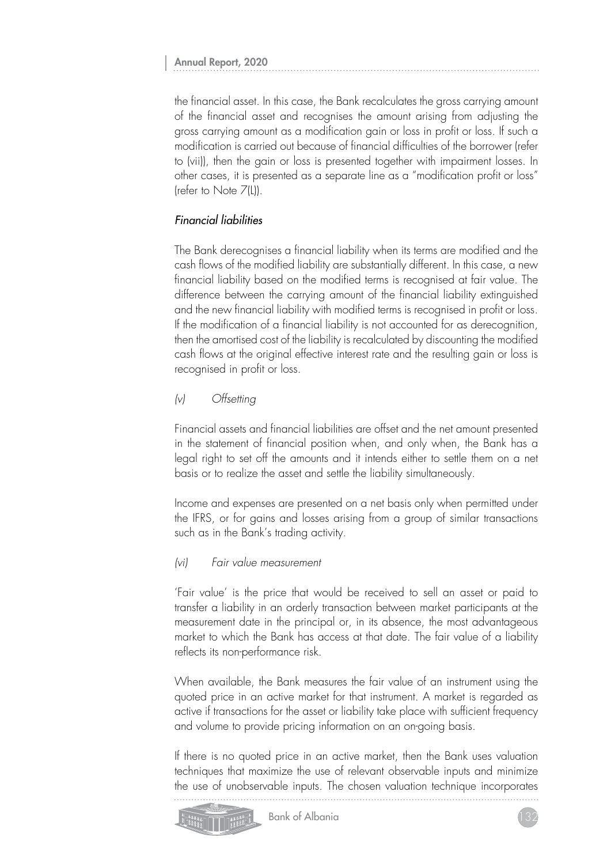the financial asset. In this case, the Bank recalculates the gross carrying amount of the financial asset and recognises the amount arising from adjusting the gross carrying amount as a modification gain or loss in profit or loss. If such a modification is carried out because of financial difficulties of the borrower (refer to (vii)), then the gain or loss is presented together with impairment losses. In other cases, it is presented as a separate line as a "modification profit or loss" (refer to Note 7(L)).

## *Financial liabilities*

The Bank derecognises a financial liability when its terms are modified and the cash flows of the modified liability are substantially different. In this case, a new financial liability based on the modified terms is recognised at fair value. The difference between the carrying amount of the financial liability extinguished and the new financial liability with modified terms is recognised in profit or loss. If the modification of a financial liability is not accounted for as derecognition, then the amortised cost of the liability is recalculated by discounting the modified cash flows at the original effective interest rate and the resulting gain or loss is recognised in profit or loss.

## *(v) Offsetting*

Financial assets and financial liabilities are offset and the net amount presented in the statement of financial position when, and only when, the Bank has a legal right to set off the amounts and it intends either to settle them on a net basis or to realize the asset and settle the liability simultaneously.

Income and expenses are presented on a net basis only when permitted under the IFRS, or for gains and losses arising from a group of similar transactions such as in the Bank's trading activity.

### *(vi) Fair value measurement*

'Fair value' is the price that would be received to sell an asset or paid to transfer a liability in an orderly transaction between market participants at the measurement date in the principal or, in its absence, the most advantageous market to which the Bank has access at that date. The fair value of a liability reflects its non-performance risk.

When available, the Bank measures the fair value of an instrument using the quoted price in an active market for that instrument. A market is regarded as active if transactions for the asset or liability take place with sufficient frequency and volume to provide pricing information on an on-going basis.

If there is no quoted price in an active market, then the Bank uses valuation techniques that maximize the use of relevant observable inputs and minimize the use of unobservable inputs. The chosen valuation technique incorporates

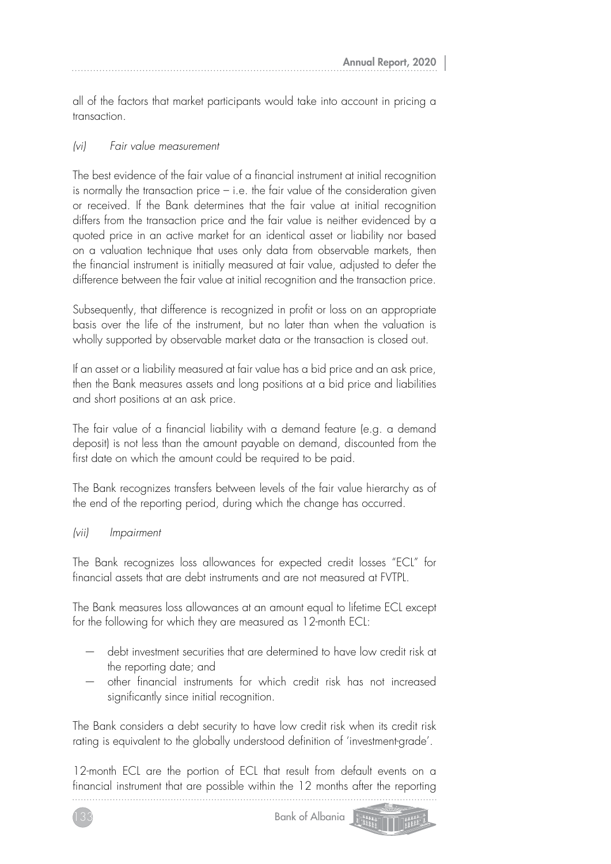all of the factors that market participants would take into account in pricing a transaction.

#### *(vi) Fair value measurement*

The best evidence of the fair value of a financial instrument at initial recognition is normally the transaction price  $-$  i.e. the fair value of the consideration given or received. If the Bank determines that the fair value at initial recognition differs from the transaction price and the fair value is neither evidenced by a quoted price in an active market for an identical asset or liability nor based on a valuation technique that uses only data from observable markets, then the financial instrument is initially measured at fair value, adjusted to defer the difference between the fair value at initial recognition and the transaction price.

Subsequently, that difference is recognized in profit or loss on an appropriate basis over the life of the instrument, but no later than when the valuation is wholly supported by observable market data or the transaction is closed out.

If an asset or a liability measured at fair value has a bid price and an ask price, then the Bank measures assets and long positions at a bid price and liabilities and short positions at an ask price.

The fair value of a financial liability with a demand feature (e.g. a demand deposit) is not less than the amount payable on demand, discounted from the first date on which the amount could be required to be paid.

The Bank recognizes transfers between levels of the fair value hierarchy as of the end of the reporting period, during which the change has occurred.

#### *(vii) Impairment*

The Bank recognizes loss allowances for expected credit losses "ECL" for financial assets that are debt instruments and are not measured at FVTPL.

The Bank measures loss allowances at an amount equal to lifetime ECL except for the following for which they are measured as 12-month ECL:

- debt investment securities that are determined to have low credit risk at the reporting date; and
- other financial instruments for which credit risk has not increased significantly since initial recognition.

The Bank considers a debt security to have low credit risk when its credit risk rating is equivalent to the globally understood definition of 'investment-grade'.

12-month ECL are the portion of ECL that result from default events on a financial instrument that are possible within the 12 months after the reporting



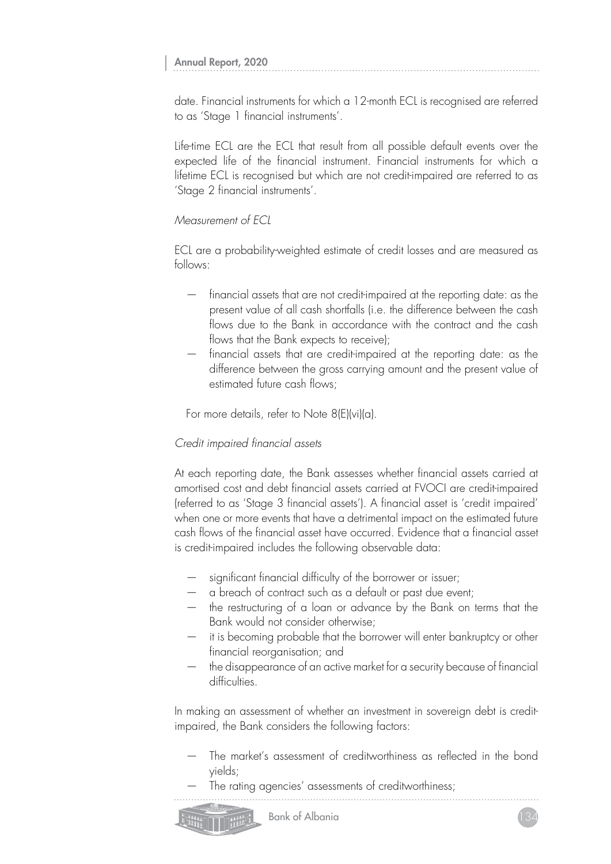date. Financial instruments for which a 12-month ECL is recognised are referred to as 'Stage 1 financial instruments'.

Life-time ECL are the ECL that result from all possible default events over the expected life of the financial instrument. Financial instruments for which a lifetime ECL is recognised but which are not credit-impaired are referred to as 'Stage 2 financial instruments'.

### *Measurement of ECL*

ECL are a probability-weighted estimate of credit losses and are measured as follows:

- financial assets that are not credit-impaired at the reporting date: as the present value of all cash shortfalls (i.e. the difference between the cash flows due to the Bank in accordance with the contract and the cash flows that the Bank expects to receive);
- financial assets that are credit-impaired at the reporting date: as the difference between the gross carrying amount and the present value of estimated future cash flows;

For more details, refer to Note 8(E)(vi)(a).

## *Credit impaired financial assets*

At each reporting date, the Bank assesses whether financial assets carried at amortised cost and debt financial assets carried at FVOCI are credit-impaired (referred to as 'Stage 3 financial assets'). A financial asset is 'credit impaired' when one or more events that have a detrimental impact on the estimated future cash flows of the financial asset have occurred. Evidence that a financial asset is credit-impaired includes the following observable data:

- significant financial difficulty of the borrower or issuer;
- a breach of contract such as a default or past due event;
- the restructuring of a loan or advance by the Bank on terms that the Bank would not consider otherwise;
- it is becoming probable that the borrower will enter bankruptcy or other financial reorganisation; and
- the disappearance of an active market for a security because of financial difficulties.

In making an assessment of whether an investment in sovereign debt is creditimpaired, the Bank considers the following factors:

- The market's assessment of creditworthiness as reflected in the bond yields;
- The rating agencies' assessments of creditworthiness;



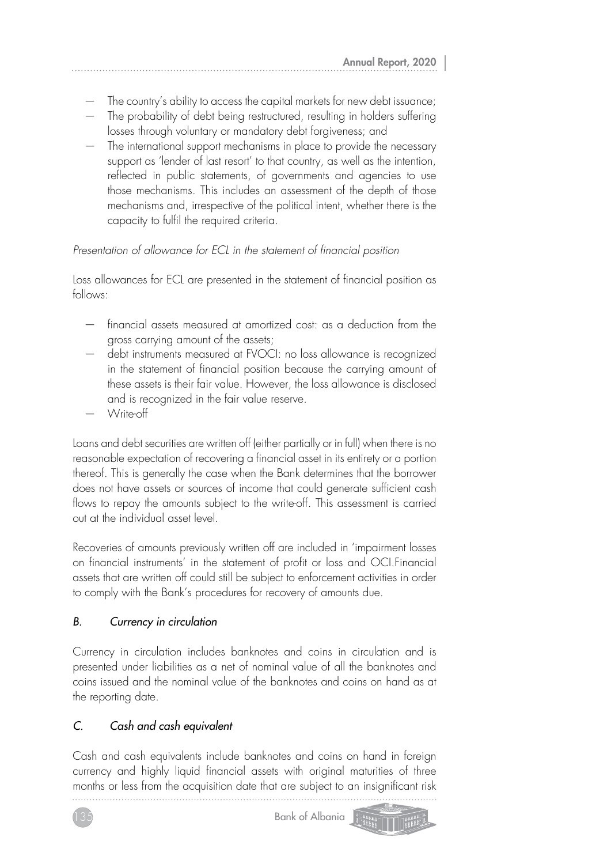- The country's ability to access the capital markets for new debt issuance;
- The probability of debt being restructured, resulting in holders suffering losses through voluntary or mandatory debt forgiveness; and
- The international support mechanisms in place to provide the necessary support as 'lender of last resort' to that country, as well as the intention, reflected in public statements, of governments and agencies to use those mechanisms. This includes an assessment of the depth of those mechanisms and, irrespective of the political intent, whether there is the capacity to fulfil the required criteria.

## *Presentation of allowance for ECL in the statement of financial position*

Loss allowances for ECL are presented in the statement of financial position as follows:

- financial assets measured at amortized cost: as a deduction from the gross carrying amount of the assets;
- debt instruments measured at FVOCI: no loss allowance is recognized in the statement of financial position because the carrying amount of these assets is their fair value. However, the loss allowance is disclosed and is recognized in the fair value reserve.
- Write-off

Loans and debt securities are written off (either partially or in full) when there is no reasonable expectation of recovering a financial asset in its entirety or a portion thereof. This is generally the case when the Bank determines that the borrower does not have assets or sources of income that could generate sufficient cash flows to repay the amounts subject to the write-off. This assessment is carried out at the individual asset level.

Recoveries of amounts previously written off are included in 'impairment losses on financial instruments' in the statement of profit or loss and OCI.Financial assets that are written off could still be subject to enforcement activities in order to comply with the Bank's procedures for recovery of amounts due.

## *B. Currency in circulation*

Currency in circulation includes banknotes and coins in circulation and is presented under liabilities as a net of nominal value of all the banknotes and coins issued and the nominal value of the banknotes and coins on hand as at the reporting date.

# *C. Cash and cash equivalent*

Cash and cash equivalents include banknotes and coins on hand in foreign currency and highly liquid financial assets with original maturities of three months or less from the acquisition date that are subject to an insignificant risk



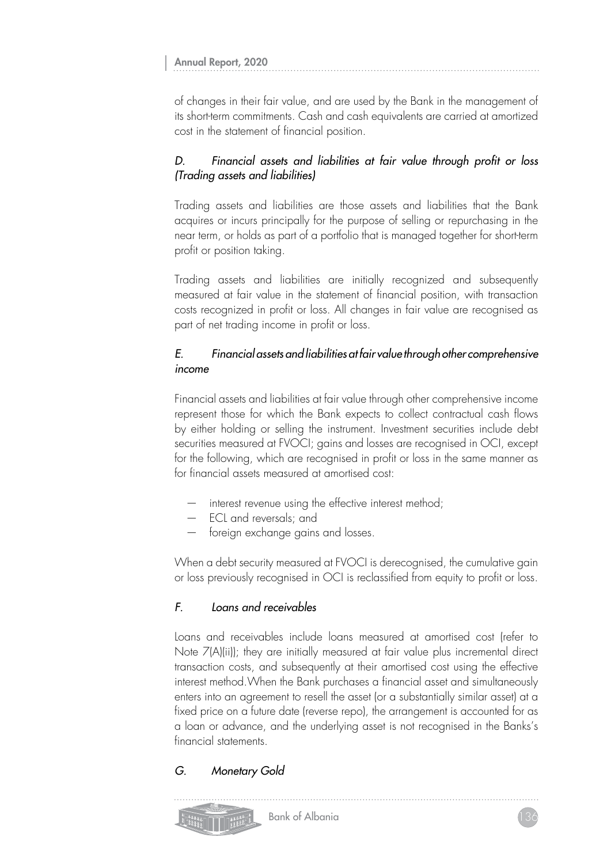of changes in their fair value, and are used by the Bank in the management of its short-term commitments. Cash and cash equivalents are carried at amortized cost in the statement of financial position.

# *D. Financial assets and liabilities at fair value through profit or loss (Trading assets and liabilities)*

Trading assets and liabilities are those assets and liabilities that the Bank acquires or incurs principally for the purpose of selling or repurchasing in the near term, or holds as part of a portfolio that is managed together for short-term profit or position taking.

Trading assets and liabilities are initially recognized and subsequently measured at fair value in the statement of financial position, with transaction costs recognized in profit or loss. All changes in fair value are recognised as part of net trading income in profit or loss.

## *E. Financial assets and liabilities at fair value through other comprehensive income*

Financial assets and liabilities at fair value through other comprehensive income represent those for which the Bank expects to collect contractual cash flows by either holding or selling the instrument. Investment securities include debt securities measured at FVOCI; gains and losses are recognised in OCI, except for the following, which are recognised in profit or loss in the same manner as for financial assets measured at amortised cost:

- interest revenue using the effective interest method;
- ECL and reversals; and
- foreign exchange gains and losses.

When a debt security measured at FVOCI is derecognised, the cumulative gain or loss previously recognised in OCI is reclassified from equity to profit or loss.

## *F. Loans and receivables*

Loans and receivables include loans measured at amortised cost (refer to Note 7(A)(ii)); they are initially measured at fair value plus incremental direct transaction costs, and subsequently at their amortised cost using the effective interest method.When the Bank purchases a financial asset and simultaneously enters into an agreement to resell the asset (or a substantially similar asset) at a fixed price on a future date (reverse repo), the arrangement is accounted for as a loan or advance, and the underlying asset is not recognised in the Banks's financial statements.

# *G. Monetary Gold*

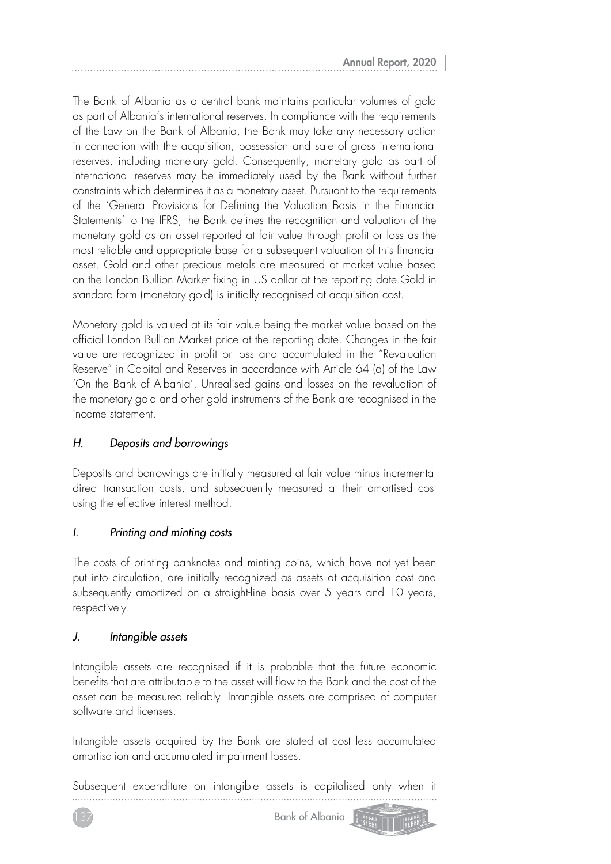The Bank of Albania as a central bank maintains particular volumes of gold as part of Albania's international reserves. In compliance with the requirements of the Law on the Bank of Albania, the Bank may take any necessary action in connection with the acquisition, possession and sale of gross international reserves, including monetary gold. Consequently, monetary gold as part of international reserves may be immediately used by the Bank without further constraints which determines it as a monetary asset. Pursuant to the requirements of the 'General Provisions for Defining the Valuation Basis in the Financial Statements' to the IFRS, the Bank defines the recognition and valuation of the monetary gold as an asset reported at fair value through profit or loss as the most reliable and appropriate base for a subsequent valuation of this financial asset. Gold and other precious metals are measured at market value based on the London Bullion Market fixing in US dollar at the reporting date.Gold in standard form (monetary gold) is initially recognised at acquisition cost.

Monetary gold is valued at its fair value being the market value based on the official London Bullion Market price at the reporting date. Changes in the fair value are recognized in profit or loss and accumulated in the "Revaluation Reserve" in Capital and Reserves in accordance with Article 64 (a) of the Law 'On the Bank of Albania'. Unrealised gains and losses on the revaluation of the monetary gold and other gold instruments of the Bank are recognised in the income statement.

## *H. Deposits and borrowings*

Deposits and borrowings are initially measured at fair value minus incremental direct transaction costs, and subsequently measured at their amortised cost using the effective interest method.

## *I. Printing and minting costs*

The costs of printing banknotes and minting coins, which have not yet been put into circulation, are initially recognized as assets at acquisition cost and subsequently amortized on a straight-line basis over 5 years and 10 years, respectively.

# *J. Intangible assets*

Intangible assets are recognised if it is probable that the future economic benefits that are attributable to the asset will flow to the Bank and the cost of the asset can be measured reliably. Intangible assets are comprised of computer software and licenses.

Intangible assets acquired by the Bank are stated at cost less accumulated amortisation and accumulated impairment losses.

Subsequent expenditure on intangible assets is capitalised only when it



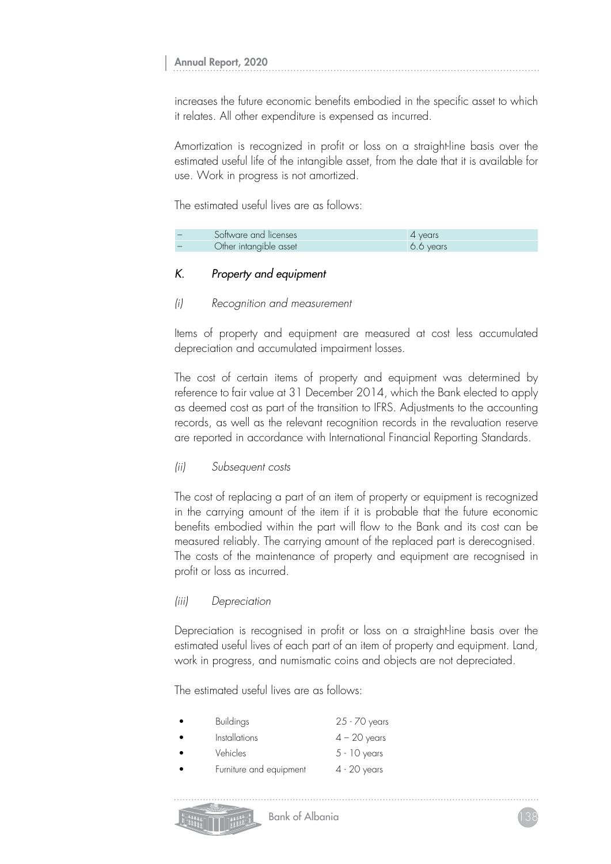increases the future economic benefits embodied in the specific asset to which it relates. All other expenditure is expensed as incurred.

Amortization is recognized in profit or loss on a straight-line basis over the estimated useful life of the intangible asset, from the date that it is available for use. Work in progress is not amortized.

The estimated useful lives are as follows:

| Software and licenses  | 4 years   |
|------------------------|-----------|
| Other intangible asset | 6.6 years |

## *K. Property and equipment*

#### *(i) Recognition and measurement*

Items of property and equipment are measured at cost less accumulated depreciation and accumulated impairment losses.

The cost of certain items of property and equipment was determined by reference to fair value at 31 December 2014, which the Bank elected to apply as deemed cost as part of the transition to IFRS. Adjustments to the accounting records, as well as the relevant recognition records in the revaluation reserve are reported in accordance with International Financial Reporting Standards.

### *(ii) Subsequent costs*

The cost of replacing a part of an item of property or equipment is recognized in the carrying amount of the item if it is probable that the future economic benefits embodied within the part will flow to the Bank and its cost can be measured reliably. The carrying amount of the replaced part is derecognised. The costs of the maintenance of property and equipment are recognised in profit or loss as incurred.

### *(iii) Depreciation*

Depreciation is recognised in profit or loss on a straight-line basis over the estimated useful lives of each part of an item of property and equipment. Land, work in progress, and numismatic coins and objects are not depreciated.

The estimated useful lives are as follows:

- Buildings 25 70 years
- $\lambda$  Installations  $4 20$  years
- Vehicles 5 10 years
- Furniture and equipment 4 20 years

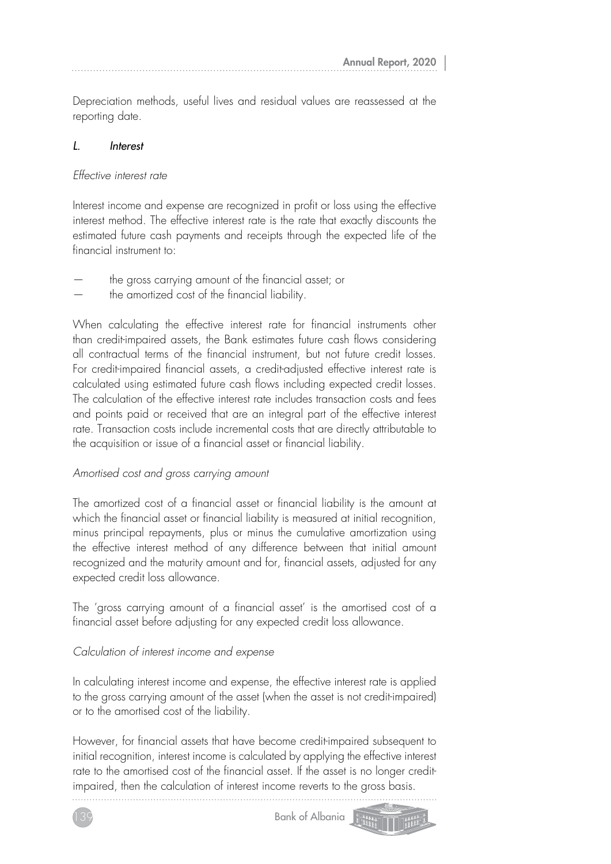Depreciation methods, useful lives and residual values are reassessed at the reporting date.

#### *L. Interest*

#### *Effective interest rate*

Interest income and expense are recognized in profit or loss using the effective interest method. The effective interest rate is the rate that exactly discounts the estimated future cash payments and receipts through the expected life of the financial instrument to:

- the gross carrying amount of the financial asset; or
- the amortized cost of the financial liability.

When calculating the effective interest rate for financial instruments other than credit-impaired assets, the Bank estimates future cash flows considering all contractual terms of the financial instrument, but not future credit losses. For credit-impaired financial assets, a credit-adjusted effective interest rate is calculated using estimated future cash flows including expected credit losses. The calculation of the effective interest rate includes transaction costs and fees and points paid or received that are an integral part of the effective interest rate. Transaction costs include incremental costs that are directly attributable to the acquisition or issue of a financial asset or financial liability.

### *Amortised cost and gross carrying amount*

The amortized cost of a financial asset or financial liability is the amount at which the financial asset or financial liability is measured at initial recognition, minus principal repayments, plus or minus the cumulative amortization using the effective interest method of any difference between that initial amount recognized and the maturity amount and for, financial assets, adjusted for any expected credit loss allowance.

The 'gross carrying amount of a financial asset' is the amortised cost of a financial asset before adjusting for any expected credit loss allowance.

### *Calculation of interest income and expense*

In calculating interest income and expense, the effective interest rate is applied to the gross carrying amount of the asset (when the asset is not credit-impaired) or to the amortised cost of the liability.

However, for financial assets that have become credit-impaired subsequent to initial recognition, interest income is calculated by applying the effective interest rate to the amortised cost of the financial asset. If the asset is no longer creditimpaired, then the calculation of interest income reverts to the gross basis.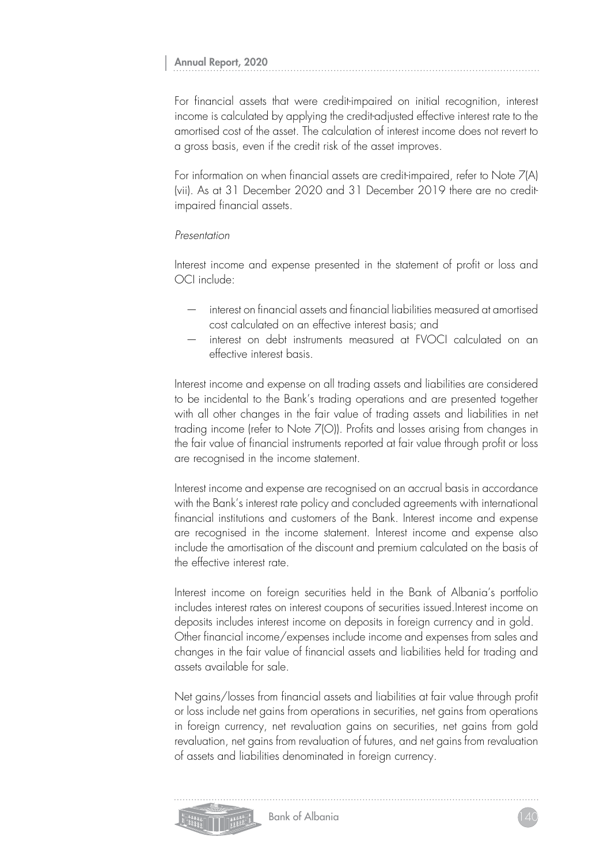For financial assets that were credit-impaired on initial recognition, interest income is calculated by applying the credit-adjusted effective interest rate to the amortised cost of the asset. The calculation of interest income does not revert to a gross basis, even if the credit risk of the asset improves.

For information on when financial assets are credit-impaired, refer to Note 7(A) (vii). As at 31 December 2020 and 31 December 2019 there are no creditimpaired financial assets.

### *Presentation*

Interest income and expense presented in the statement of profit or loss and OCI include:

- interest on financial assets and financial liabilities measured at amortised cost calculated on an effective interest basis; and
- interest on debt instruments measured at FVOCI calculated on an effective interest basis.

Interest income and expense on all trading assets and liabilities are considered to be incidental to the Bank's trading operations and are presented together with all other changes in the fair value of trading assets and liabilities in net trading income (refer to Note 7(O)). Profits and losses arising from changes in the fair value of financial instruments reported at fair value through profit or loss are recognised in the income statement.

Interest income and expense are recognised on an accrual basis in accordance with the Bank's interest rate policy and concluded agreements with international financial institutions and customers of the Bank. Interest income and expense are recognised in the income statement. Interest income and expense also include the amortisation of the discount and premium calculated on the basis of the effective interest rate.

Interest income on foreign securities held in the Bank of Albania's portfolio includes interest rates on interest coupons of securities issued.Interest income on deposits includes interest income on deposits in foreign currency and in gold. Other financial income/expenses include income and expenses from sales and changes in the fair value of financial assets and liabilities held for trading and assets available for sale.

Net gains/losses from financial assets and liabilities at fair value through profit or loss include net gains from operations in securities, net gains from operations in foreign currency, net revaluation gains on securities, net gains from gold revaluation, net gains from revaluation of futures, and net gains from revaluation of assets and liabilities denominated in foreign currency.

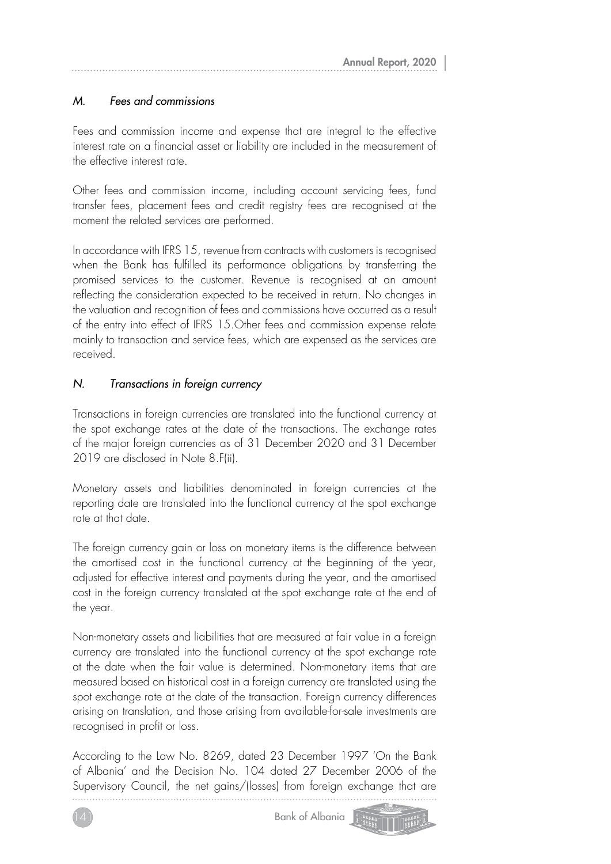## *M. Fees and commissions*

Fees and commission income and expense that are integral to the effective interest rate on a financial asset or liability are included in the measurement of the effective interest rate.

Other fees and commission income, including account servicing fees, fund transfer fees, placement fees and credit registry fees are recognised at the moment the related services are performed.

In accordance with IFRS 15, revenue from contracts with customers is recognised when the Bank has fulfilled its performance obligations by transferring the promised services to the customer. Revenue is recognised at an amount reflecting the consideration expected to be received in return. No changes in the valuation and recognition of fees and commissions have occurred as a result of the entry into effect of IFRS 15.Other fees and commission expense relate mainly to transaction and service fees, which are expensed as the services are received.

## *N. Transactions in foreign currency*

Transactions in foreign currencies are translated into the functional currency at the spot exchange rates at the date of the transactions. The exchange rates of the major foreign currencies as of 31 December 2020 and 31 December 2019 are disclosed in Note 8. F(ii).

Monetary assets and liabilities denominated in foreign currencies at the reporting date are translated into the functional currency at the spot exchange rate at that date.

The foreign currency gain or loss on monetary items is the difference between the amortised cost in the functional currency at the beginning of the year, adjusted for effective interest and payments during the year, and the amortised cost in the foreign currency translated at the spot exchange rate at the end of the year.

Non-monetary assets and liabilities that are measured at fair value in a foreign currency are translated into the functional currency at the spot exchange rate at the date when the fair value is determined. Non-monetary items that are measured based on historical cost in a foreign currency are translated using the spot exchange rate at the date of the transaction. Foreign currency differences arising on translation, and those arising from available-for-sale investments are recognised in profit or loss.

According to the Law No. 8269, dated 23 December 1997 'On the Bank of Albania' and the Decision No. 104 dated 27 December 2006 of the Supervisory Council, the net gains/(losses) from foreign exchange that are

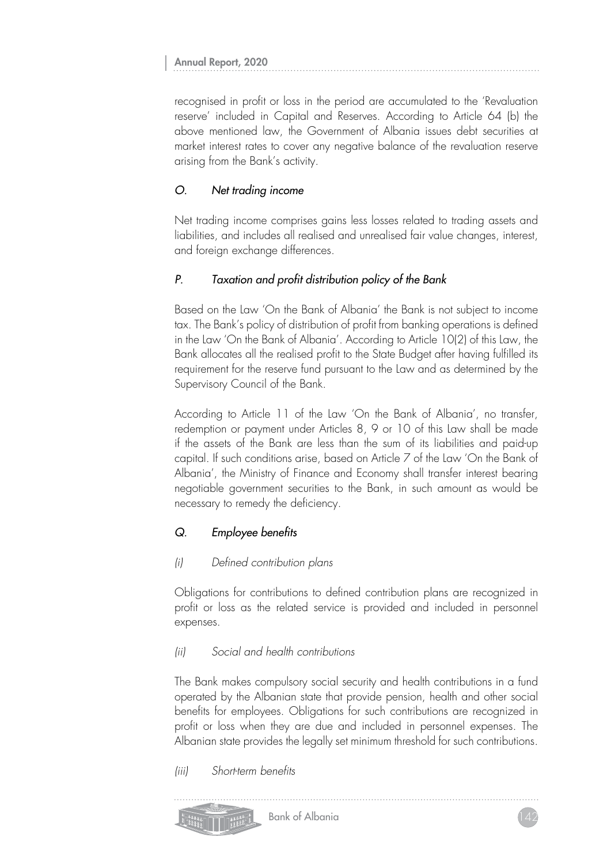recognised in profit or loss in the period are accumulated to the 'Revaluation reserve' included in Capital and Reserves. According to Article 64 (b) the above mentioned law, the Government of Albania issues debt securities at market interest rates to cover any negative balance of the revaluation reserve arising from the Bank's activity.

## *O. Net trading income*

Net trading income comprises gains less losses related to trading assets and liabilities, and includes all realised and unrealised fair value changes, interest, and foreign exchange differences.

## *P. Taxation and profit distribution policy of the Bank*

Based on the Law 'On the Bank of Albania' the Bank is not subject to income tax. The Bank's policy of distribution of profit from banking operations is defined in the Law 'On the Bank of Albania'. According to Article 10(2) of this Law, the Bank allocates all the realised profit to the State Budget after having fulfilled its requirement for the reserve fund pursuant to the Law and as determined by the Supervisory Council of the Bank.

According to Article 11 of the Law 'On the Bank of Albania', no transfer, redemption or payment under Articles 8, 9 or 10 of this Law shall be made if the assets of the Bank are less than the sum of its liabilities and paid-up capital. If such conditions arise, based on Article 7 of the Law 'On the Bank of Albania', the Ministry of Finance and Economy shall transfer interest bearing negotiable government securities to the Bank, in such amount as would be necessary to remedy the deficiency.

## *Q. Employee benefits*

## *(i) Defined contribution plans*

Obligations for contributions to defined contribution plans are recognized in profit or loss as the related service is provided and included in personnel expenses.

## *(ii) Social and health contributions*

The Bank makes compulsory social security and health contributions in a fund operated by the Albanian state that provide pension, health and other social benefits for employees. Obligations for such contributions are recognized in profit or loss when they are due and included in personnel expenses. The Albanian state provides the legally set minimum threshold for such contributions.

## *(iii) Short-term benefits*

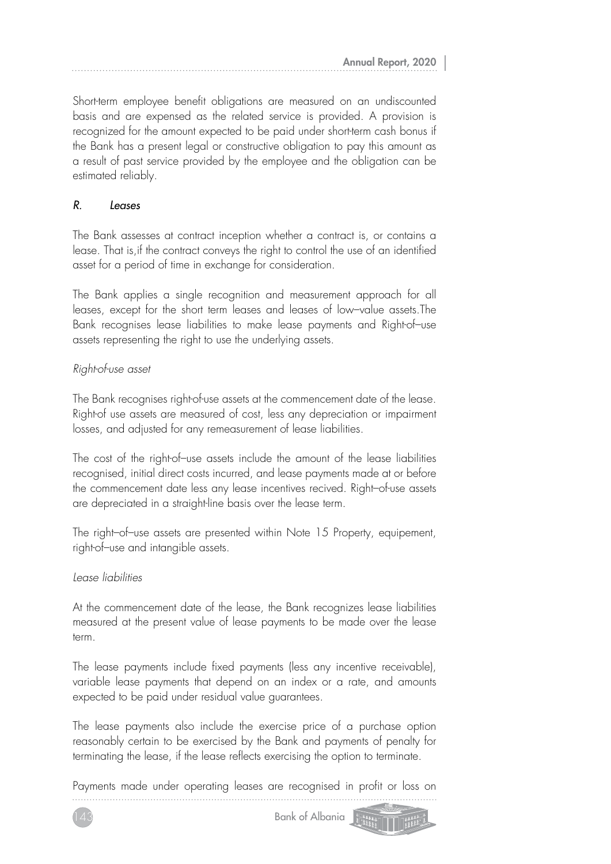Short-term employee benefit obligations are measured on an undiscounted basis and are expensed as the related service is provided. A provision is recognized for the amount expected to be paid under short-term cash bonus if the Bank has a present legal or constructive obligation to pay this amount as a result of past service provided by the employee and the obligation can be estimated reliably.

## *R. Leases*

The Bank assesses at contract inception whether a contract is, or contains a lease. That is,if the contract conveys the right to control the use of an identified asset for a period of time in exchange for consideration.

The Bank applies a single recognition and measurement approach for all leases, except for the short term leases and leases of low–value assets.The Bank recognises lease liabilities to make lease payments and Right-of–use assets representing the right to use the underlying assets.

### *Right-of-use asset*

The Bank recognises right-of-use assets at the commencement date of the lease. Right-of use assets are measured of cost, less any depreciation or impairment losses, and adjusted for any remeasurement of lease liabilities.

The cost of the right-of–use assets include the amount of the lease liabilities recognised, initial direct costs incurred, and lease payments made at or before the commencement date less any lease incentives recived. Right–of-use assets are depreciated in a straight-line basis over the lease term.

The right–of–use assets are presented within Note 15 Property, equipement, right-of–use and intangible assets.

#### *Lease liabilities*

At the commencement date of the lease, the Bank recognizes lease liabilities measured at the present value of lease payments to be made over the lease term.

The lease payments include fixed payments (less any incentive receivable), variable lease payments that depend on an index or a rate, and amounts expected to be paid under residual value guarantees.

The lease payments also include the exercise price of a purchase option reasonably certain to be exercised by the Bank and payments of penalty for terminating the lease, if the lease reflects exercising the option to terminate.

Payments made under operating leases are recognised in profit or loss on

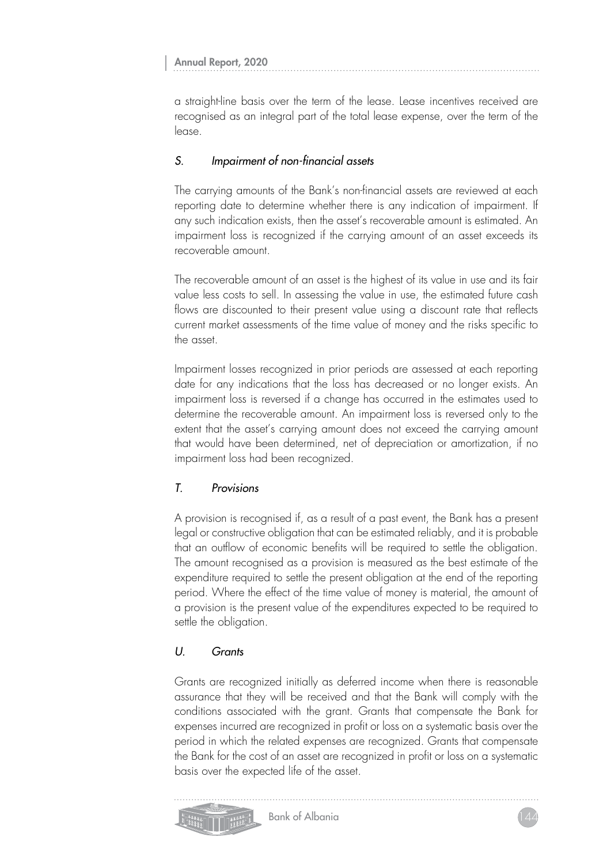a straight-line basis over the term of the lease. Lease incentives received are recognised as an integral part of the total lease expense, over the term of the lease.

# *S. Impairment of non-financial assets*

The carrying amounts of the Bank's non-financial assets are reviewed at each reporting date to determine whether there is any indication of impairment. If any such indication exists, then the asset's recoverable amount is estimated. An impairment loss is recognized if the carrying amount of an asset exceeds its recoverable amount.

The recoverable amount of an asset is the highest of its value in use and its fair value less costs to sell. In assessing the value in use, the estimated future cash flows are discounted to their present value using a discount rate that reflects current market assessments of the time value of money and the risks specific to the asset.

Impairment losses recognized in prior periods are assessed at each reporting date for any indications that the loss has decreased or no longer exists. An impairment loss is reversed if a change has occurred in the estimates used to determine the recoverable amount. An impairment loss is reversed only to the extent that the asset's carrying amount does not exceed the carrying amount that would have been determined, net of depreciation or amortization, if no impairment loss had been recognized.

## *T. Provisions*

A provision is recognised if, as a result of a past event, the Bank has a present legal or constructive obligation that can be estimated reliably, and it is probable that an outflow of economic benefits will be required to settle the obligation. The amount recognised as a provision is measured as the best estimate of the expenditure required to settle the present obligation at the end of the reporting period. Where the effect of the time value of money is material, the amount of a provision is the present value of the expenditures expected to be required to settle the obligation.

# *U. Grants*

Grants are recognized initially as deferred income when there is reasonable assurance that they will be received and that the Bank will comply with the conditions associated with the grant. Grants that compensate the Bank for expenses incurred are recognized in profit or loss on a systematic basis over the period in which the related expenses are recognized. Grants that compensate the Bank for the cost of an asset are recognized in profit or loss on a systematic basis over the expected life of the asset.

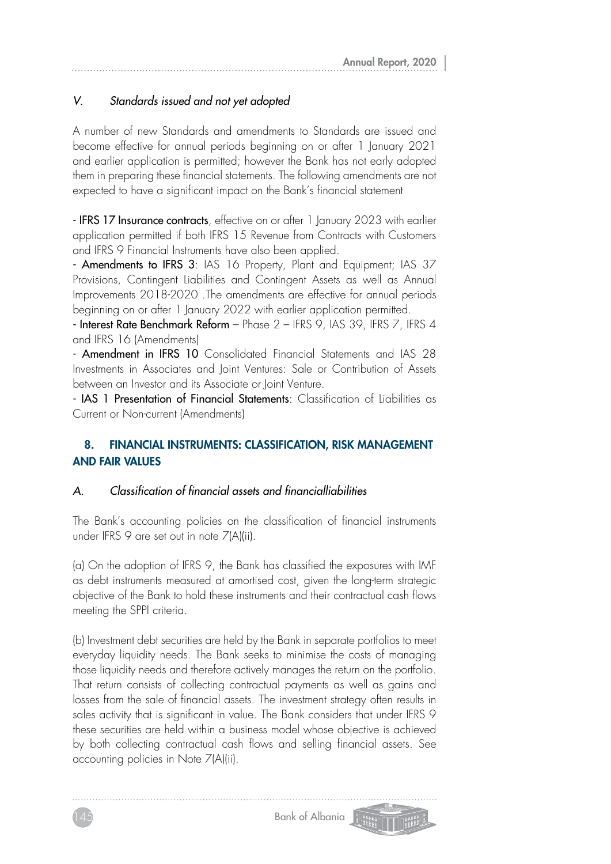# *V. Standards issued and not yet adopted*

A number of new Standards and amendments to Standards are issued and become effective for annual periods beginning on or after 1 January 2021 and earlier application is permitted; however the Bank has not early adopted them in preparing these financial statements. The following amendments are not expected to have a significant impact on the Bank's financial statement

- **IFRS 17 Insurance contracts**, effective on or after 1 January 2023 with earlier application permitted if both IFRS 15 Revenue from Contracts with Customers and IFRS 9 Financial Instruments have also been applied.

- **Amendments to IFRS 3**: IAS 16 Property, Plant and Equipment; IAS 37 Provisions, Contingent Liabilities and Contingent Assets as well as Annual Improvements 2018-2020 .The amendments are effective for annual periods beginning on or after 1 January 2022 with earlier application permitted.

- Interest Rate Benchmark Reform - Phase 2 - IFRS 9, IAS 39, IFRS 7, IFRS 4 and IFRS 16 (Amendments)

- Amendment in IFRS 10 Consolidated Financial Statements and IAS 28 Investments in Associates and Joint Ventures: Sale or Contribution of Assets between an Investor and its Associate or Joint Venture.

- IAS 1 Presentation of Financial Statements: Classification of Liabilities as Current or Non-current (Amendments)

## 8. FINANCIAL INSTRUMENTS: Classification, RISK MANAGEMENT AND FAIR VALUES

## *A. Classification of financial assets and financialliabilities*

The Bank's accounting policies on the classification of financial instruments under IFRS 9 are set out in note 7(A)(ii).

(a) On the adoption of IFRS 9, the Bank has classified the exposures with IMF as debt instruments measured at amortised cost, given the long-term strategic objective of the Bank to hold these instruments and their contractual cash flows meeting the SPPI criteria.

(b) Investment debt securities are held by the Bank in separate portfolios to meet everyday liquidity needs. The Bank seeks to minimise the costs of managing those liquidity needs and therefore actively manages the return on the portfolio. That return consists of collecting contractual payments as well as gains and losses from the sale of financial assets. The investment strategy often results in sales activity that is significant in value. The Bank considers that under IFRS 9 these securities are held within a business model whose objective is achieved by both collecting contractual cash flows and selling financial assets. See accounting policies in Note 7(A)(ii).



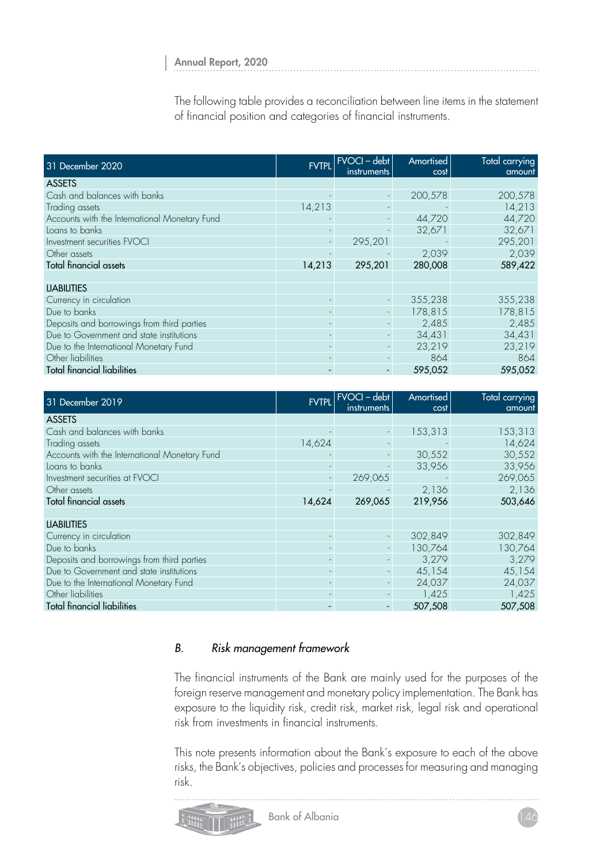The following table provides a reconciliation between line items in the statement of financial position and categories of financial instruments.

| 31 December 2020                              | <b>FVTPL</b> | $FVOCI - debt$<br>instruments | Amortised<br>cost | <b>Total carrying</b><br>amount |
|-----------------------------------------------|--------------|-------------------------------|-------------------|---------------------------------|
| <b>ASSETS</b>                                 |              |                               |                   |                                 |
| Cash and balances with banks                  |              |                               | 200,578           | 200,578                         |
| Trading assets                                | 14,213       |                               |                   | 14,213                          |
| Accounts with the International Monetary Fund |              |                               | 44,720            | 44,720                          |
| Loans to banks                                |              |                               | 32,671            | 32,671                          |
| Investment securities FVOCI                   |              | 295,201                       |                   | 295,201                         |
| Other assets                                  |              |                               | 2,039             | 2,039                           |
| <b>Total financial assets</b>                 | 14,213       | 295,201                       | 280,008           | 589,422                         |
|                                               |              |                               |                   |                                 |
| <b>LIABILITIES</b>                            |              |                               |                   |                                 |
| Currency in circulation                       |              |                               | 355,238           | 355,238                         |
| Due to banks                                  |              |                               | 178,815           | 178,815                         |
| Deposits and borrowings from third parties    |              |                               | 2,485             | 2,485                           |
| Due to Government and state institutions      |              |                               | 34,431            | 34,431                          |
| Due to the International Monetary Fund        |              |                               | 23,219            | 23,219                          |
| Other liabilities                             |              |                               | 864               | 864                             |
| <b>Total financial liabilities</b>            |              |                               | 595,052           | 595,052                         |

| 31 December 2019                              | <b>FVTPL</b> | $ $ FVOCI – debt $ $<br><i>instruments</i> | Amortised<br>cost | Total carrying<br>amount |
|-----------------------------------------------|--------------|--------------------------------------------|-------------------|--------------------------|
| <b>ASSETS</b>                                 |              |                                            |                   |                          |
| Cash and balances with banks                  |              |                                            | 153,313           | 153,313                  |
| Trading assets                                | 14,624       |                                            |                   | 14,624                   |
| Accounts with the International Monetary Fund |              |                                            | 30,552            | 30,552                   |
| Loans to banks                                |              |                                            | 33,956            | 33,956                   |
| Investment securities at FVOCI                |              | 269,065                                    |                   | 269,065                  |
| Other assets                                  |              |                                            | 2,136             | 2,136                    |
| <b>Total financial assets</b>                 | 14,624       | 269,065                                    | 219,956           | 503,646                  |
|                                               |              |                                            |                   |                          |
| <b>LIABILITIES</b>                            |              |                                            |                   |                          |
| Currency in circulation                       |              |                                            | 302,849           | 302,849                  |
| Due to banks                                  |              |                                            | 130,764           | 130,764                  |
| Deposits and borrowings from third parties    |              |                                            | 3,279             | 3,279                    |
| Due to Government and state institutions      |              |                                            | 45,154            | 45,154                   |
| Due to the International Monetary Fund        |              |                                            | 24,037            | 24,037                   |
| Other liabilities                             |              |                                            | 1,425             | 1,425                    |
| <b>Total financial liabilities</b>            |              | ۰                                          | 507,508           | 507,508                  |

## *B. Risk management framework*

The financial instruments of the Bank are mainly used for the purposes of the foreign reserve management and monetary policy implementation. The Bank has exposure to the liquidity risk, credit risk, market risk, legal risk and operational risk from investments in financial instruments.

This note presents information about the Bank's exposure to each of the above risks, the Bank's objectives, policies and processes for measuring and managing risk.

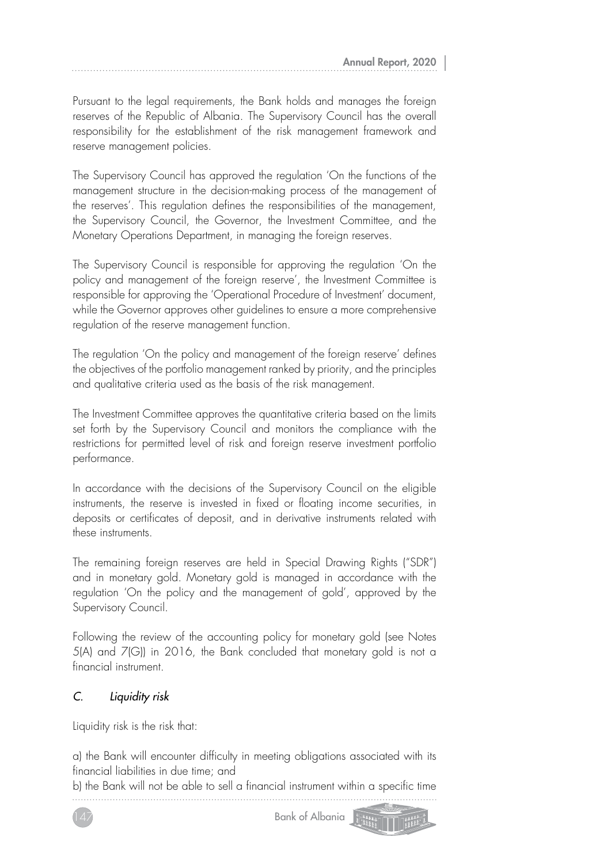Pursuant to the legal requirements, the Bank holds and manages the foreign reserves of the Republic of Albania. The Supervisory Council has the overall responsibility for the establishment of the risk management framework and reserve management policies.

The Supervisory Council has approved the regulation 'On the functions of the management structure in the decision-making process of the management of the reserves'. This regulation defines the responsibilities of the management, the Supervisory Council, the Governor, the Investment Committee, and the Monetary Operations Department, in managing the foreign reserves.

The Supervisory Council is responsible for approving the regulation 'On the policy and management of the foreign reserve', the Investment Committee is responsible for approving the 'Operational Procedure of Investment' document, while the Governor approves other quidelines to ensure a more comprehensive regulation of the reserve management function.

The regulation 'On the policy and management of the foreign reserve' defines the objectives of the portfolio management ranked by priority, and the principles and qualitative criteria used as the basis of the risk management.

The Investment Committee approves the quantitative criteria based on the limits set forth by the Supervisory Council and monitors the compliance with the restrictions for permitted level of risk and foreign reserve investment portfolio performance.

In accordance with the decisions of the Supervisory Council on the eligible instruments, the reserve is invested in fixed or floating income securities, in deposits or certificates of deposit, and in derivative instruments related with these instruments.

The remaining foreign reserves are held in Special Drawing Rights ("SDR") and in monetary gold. Monetary gold is managed in accordance with the regulation 'On the policy and the management of gold', approved by the Supervisory Council.

Following the review of the accounting policy for monetary gold (see Notes 5(A) and 7(G)) in 2016, the Bank concluded that monetary gold is not a financial instrument.

### *C. Liquidity risk*

Liquidity risk is the risk that:

a) the Bank will encounter difficulty in meeting obligations associated with its financial liabilities in due time; and

b) the Bank will not be able to sell a financial instrument within a specific time

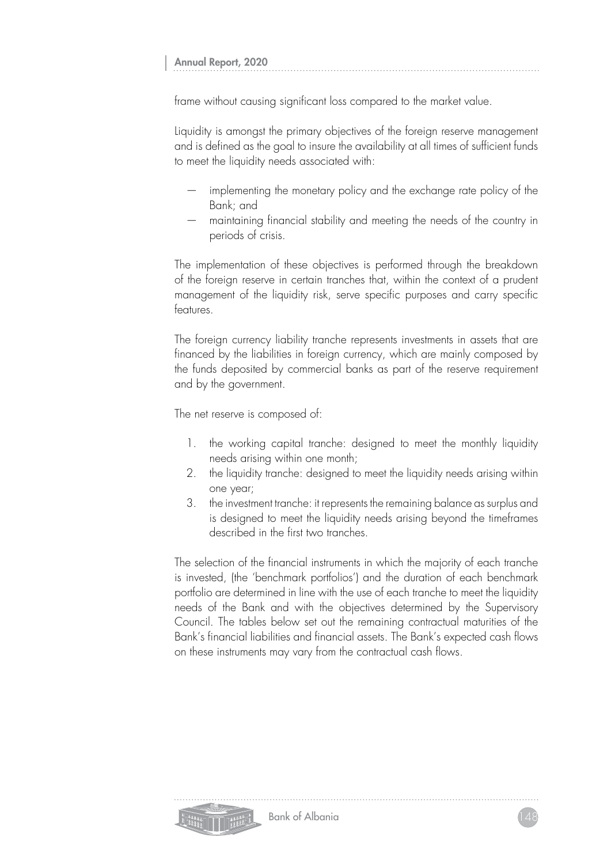frame without causing significant loss compared to the market value.

Liquidity is amongst the primary objectives of the foreign reserve management and is defined as the goal to insure the availability at all times of sufficient funds to meet the liquidity needs associated with:

- implementing the monetary policy and the exchange rate policy of the Bank; and
- maintaining financial stability and meeting the needs of the country in periods of crisis.

The implementation of these objectives is performed through the breakdown of the foreign reserve in certain tranches that, within the context of a prudent management of the liquidity risk, serve specific purposes and carry specific features.

The foreign currency liability tranche represents investments in assets that are financed by the liabilities in foreign currency, which are mainly composed by the funds deposited by commercial banks as part of the reserve requirement and by the government.

The net reserve is composed of:

- 1. the working capital tranche: designed to meet the monthly liquidity needs arising within one month;
- 2. the liquidity tranche: designed to meet the liquidity needs arising within one year;
- 3. the investment tranche: it represents the remaining balance as surplus and is designed to meet the liquidity needs arising beyond the timeframes described in the first two tranches.

The selection of the financial instruments in which the majority of each tranche is invested, (the 'benchmark portfolios') and the duration of each benchmark portfolio are determined in line with the use of each tranche to meet the liquidity needs of the Bank and with the objectives determined by the Supervisory Council. The tables below set out the remaining contractual maturities of the Bank's financial liabilities and financial assets. The Bank's expected cash flows on these instruments may vary from the contractual cash flows.

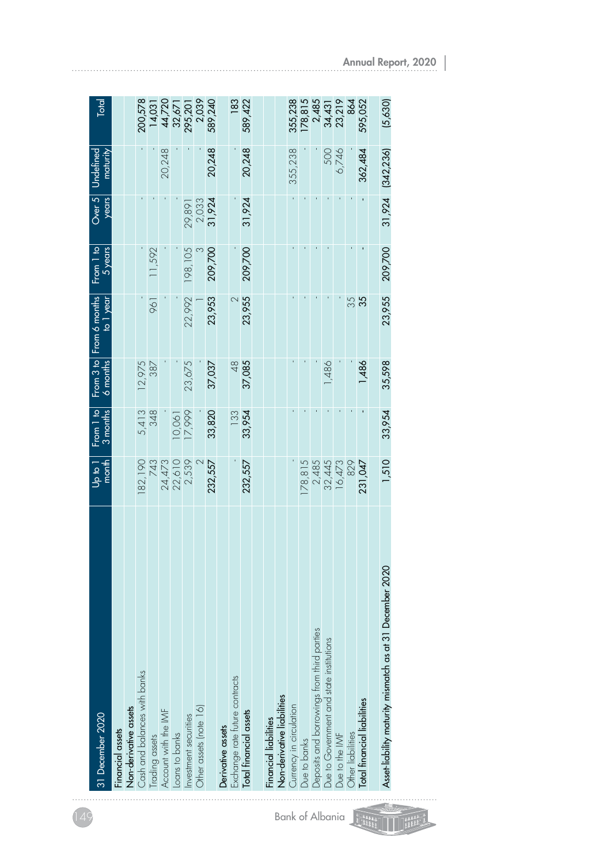| 31 December 2020                                         | month<br>l op to 1                 | From 1 to<br>3 months |               | From 3 to From 6 months<br>6 months<br>0 1 year | From 1 to<br>$\frac{5}{2}$ years | Over 5<br>years | maturity<br>Undefined | Total                                                  |
|----------------------------------------------------------|------------------------------------|-----------------------|---------------|-------------------------------------------------|----------------------------------|-----------------|-----------------------|--------------------------------------------------------|
| Financial assets                                         |                                    |                       |               |                                                 |                                  |                 |                       |                                                        |
| Non-derivative assets                                    |                                    |                       |               |                                                 |                                  |                 |                       |                                                        |
|                                                          |                                    |                       | 12,975        |                                                 |                                  |                 |                       |                                                        |
| Cash and balances with banks<br>Trading assets           | 182, 190<br>743                    | 5,413<br>348          | 387           | 961                                             | 11,592                           |                 |                       |                                                        |
| Account with the IMF                                     |                                    |                       |               |                                                 |                                  |                 | 20,248                |                                                        |
| Loans to banks                                           |                                    |                       |               |                                                 |                                  |                 |                       |                                                        |
| Investment securities                                    | 24,473<br>22,610<br>2,539<br>2,539 | 10,061<br>17,999      | 23,675        | 22,992                                          | 198,105                          |                 |                       | 200,578<br>14,031<br>14,720<br>4,720<br>2,039<br>2,039 |
| Other assets (note 16)                                   |                                    |                       |               |                                                 |                                  | 29,891<br>2,033 |                       |                                                        |
|                                                          | 232,557                            | 33,820                | 37,037        | 23,953                                          | 209,700                          | 31,924          | 20,248                | 589,240                                                |
| Derivative assets                                        |                                    |                       |               |                                                 |                                  |                 |                       |                                                        |
| Exchange rate future contracts                           |                                    | 133                   | $\frac{8}{4}$ |                                                 |                                  |                 |                       | 183                                                    |
| Total financial assets                                   | 232,557                            | 33,954                | 37,085        | 23,955                                          | 209,700                          | 31,924          | 20,248                | 589,422                                                |
|                                                          |                                    |                       |               |                                                 |                                  |                 |                       |                                                        |
| Financial liabilities                                    |                                    |                       |               |                                                 |                                  |                 |                       |                                                        |
| Non-derivative liabilities                               |                                    |                       |               |                                                 |                                  |                 |                       |                                                        |
| Currency in circulation                                  |                                    |                       |               |                                                 |                                  |                 | 355,238               | 355,238                                                |
| Due to banks                                             | 178,815                            |                       |               |                                                 |                                  |                 |                       |                                                        |
| Deposits and borrowings from third parties               | 2,485                              |                       |               |                                                 |                                  |                 |                       | 178,815<br>2,485<br>34,431<br>23,219                   |
| Due to Government and state institutions                 | 32,445<br>16,473                   |                       | 1,486         |                                                 |                                  |                 | 500                   |                                                        |
| Due to the IMF<br>Other liabilities                      |                                    |                       |               |                                                 |                                  |                 | 6,746                 |                                                        |
|                                                          | 829                                |                       |               | 35                                              |                                  |                 |                       | 864                                                    |
| <b>Total financial liabilities</b>                       | 231,047                            |                       | 1,486         | 35                                              |                                  |                 | 362,484               | 595,052                                                |
| Asset-liability maturity mismatch as at 31 December 2020 | 1,510                              | 33,954                | 35,598        | 23,955                                          | 209,700                          |                 | 31,924 (342,236)      | (5,630)                                                |

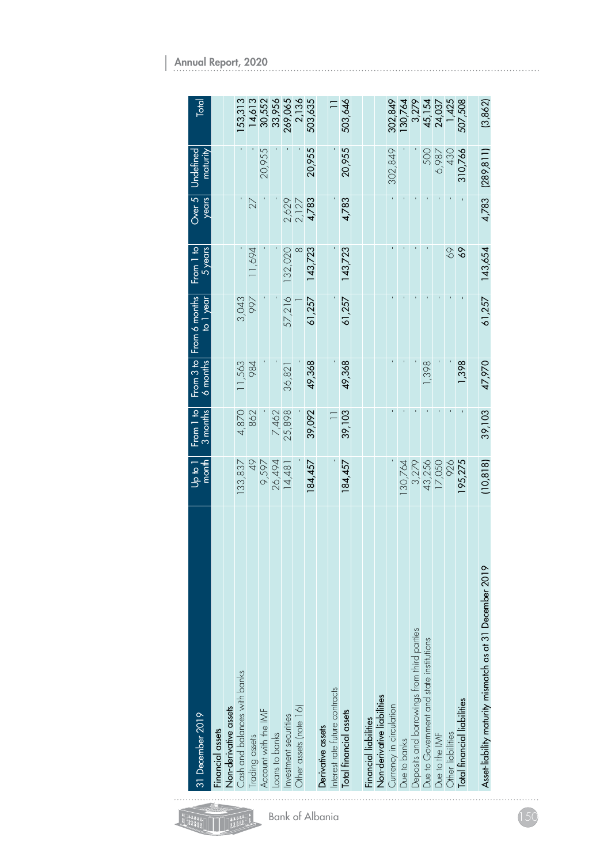|                                                          |               |                       |               |                                               |                      | Over 5         | Undefined  |                            |
|----------------------------------------------------------|---------------|-----------------------|---------------|-----------------------------------------------|----------------------|----------------|------------|----------------------------|
| 31 December 2019                                         | Up to 1       | From 1 to<br>3 months |               | From 3 to From 6 months<br>6 months to 1 year | From 1 to<br>5 years | years          | maturity   | Total                      |
| Financial assets                                         |               |                       |               |                                               |                      |                |            |                            |
| Non-derivative assets                                    |               |                       |               |                                               |                      |                |            |                            |
| Cash and balances with banks                             | 133,837       | 4,870<br>862          | 11,563<br>984 | 3,043                                         |                      |                |            | 153,313                    |
|                                                          | $\frac{4}{3}$ |                       |               | 766                                           | 11,694               | 27             |            |                            |
| Trading assets<br>Account with the IMF                   | 9,597         |                       |               |                                               |                      |                | 20,955     |                            |
| Loans to banks                                           | 26,494        | 7,462                 |               |                                               |                      |                |            | 14,613<br>30,552<br>33,956 |
| nvestment securities                                     | 14,481        | 25,898                | 36,821        | 57,216                                        | 132,020              |                |            | 269,065<br>2,136           |
| Other assets (note 16)                                   |               |                       |               |                                               | $\infty$             | 2,629<br>2,127 |            |                            |
|                                                          | 184,457       | 39,092                | 49,368        | 61,257                                        | 143,723              | 4,783          | 20,955     | 503,635                    |
| Derivative assets                                        |               |                       |               |                                               |                      |                |            |                            |
| nterest rate future contracts                            |               |                       |               |                                               |                      |                |            |                            |
| Total financial assets                                   | 184,457       | $\frac{11}{39,103}$   | 49,368        | 61,257                                        | 143,723              | 4,783          | 20,955     | 503,646                    |
|                                                          |               |                       |               |                                               |                      |                |            |                            |
| Financial liabilities                                    |               |                       |               |                                               |                      |                |            |                            |
| Non-derivative liabilities                               |               |                       |               |                                               |                      |                |            |                            |
|                                                          |               |                       |               |                                               |                      |                | 302,849    | 302,849                    |
| Currency in circulation<br>Due to banks                  | 30,764        |                       |               |                                               |                      |                |            | 130,764                    |
| Deposits and borrowings from third parties               | 3,279         |                       |               |                                               |                      |                |            | 3,279                      |
| Due to Government and state institutions                 | 43,256        |                       | 1,398         |                                               |                      |                | 500        |                            |
|                                                          | 17,050        |                       |               |                                               |                      |                | 6,987      | 45,154<br>24,037           |
| Due to the IMF<br>Other liabilities                      | 926           |                       |               |                                               | 69                   |                | 430        | 1,425                      |
| <b>Total financial liabilities</b>                       | 195,275       |                       | 1,398         |                                               | $\frac{6}{9}$        |                | 310,766    | 507,508                    |
|                                                          |               |                       |               |                                               |                      |                |            |                            |
| Asset-liability maturity mismatch as at 31 December 2019 | (10, 818)     | 39,103                | 47,970        | 61,257                                        | 143,654              | 4,783          | (289, 811) | (3,862)                    |
|                                                          |               |                       |               |                                               |                      |                |            |                            |

Bank of Albania 150

15 1-11111 |1556-6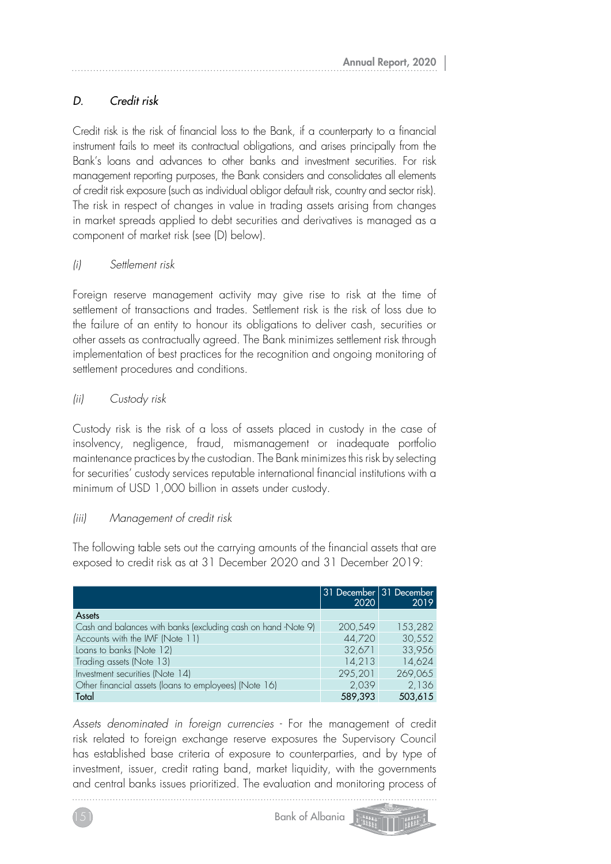# *D. Credit risk*

Credit risk is the risk of financial loss to the Bank, if a counterparty to a financial instrument fails to meet its contractual obligations, and arises principally from the Bank's loans and advances to other banks and investment securities. For risk management reporting purposes, the Bank considers and consolidates all elements of credit risk exposure (such as individual obligor default risk, country and sector risk). The risk in respect of changes in value in trading assets arising from changes in market spreads applied to debt securities and derivatives is managed as a component of market risk (see (D) below).

### *(i) Settlement risk*

Foreign reserve management activity may give rise to risk at the time of settlement of transactions and trades. Settlement risk is the risk of loss due to the failure of an entity to honour its obligations to deliver cash, securities or other assets as contractually agreed. The Bank minimizes settlement risk through implementation of best practices for the recognition and ongoing monitoring of settlement procedures and conditions.

## *(ii) Custody risk*

Custody risk is the risk of a loss of assets placed in custody in the case of insolvency, negligence, fraud, mismanagement or inadequate portfolio maintenance practices by the custodian. The Bank minimizes this risk by selecting for securities' custody services reputable international financial institutions with a minimum of USD 1,000 billion in assets under custody.

## *(iii) Management of credit risk*

The following table sets out the carrying amounts of the financial assets that are exposed to credit risk as at 31 December 2020 and 31 December 2019:

|                                                               | 31 December 31 December<br>2020 | 2019    |
|---------------------------------------------------------------|---------------------------------|---------|
| <b>Assets</b>                                                 |                                 |         |
| Cash and balances with banks (excluding cash on hand -Note 9) | 200,549                         | 153,282 |
| Accounts with the IMF (Note 11)                               | 44.720                          | 30,552  |
| Loans to banks (Note 12)                                      | 32,671                          | 33,956  |
| Trading assets (Note 13)                                      | 14.213                          | 14,624  |
| Investment securities (Note 14)                               | 295,201                         | 269,065 |
| Other financial assets (loans to employees) (Note 16)         | 2,039                           | 2,136   |
| Total                                                         | 589,393                         | 503,615 |

*Assets denominated in foreign currencies* - For the management of credit risk related to foreign exchange reserve exposures the Supervisory Council has established base criteria of exposure to counterparties, and by type of investment, issuer, credit rating band, market liquidity, with the governments and central banks issues prioritized. The evaluation and monitoring process of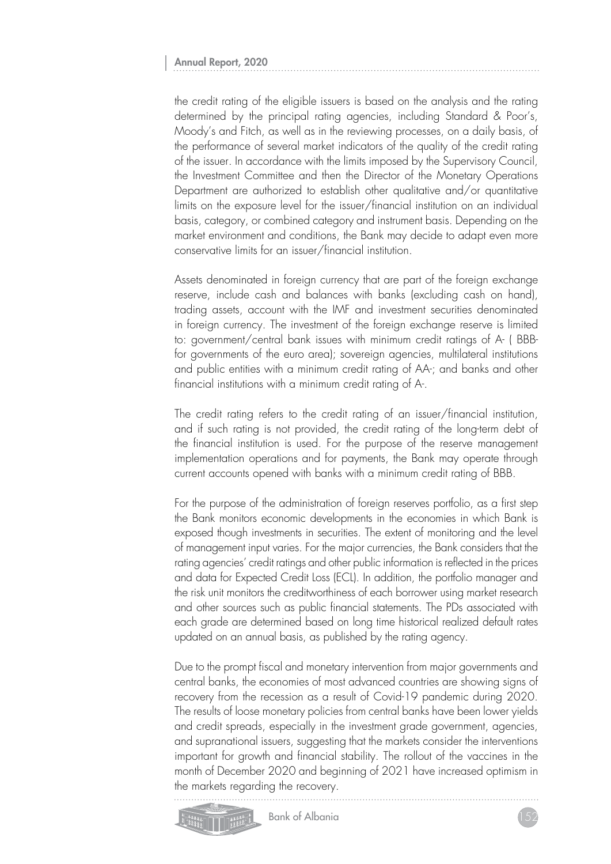the credit rating of the eligible issuers is based on the analysis and the rating determined by the principal rating agencies, including Standard & Poor's, Moody's and Fitch, as well as in the reviewing processes, on a daily basis, of the performance of several market indicators of the quality of the credit rating of the issuer. In accordance with the limits imposed by the Supervisory Council, the Investment Committee and then the Director of the Monetary Operations Department are authorized to establish other qualitative and/or quantitative limits on the exposure level for the issuer/financial institution on an individual basis, category, or combined category and instrument basis. Depending on the market environment and conditions, the Bank may decide to adapt even more conservative limits for an issuer/financial institution.

Assets denominated in foreign currency that are part of the foreign exchange reserve, include cash and balances with banks (excluding cash on hand), trading assets, account with the IMF and investment securities denominated in foreign currency. The investment of the foreign exchange reserve is limited to: government/central bank issues with minimum credit ratings of A- ( BBBfor governments of the euro area); sovereign agencies, multilateral institutions and public entities with a minimum credit rating of AA-; and banks and other financial institutions with a minimum credit rating of A-.

The credit rating refers to the credit rating of an issuer/financial institution, and if such rating is not provided, the credit rating of the long-term debt of the financial institution is used. For the purpose of the reserve management implementation operations and for payments, the Bank may operate through current accounts opened with banks with a minimum credit rating of BBB.

For the purpose of the administration of foreign reserves portfolio, as a first step the Bank monitors economic developments in the economies in which Bank is exposed though investments in securities. The extent of monitoring and the level of management input varies. For the major currencies, the Bank considers that the rating agencies' credit ratings and other public information is reflected in the prices and data for Expected Credit Loss (ECL). In addition, the portfolio manager and the risk unit monitors the creditworthiness of each borrower using market research and other sources such as public financial statements. The PDs associated with each grade are determined based on long time historical realized default rates updated on an annual basis, as published by the rating agency.

Due to the prompt fiscal and monetary intervention from major governments and central banks, the economies of most advanced countries are showing signs of recovery from the recession as a result of Covid-19 pandemic during 2020. The results of loose monetary policies from central banks have been lower yields and credit spreads, especially in the investment grade government, agencies, and supranational issuers, suggesting that the markets consider the interventions important for growth and financial stability. The rollout of the vaccines in the month of December 2020 and beginning of 2021 have increased optimism in the markets regarding the recovery.



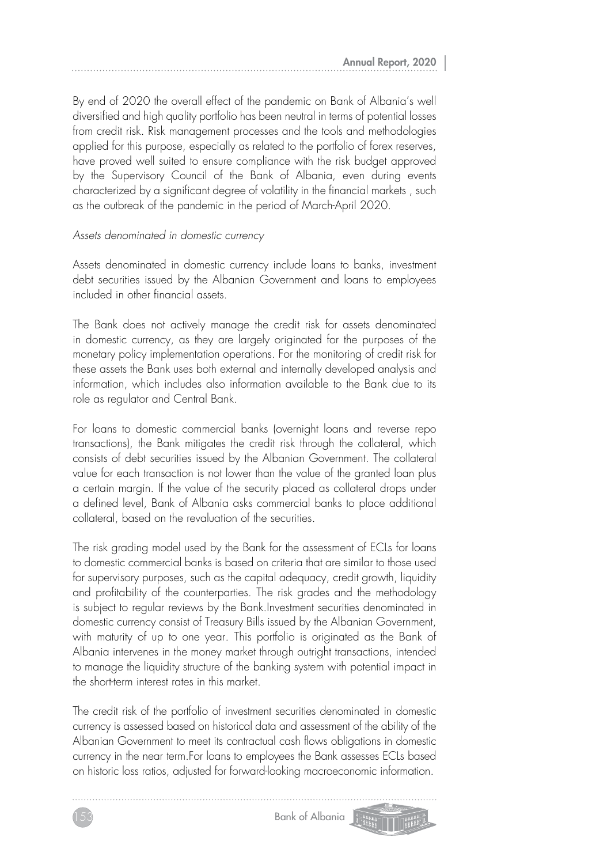By end of 2020 the overall effect of the pandemic on Bank of Albania's well diversified and high quality portfolio has been neutral in terms of potential losses from credit risk. Risk management processes and the tools and methodologies applied for this purpose, especially as related to the portfolio of forex reserves, have proved well suited to ensure compliance with the risk budget approved by the Supervisory Council of the Bank of Albania, even during events characterized by a significant degree of volatility in the financial markets , such as the outbreak of the pandemic in the period of March-April 2020.

### *Assets denominated in domestic currency*

Assets denominated in domestic currency include loans to banks, investment debt securities issued by the Albanian Government and loans to employees included in other financial assets.

The Bank does not actively manage the credit risk for assets denominated in domestic currency, as they are largely originated for the purposes of the monetary policy implementation operations. For the monitoring of credit risk for these assets the Bank uses both external and internally developed analysis and information, which includes also information available to the Bank due to its role as regulator and Central Bank.

For loans to domestic commercial banks (overnight loans and reverse repo transactions), the Bank mitigates the credit risk through the collateral, which consists of debt securities issued by the Albanian Government. The collateral value for each transaction is not lower than the value of the granted loan plus a certain margin. If the value of the security placed as collateral drops under a defined level, Bank of Albania asks commercial banks to place additional collateral, based on the revaluation of the securities.

The risk grading model used by the Bank for the assessment of ECLs for loans to domestic commercial banks is based on criteria that are similar to those used for supervisory purposes, such as the capital adequacy, credit growth, liquidity and profitability of the counterparties. The risk grades and the methodology is subject to regular reviews by the Bank.Investment securities denominated in domestic currency consist of Treasury Bills issued by the Albanian Government, with maturity of up to one year. This portfolio is originated as the Bank of Albania intervenes in the money market through outright transactions, intended to manage the liquidity structure of the banking system with potential impact in the short-term interest rates in this market.

The credit risk of the portfolio of investment securities denominated in domestic currency is assessed based on historical data and assessment of the ability of the Albanian Government to meet its contractual cash flows obligations in domestic currency in the near term.For loans to employees the Bank assesses ECLs based on historic loss ratios, adjusted for forward-looking macroeconomic information.

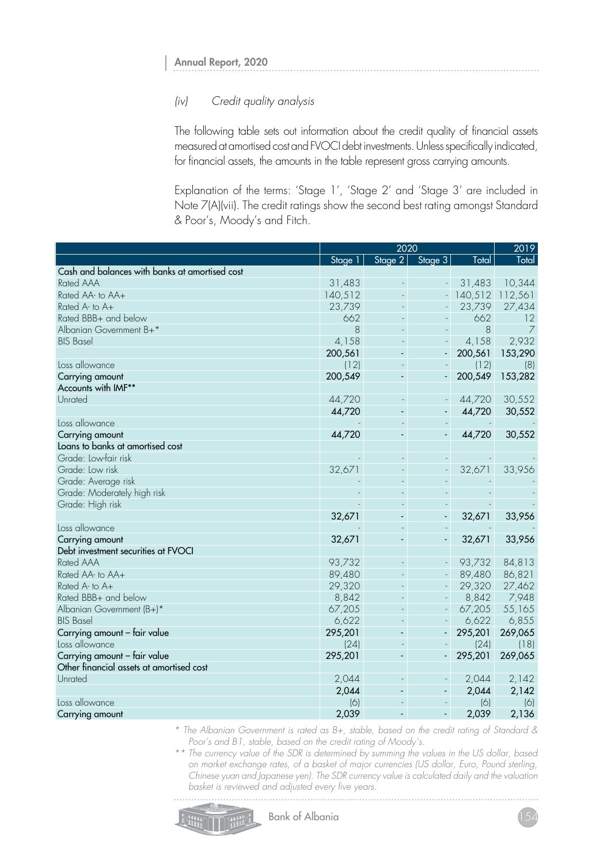#### *(iv) Credit quality analysis*

The following table sets out information about the credit quality of financial assets measured at amortised cost and FVOCI debt investments. Unless specifically indicated, for financial assets, the amounts in the table represent gross carrying amounts.

Explanation of the terms: 'Stage 1', 'Stage 2' and 'Stage 3' are included in Note 7(A)(vii). The credit ratings show the second best rating amongst Standard & Poor's, Moody's and Fitch.

|                                                | 2020    |         |                          |                    | 2019    |
|------------------------------------------------|---------|---------|--------------------------|--------------------|---------|
|                                                | Stage 1 | Stage 2 | Stage 3                  | Total              | Total   |
| Cash and balances with banks at amortised cost |         |         |                          |                    |         |
| Rated AAA                                      | 31,483  |         | $\mathbb{Z}^2$           | 31,483             | 10,344  |
| Rated AA- to AA+                               | 140,512 |         |                          | $-140,512$ 112,561 |         |
| Rated A- to $A+$                               | 23,739  |         |                          | 23,739             | 27,434  |
| Rated BBB+ and below                           | 662     |         |                          | 662                | 12      |
| Albanian Government B+*                        | 8       |         |                          | 8                  | 7       |
| <b>BIS Basel</b>                               | 4,158   |         |                          | 4,158              | 2,932   |
|                                                | 200,561 |         | $\overline{\phantom{a}}$ | 200,561            | 153,290 |
| Loss allowance                                 | (12)    |         |                          | (12)               | (8)     |
| Carrying amount                                | 200,549 |         |                          | 200,549            | 153,282 |
| Accounts with IMF**                            |         |         |                          |                    |         |
| Unrated                                        | 44,720  |         |                          | 44,720             | 30,552  |
|                                                | 44,720  |         | $\overline{\phantom{a}}$ | 44,720             | 30,552  |
| Loss allowance                                 |         |         |                          |                    |         |
| Carrying amount                                | 44,720  |         | $\blacksquare$           | 44,720             | 30,552  |
| Loans to banks at amortised cost               |         |         |                          |                    |         |
| Grade: Low-fair risk                           |         |         |                          |                    |         |
| Grade: Low risk                                | 32,671  |         |                          | 32,671             | 33,956  |
| Grade: Average risk                            |         |         |                          |                    |         |
| Grade: Moderately high risk                    |         |         |                          |                    |         |
| Grade: High risk                               |         |         |                          |                    |         |
|                                                | 32,671  |         | -                        | 32,671             | 33,956  |
| Loss allowance                                 |         |         |                          |                    |         |
| Carrying amount                                | 32,671  |         | $\blacksquare$           | 32,671             | 33,956  |
| Debt investment securities at FVOCI            |         |         |                          |                    |         |
| Rated AAA                                      | 93,732  |         | $\bar{\phantom{a}}$      | 93,732             | 84,813  |
| Rated AA- to AA+                               | 89,480  |         | $\sim$                   | 89,480             | 86,821  |
| Rated A- to A+                                 | 29,320  |         |                          | 29,320             | 27,462  |
| Rated BBB+ and below                           | 8,842   |         | $\overline{\phantom{a}}$ | 8,842              | 7,948   |
| Albanian Government (B+)*                      | 67,205  |         | $\overline{\phantom{a}}$ | 67,205             | 55,165  |
| <b>BIS Basel</b>                               | 6,622   |         |                          | 6,622              | 6,855   |
| Carrying amount - fair value                   | 295,201 |         | $\overline{\phantom{a}}$ | 295,201            | 269,065 |
| Loss allowance                                 | (24)    |         |                          | (24)               | (18)    |
| Carrying amount - fair value                   | 295,201 |         | $\blacksquare$           | 295,201            | 269,065 |
| Other financial assets at amortised cost       |         |         |                          |                    |         |
| Unrated                                        | 2,044   |         | $\overline{\phantom{a}}$ | 2,044              | 2,142   |
|                                                | 2,044   |         | $\blacksquare$           | 2,044              | 2,142   |
| Loss allowance                                 | (6)     |         |                          | (6)                | (6)     |
| Carrying amount                                | 2,039   | $\Box$  | $\Box$                   | 2,039              | 2,136   |

*\* The Albanian Government is rated as B+, stable, based on the credit rating of Standard & Poor's and B1, stable, based on the credit rating of Moody`s.* 

*\*\* The currency value of the SDR is determined by summing the values in the US dollar, based on market exchange rates, of a basket of major currencies (US dollar, Euro, Pound sterling, Chinese yuan and Japanese yen). The SDR currency value is calculated daily and the valuation basket is reviewed and adjusted every five years.*

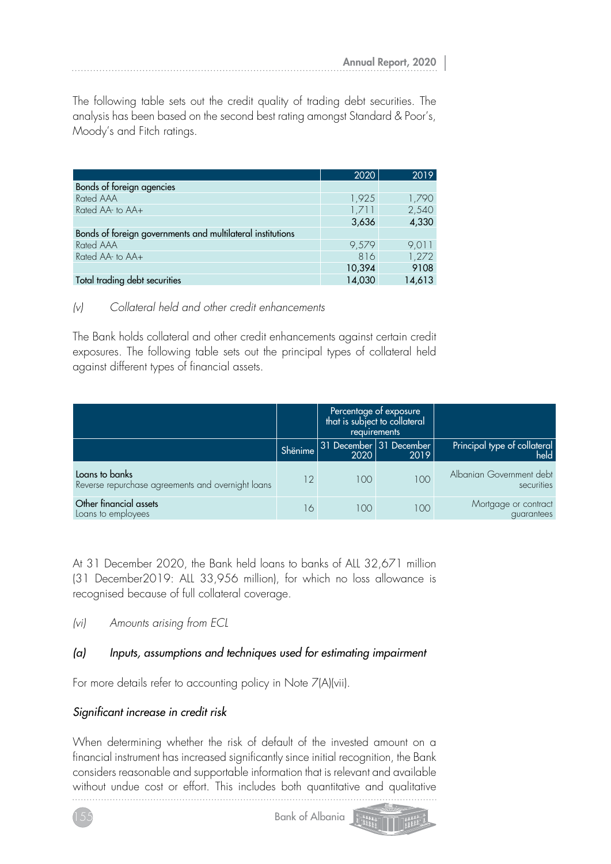|  | <b>Annual Report, 2020</b> |  |
|--|----------------------------|--|
|  |                            |  |

The following table sets out the credit quality of trading debt securities. The analysis has been based on the second best rating amongst Standard & Poor's, Moody's and Fitch ratings.

|                                                            | 2020   | 2019   |
|------------------------------------------------------------|--------|--------|
| Bonds of foreign agencies                                  |        |        |
| Rated AAA                                                  | 1,925  | 1,790  |
| Rated AA- to AA+                                           | 1,711  | 2,540  |
|                                                            | 3,636  | 4,330  |
| Bonds of foreign governments and multilateral institutions |        |        |
| Rated AAA                                                  | 9.579  | 9,011  |
| Rated AA- to AA+                                           | 816    | 1,272  |
|                                                            | 10,394 | 9108   |
| Total trading debt securities                              | 14,030 | 14,613 |

#### *(v) Collateral held and other credit enhancements*

The Bank holds collateral and other credit enhancements against certain credit exposures. The following table sets out the principal types of collateral held against different types of financial assets.

|                                                                     |         |     | Percentage of exposure<br>that is subject to collateral<br>requirements               |                                        |
|---------------------------------------------------------------------|---------|-----|---------------------------------------------------------------------------------------|----------------------------------------|
|                                                                     | Shënime |     | $\left  \begin{array}{c} 31 \text{ December} \\ 2020 \end{array} \right $ 31 December | Principal type of collateral<br>held   |
| Loans to banks<br>Reverse repurchase agreements and overnight loans | 12      | 100 | 100                                                                                   | Albanian Government debt<br>securities |
| Other financial assets<br>Loans to employees                        | 16      | 100 | 100                                                                                   | Mortgage or contract<br>guarantees     |

At 31 December 2020, the Bank held loans to banks of ALL 32,671 million (31 December2019: ALL 33,956 million), for which no loss allowance is recognised because of full collateral coverage.

*(vi) Amounts arising from ECL*

## *(a) Inputs, assumptions and techniques used for estimating impairment*

For more details refer to accounting policy in Note 7(A)(vii).

## *Significant increase in credit risk*

When determining whether the risk of default of the invested amount on a financial instrument has increased significantly since initial recognition, the Bank considers reasonable and supportable information that is relevant and available without undue cost or effort. This includes both quantitative and qualitative



 $\cdots$ 

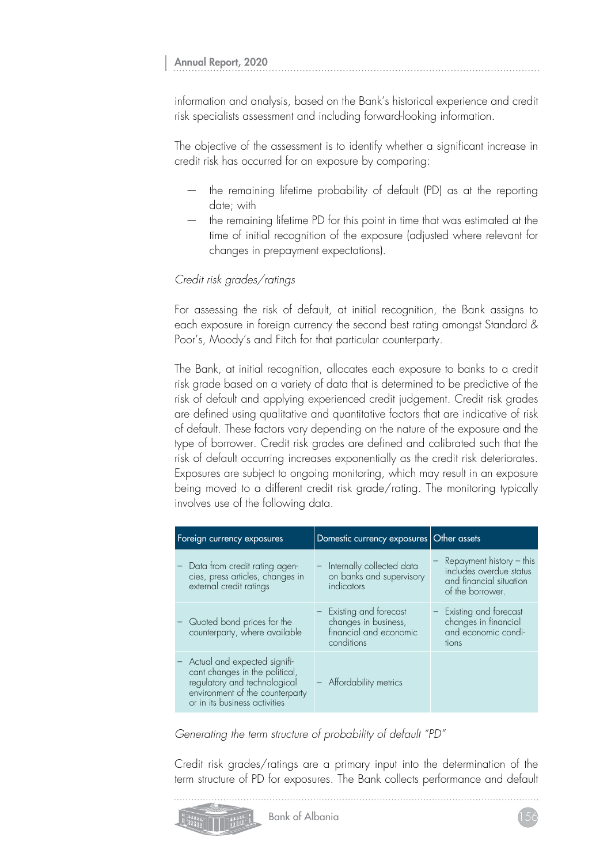information and analysis, based on the Bank's historical experience and credit risk specialists assessment and including forward-looking information.

The objective of the assessment is to identify whether a significant increase in credit risk has occurred for an exposure by comparing:

- the remaining lifetime probability of default (PD) as at the reporting date; with
- the remaining lifetime PD for this point in time that was estimated at the time of initial recognition of the exposure (adjusted where relevant for changes in prepayment expectations).

### *Credit risk grades/ratings*

For assessing the risk of default, at initial recognition, the Bank assigns to each exposure in foreign currency the second best rating amongst Standard & Poor's, Moody's and Fitch for that particular counterparty.

The Bank, at initial recognition, allocates each exposure to banks to a credit risk grade based on a variety of data that is determined to be predictive of the risk of default and applying experienced credit judgement. Credit risk grades are defined using qualitative and quantitative factors that are indicative of risk of default. These factors vary depending on the nature of the exposure and the type of borrower. Credit risk grades are defined and calibrated such that the risk of default occurring increases exponentially as the credit risk deteriorates. Exposures are subject to ongoing monitoring, which may result in an exposure being moved to a different credit risk grade/rating. The monitoring typically involves use of the following data.

| Foreign currency exposures                                                                                                                                         | Domestic currency exposures Other assets                                                |                                                                                                        |  |  |  |
|--------------------------------------------------------------------------------------------------------------------------------------------------------------------|-----------------------------------------------------------------------------------------|--------------------------------------------------------------------------------------------------------|--|--|--|
| Data from credit rating agen-<br>cies, press articles, changes in<br>external credit ratings                                                                       | - Internally collected data<br>on banks and supervisory<br>indicators                   | - Repayment history $-$ this<br>includes overdue status<br>and financial situation<br>of the borrower. |  |  |  |
| - Quoted bond prices for the<br>counterparty, where available                                                                                                      | - Existing and forecast<br>changes in business,<br>financial and economic<br>conditions | - Existing and forecast<br>changes in financial<br>and economic condi-<br>tions                        |  |  |  |
| Actual and expected signifi-<br>cant changes in the political,<br>regulatory and technological<br>environment of the counterparty<br>or in its business activities | - Affordability metrics                                                                 |                                                                                                        |  |  |  |

*Generating the term structure of probability of default "PD"*

Credit risk grades/ratings are a primary input into the determination of the term structure of PD for exposures. The Bank collects performance and default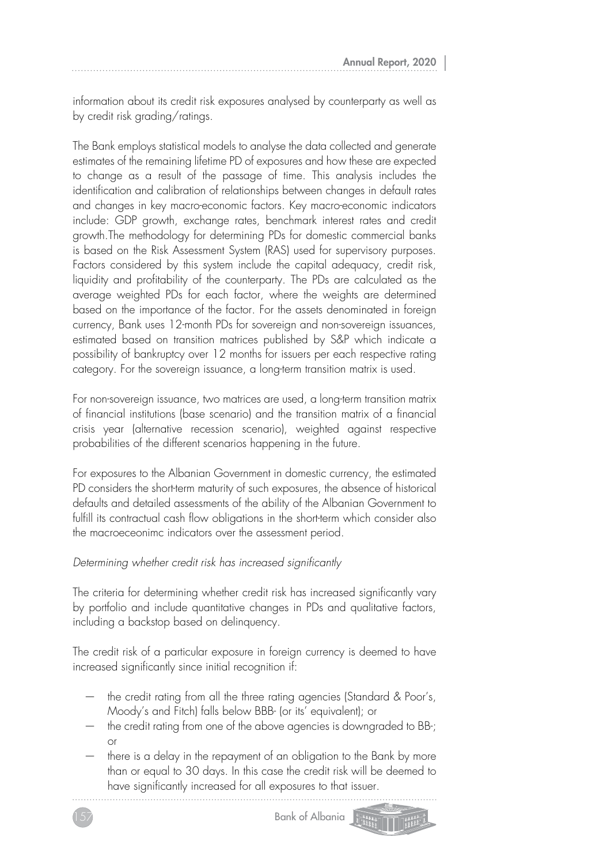information about its credit risk exposures analysed by counterparty as well as by credit risk grading/ratings.

The Bank employs statistical models to analyse the data collected and generate estimates of the remaining lifetime PD of exposures and how these are expected to change as a result of the passage of time. This analysis includes the identification and calibration of relationships between changes in default rates and changes in key macro-economic factors. Key macro-economic indicators include: GDP growth, exchange rates, benchmark interest rates and credit growth.The methodology for determining PDs for domestic commercial banks is based on the Risk Assessment System (RAS) used for supervisory purposes. Factors considered by this system include the capital adequacy, credit risk, liquidity and profitability of the counterparty. The PDs are calculated as the average weighted PDs for each factor, where the weights are determined based on the importance of the factor. For the assets denominated in foreign currency, Bank uses 12-month PDs for sovereign and non-sovereign issuances, estimated based on transition matrices published by S&P which indicate a possibility of bankruptcy over 12 months for issuers per each respective rating category. For the sovereign issuance, a long-term transition matrix is used.

For non-sovereign issuance, two matrices are used, a long-term transition matrix of financial institutions (base scenario) and the transition matrix of a financial crisis year (alternative recession scenario), weighted against respective probabilities of the different scenarios happening in the future.

For exposures to the Albanian Government in domestic currency, the estimated PD considers the short-term maturity of such exposures, the absence of historical defaults and detailed assessments of the ability of the Albanian Government to fulfill its contractual cash flow obligations in the short-term which consider also the macroeceonimc indicators over the assessment period.

### *Determining whether credit risk has increased significantly*

The criteria for determining whether credit risk has increased significantly vary by portfolio and include quantitative changes in PDs and qualitative factors, including a backstop based on delinquency.

The credit risk of a particular exposure in foreign currency is deemed to have increased significantly since initial recognition if:

- the credit rating from all the three rating agencies (Standard & Poor's, Moody's and Fitch) falls below BBB- (or its' equivalent); or
- the credit rating from one of the above agencies is downgraded to BB-;  $\bigcap$
- there is a delay in the repayment of an obligation to the Bank by more than or equal to 30 days. In this case the credit risk will be deemed to have significantly increased for all exposures to that issuer.

Bank of Albania



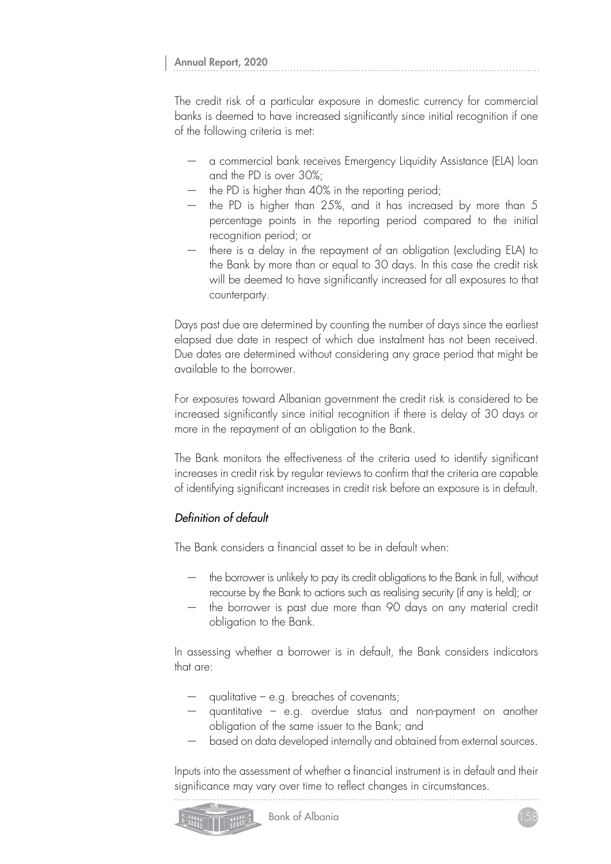The credit risk of a particular exposure in domestic currency for commercial banks is deemed to have increased significantly since initial recognition if one of the following criteria is met:

- a commercial bank receives Emergency Liquidity Assistance (ELA) loan and the PD is over 30%;
- the PD is higher than 40% in the reporting period;
- the PD is higher than 25%, and it has increased by more than 5 percentage points in the reporting period compared to the initial recognition period; or
- there is a delay in the repayment of an obligation (excluding ELA) to the Bank by more than or equal to 30 days. In this case the credit risk will be deemed to have significantly increased for all exposures to that counterparty.

Days past due are determined by counting the number of days since the earliest elapsed due date in respect of which due instalment has not been received. Due dates are determined without considering any grace period that might be available to the borrower.

For exposures toward Albanian government the credit risk is considered to be increased significantly since initial recognition if there is delay of 30 days or more in the repayment of an obligation to the Bank.

The Bank monitors the effectiveness of the criteria used to identify significant increases in credit risk by regular reviews to confirm that the criteria are capable of identifying significant increases in credit risk before an exposure is in default.

## *Definition of default*

The Bank considers a financial asset to be in default when:

- the borrower is unlikely to pay its credit obligations to the Bank in full, without recourse by the Bank to actions such as realising security (if any is held); or
- the borrower is past due more than 90 days on any material credit obligation to the Bank.

In assessing whether a borrower is in default, the Bank considers indicators that are:

- qualitative e.g. breaches of covenants;
- quantitative e.g. overdue status and non-payment on another obligation of the same issuer to the Bank; and
- based on data developed internally and obtained from external sources.

Inputs into the assessment of whether a financial instrument is in default and their significance may vary over time to reflect changes in circumstances.

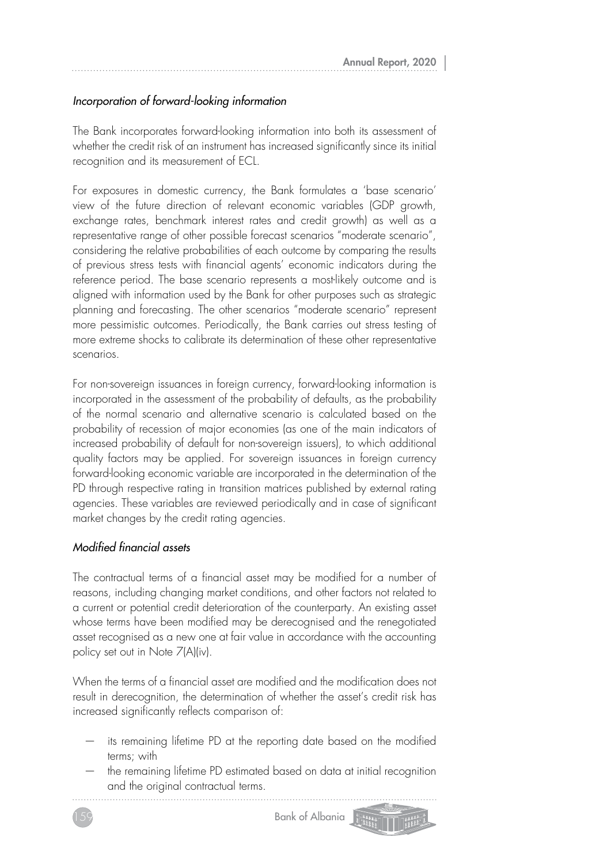## *Incorporation of forward-looking information*

The Bank incorporates forward-looking information into both its assessment of whether the credit risk of an instrument has increased significantly since its initial recognition and its measurement of ECL.

For exposures in domestic currency, the Bank formulates a 'base scenario' view of the future direction of relevant economic variables (GDP growth, exchange rates, benchmark interest rates and credit growth) as well as a representative range of other possible forecast scenarios "moderate scenario", considering the relative probabilities of each outcome by comparing the results of previous stress tests with financial agents' economic indicators during the reference period. The base scenario represents a most-likely outcome and is aligned with information used by the Bank for other purposes such as strategic planning and forecasting. The other scenarios "moderate scenario" represent more pessimistic outcomes. Periodically, the Bank carries out stress testing of more extreme shocks to calibrate its determination of these other representative scenarios.

For non-sovereign issuances in foreign currency, forward-looking information is incorporated in the assessment of the probability of defaults, as the probability of the normal scenario and alternative scenario is calculated based on the probability of recession of major economies (as one of the main indicators of increased probability of default for non-sovereign issuers), to which additional quality factors may be applied. For sovereign issuances in foreign currency forward-looking economic variable are incorporated in the determination of the PD through respective rating in transition matrices published by external rating agencies. These variables are reviewed periodically and in case of significant market changes by the credit rating agencies.

#### *Modified financial assets*

The contractual terms of a financial asset may be modified for a number of reasons, including changing market conditions, and other factors not related to a current or potential credit deterioration of the counterparty. An existing asset whose terms have been modified may be derecognised and the renegotiated asset recognised as a new one at fair value in accordance with the accounting policy set out in Note 7(A)(iv).

When the terms of a financial asset are modified and the modification does not result in derecognition, the determination of whether the asset's credit risk has increased significantly reflects comparison of:

- its remaining lifetime PD at the reporting date based on the modified terms; with
- the remaining lifetime PD estimated based on data at initial recognition and the original contractual terms.

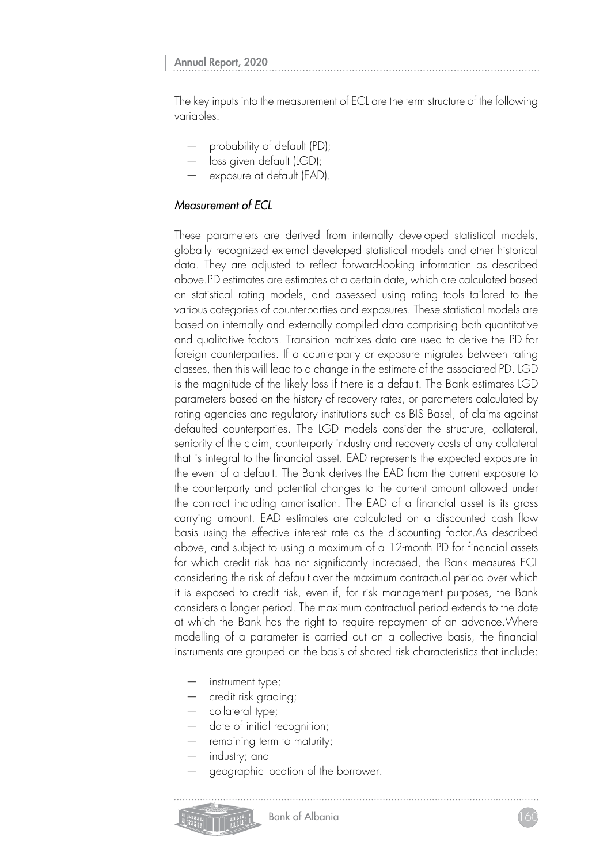The key inputs into the measurement of ECL are the term structure of the following variables:

- probability of default (PD);
- loss given default (LGD);
- exposure at default (EAD).

## *Measurement of ECL*

These parameters are derived from internally developed statistical models, globally recognized external developed statistical models and other historical data. They are adjusted to reflect forward-looking information as described above.PD estimates are estimates at a certain date, which are calculated based on statistical rating models, and assessed using rating tools tailored to the various categories of counterparties and exposures. These statistical models are based on internally and externally compiled data comprising both quantitative and qualitative factors. Transition matrixes data are used to derive the PD for foreign counterparties. If a counterparty or exposure migrates between rating classes, then this will lead to a change in the estimate of the associated PD. LGD is the magnitude of the likely loss if there is a default. The Bank estimates LGD parameters based on the history of recovery rates, or parameters calculated by rating agencies and regulatory institutions such as BIS Basel, of claims against defaulted counterparties. The LGD models consider the structure, collateral, seniority of the claim, counterparty industry and recovery costs of any collateral that is integral to the financial asset. EAD represents the expected exposure in the event of a default. The Bank derives the EAD from the current exposure to the counterparty and potential changes to the current amount allowed under the contract including amortisation. The EAD of a financial asset is its gross carrying amount. EAD estimates are calculated on a discounted cash flow basis using the effective interest rate as the discounting factor.As described above, and subject to using a maximum of a 12-month PD for financial assets for which credit risk has not significantly increased, the Bank measures ECL considering the risk of default over the maximum contractual period over which it is exposed to credit risk, even if, for risk management purposes, the Bank considers a longer period. The maximum contractual period extends to the date at which the Bank has the right to require repayment of an advance.Where modelling of a parameter is carried out on a collective basis, the financial instruments are grouped on the basis of shared risk characteristics that include:

- instrument type;
- credit risk grading;
- collateral type;
- date of initial recognition;
- remaining term to maturity;
- industry; and
- geographic location of the borrower.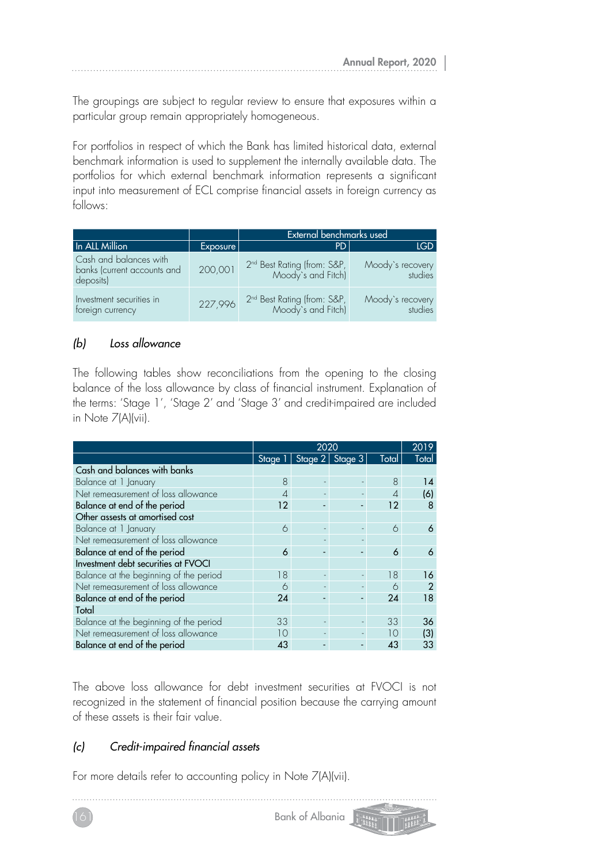The groupings are subject to regular review to ensure that exposures within a particular group remain appropriately homogeneous.

For portfolios in respect of which the Bank has limited historical data, external benchmark information is used to supplement the internally available data. The portfolios for which external benchmark information represents a significant input into measurement of ECL comprise financial assets in foreign currency as follows:

|                                                                    |          | External benchmarks used                                      |                             |  |  |  |
|--------------------------------------------------------------------|----------|---------------------------------------------------------------|-----------------------------|--|--|--|
| In ALL Million                                                     | Exposure | PD.                                                           | LGD                         |  |  |  |
| Cash and balances with<br>banks (current accounts and<br>deposits) | 200,001  | 2 <sup>nd</sup> Best Rating (from: S&P,<br>Moody's and Fitch) | Moody's recovery<br>studies |  |  |  |
| Investment securities in<br>foreign currency                       | 227,996  | 2 <sup>nd</sup> Best Rating (from: S&P,<br>Moody's and Fitch) | Moody's recovery<br>studies |  |  |  |

### *(b) Loss allowance*

The following tables show reconciliations from the opening to the closing balance of the loss allowance by class of financial instrument. Explanation of the terms: 'Stage 1', 'Stage 2' and 'Stage 3' and credit-impaired are included in Note 7(A)(vii).

|                                        |         | 2019                          |       |               |
|----------------------------------------|---------|-------------------------------|-------|---------------|
|                                        | Stage 1 | Stage $2 \mid$ Stage $3 \mid$ | Total | Total         |
| Cash and balances with banks           |         |                               |       |               |
| Balance at 1 January                   | 8       |                               | 8     | 14            |
| Net remeasurement of loss allowance    |         |                               | 4     | (6)           |
| Balance at end of the period           | 12      |                               | 12    | 8             |
| Other assests at amortised cost        |         |                               |       |               |
| Balance at 1 January                   | 6       |                               | 6     | 6             |
| Net remeasurement of loss allowance    |         |                               |       |               |
| Balance at end of the period           | 6       |                               | 6     | 6             |
| Investment debt securities at FVOCI    |         |                               |       |               |
| Balance at the beginning of the period | 18      |                               | 18    | 16            |
| Net remeasurement of loss allowance    | 6       |                               | 6     | $\mathcal{P}$ |
| Balance at end of the period           | 24      |                               | 24    | 18            |
| Total                                  |         |                               |       |               |
| Balance at the beginning of the period | 33      |                               | 33    | 36            |
| Net remeasurement of loss allowance    | 10      |                               | 10    | (3)           |
| Balance at end of the period           | 43      |                               | 43    | 33            |

The above loss allowance for debt investment securities at FVOCI is not recognized in the statement of financial position because the carrying amount of these assets is their fair value.

### *(c) Credit-impaired financial assets*

For more details refer to accounting policy in Note 7(A)(vii).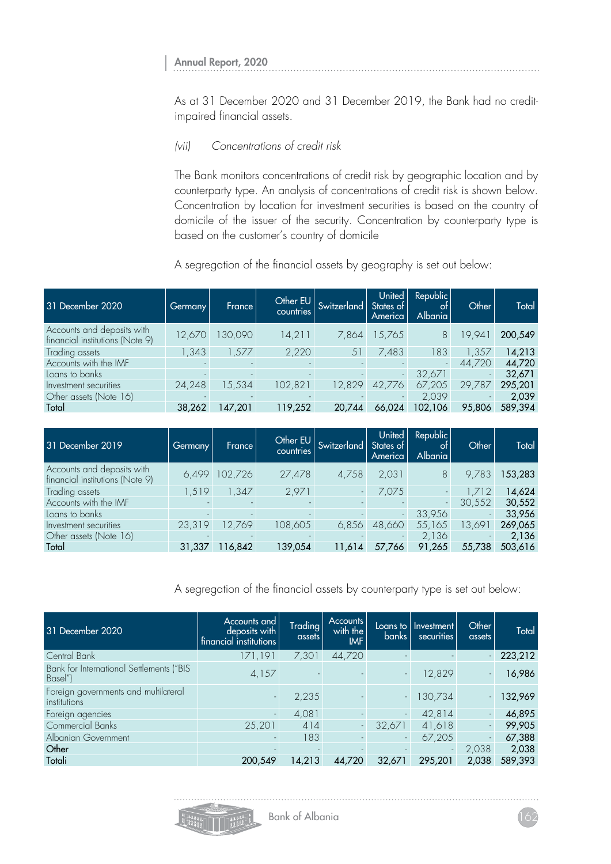As at 31 December 2020 and 31 December 2019, the Bank had no creditimpaired financial assets.

#### *(vii) Concentrations of credit risk*

The Bank monitors concentrations of credit risk by geographic location and by counterparty type. An analysis of concentrations of credit risk is shown below. Concentration by location for investment securities is based on the country of domicile of the issuer of the security. Concentration by counterparty type is based on the customer's country of domicile

A segregation of the financial assets by geography is set out below:

| 31 December 2020                                              | <b>Germany</b> | France  | Other $EU$<br>countries | Switzerland   States of | United<br>America | Republic<br>ot<br>Albania | Other          | Total   |
|---------------------------------------------------------------|----------------|---------|-------------------------|-------------------------|-------------------|---------------------------|----------------|---------|
| Accounts and deposits with<br>financial institutions (Note 9) | 12.670         | 130.090 | 14,211                  | 7,864                   | 15,765            | 8                         | 19.941         | 200,549 |
| Trading assets                                                | 1,343          | 1,577   | 2,220                   |                         | 7,483             | 183                       | 1,357          | 14,213  |
| Accounts with the IMF                                         |                |         |                         |                         |                   |                           | 44.720         | 44,720  |
| Loans to banks                                                |                |         |                         |                         | н.                | 32.671                    | $\overline{a}$ | 32,671  |
| Investment securities                                         | 24,248         | 15,534  | 102,821                 | 12.829                  | 42.776            | 67,205                    | 29,787         | 295,201 |
| Other assets (Note 16)                                        |                |         |                         |                         |                   | 2,039                     |                | 2,039   |
| Total                                                         | 38.262         | 147.201 | 119,252                 | 20.744                  | 66.024            | 102,106                   | 95.806         | 589.394 |

| 31 December 2019                                              | <b>Germany</b> | France  | Other EU<br>countries | Switzerland | United<br>States of<br>America | Republic<br>of<br>Albania | Other  | Total   |
|---------------------------------------------------------------|----------------|---------|-----------------------|-------------|--------------------------------|---------------------------|--------|---------|
| Accounts and deposits with<br>financial institutions (Note 9) | 6.499          | 102.726 | 27,478                | 4,758       | 2,031                          | 8                         | 9.783  | 153,283 |
| Trading assets                                                | 1.519          | 1,347   | 2,971                 |             | 7,075                          |                           | 1.712  | 14,624  |
| Accounts with the IMF                                         |                |         |                       |             |                                | $\overline{\phantom{a}}$  | 30,552 | 30,552  |
| Loans to banks                                                |                |         |                       |             | $\overline{\phantom{a}}$       | 33.956                    |        | 33,956  |
| Investment securities                                         | 23,319         | 12.769  | 108,605               | 6,856       | 48,660                         | 55,165                    | 13,691 | 269,065 |
| Other assets (Note 16)                                        |                |         |                       |             |                                | 2,136                     |        | 2,136   |
| Total                                                         | 31,337         | 116,842 | 139,054               | 11,614      | 57,766                         | 91,265                    | 55,738 | 503,616 |

A segregation of the financial assets by counterparty type is set out below:

| 31 December 2020                                     | Accounts and<br>deposits with $ $<br>financial institutions | <b>Trading</b><br>assets | Accounts<br>with the<br><b>IMF</b> | Loans to<br>banks | Investment<br>securities | Other<br>assets          | Total   |
|------------------------------------------------------|-------------------------------------------------------------|--------------------------|------------------------------------|-------------------|--------------------------|--------------------------|---------|
| Central Bank                                         | 171, 191                                                    | 7,301                    | 44,720                             |                   |                          | $\overline{\phantom{a}}$ | 223,212 |
| Bank for International Settlements ("BIS<br>Basel")  | 4,157                                                       |                          |                                    | ÷                 | 12,829                   | $\overline{\phantom{a}}$ | 16,986  |
| Foreign governments and multilateral<br>institutions |                                                             | 2,235                    |                                    |                   | $-130,734$               | $\overline{\phantom{a}}$ | 132,969 |
| Foreign agencies                                     | $\sim$                                                      | 4,081                    |                                    | $\sim$ .          | 42,814                   | $\blacksquare$           | 46,895  |
| <b>Commercial Banks</b>                              | 25,201                                                      | 414                      |                                    | 32,671            | 41,618                   | $\mathbb{L}^+$           | 99,905  |
| Albanian Government                                  |                                                             | 183                      |                                    | $\sim$            | 67.205                   | $\overline{\phantom{a}}$ | 67,388  |
| Other                                                |                                                             |                          |                                    |                   |                          | 2.038                    | 2,038   |
| Totali                                               | 200,549                                                     | 14,213                   | 44.720                             | 32,671            | 295,201                  | 2.038                    | 589,393 |

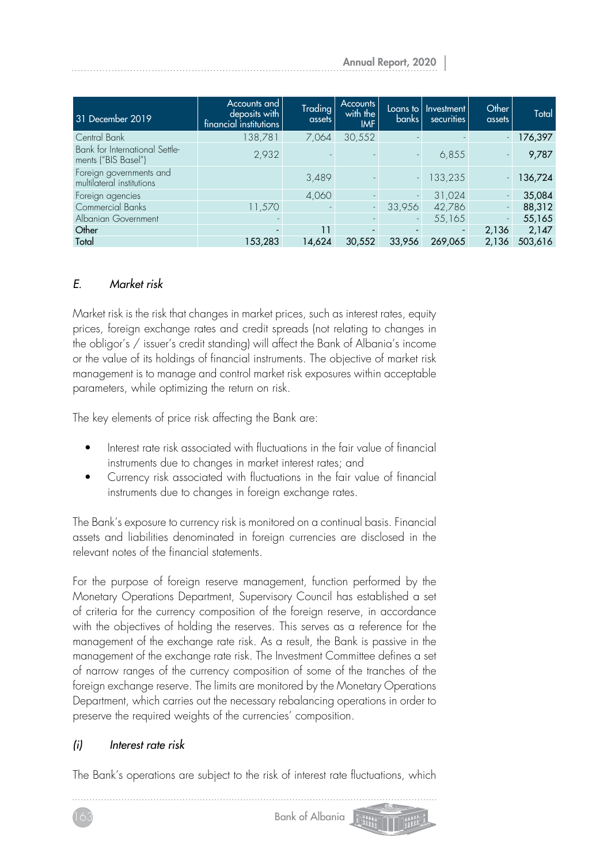| 31 December 2019                                      | Accounts and<br>deposits with<br>financial institutions | <b>Trading</b><br>assets | Accounts<br>with the<br><b>IMF</b> | Loans to<br><b>banks</b> | Investment<br>securities | Other<br>assets          | Total   |
|-------------------------------------------------------|---------------------------------------------------------|--------------------------|------------------------------------|--------------------------|--------------------------|--------------------------|---------|
| Central Bank                                          | 138,781                                                 | 7,064                    | 30,552                             |                          |                          | $\overline{\phantom{a}}$ | 176,397 |
| Bank for International Settle-<br>ments ("BIS Basel") | 2,932                                                   |                          |                                    | ۰                        | 6,855                    | $\overline{\phantom{a}}$ | 9,787   |
| Foreign governments and<br>multilateral institutions  |                                                         | 3,489                    |                                    | н,                       | 133,235                  | $\Box$                   | 136,724 |
| Foreign agencies                                      |                                                         | 4,060                    |                                    | $\sim$                   | 31,024                   | $\overline{\phantom{a}}$ | 35,084  |
| <b>Commercial Banks</b>                               | 11,570                                                  |                          | $\sim$                             | 33,956                   | 42,786                   | $\omega$                 | 88,312  |
| Albanian Government                                   |                                                         |                          |                                    | $\sim$                   | 55,165                   | $\blacksquare$           | 55,165  |
| Other                                                 |                                                         | 11                       |                                    | $\overline{\phantom{a}}$ | $\overline{\phantom{a}}$ | 2,136                    | 2,147   |
| Total                                                 | 153,283                                                 | 14.624                   | 30,552                             | 33,956                   | 269.065                  | 2.136                    | 503,616 |

## *E. Market risk*

Market risk is the risk that changes in market prices, such as interest rates, equity prices, foreign exchange rates and credit spreads (not relating to changes in the obligor's / issuer's credit standing) will affect the Bank of Albania's income or the value of its holdings of financial instruments. The objective of market risk management is to manage and control market risk exposures within acceptable parameters, while optimizing the return on risk.

The key elements of price risk affecting the Bank are:

- Interest rate risk associated with fluctuations in the fair value of financial instruments due to changes in market interest rates; and
- Currency risk associated with fluctuations in the fair value of financial instruments due to changes in foreign exchange rates.

The Bank's exposure to currency risk is monitored on a continual basis. Financial assets and liabilities denominated in foreign currencies are disclosed in the relevant notes of the financial statements.

For the purpose of foreign reserve management, function performed by the Monetary Operations Department, Supervisory Council has established a set of criteria for the currency composition of the foreign reserve, in accordance with the objectives of holding the reserves. This serves as a reference for the management of the exchange rate risk. As a result, the Bank is passive in the management of the exchange rate risk. The Investment Committee defines a set of narrow ranges of the currency composition of some of the tranches of the foreign exchange reserve. The limits are monitored by the Monetary Operations Department, which carries out the necessary rebalancing operations in order to preserve the required weights of the currencies' composition.

### *(i) Interest rate risk*

The Bank's operations are subject to the risk of interest rate fluctuations, which

Bank of Albania

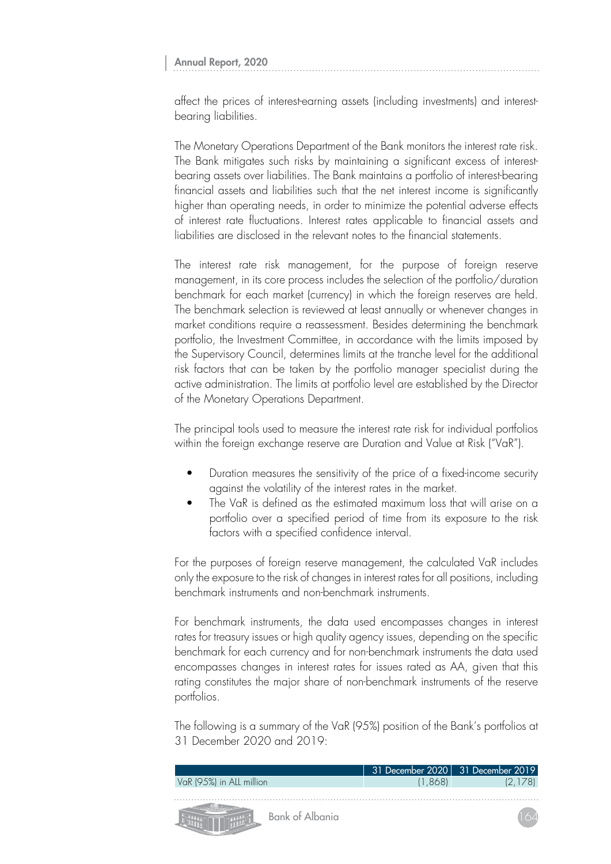affect the prices of interest-earning assets (including investments) and interestbearing liabilities.

The Monetary Operations Department of the Bank monitors the interest rate risk. The Bank mitigates such risks by maintaining a significant excess of interestbearing assets over liabilities. The Bank maintains a portfolio of interest-bearing financial assets and liabilities such that the net interest income is significantly higher than operating needs, in order to minimize the potential adverse effects of interest rate fluctuations. Interest rates applicable to financial assets and liabilities are disclosed in the relevant notes to the financial statements.

The interest rate risk management, for the purpose of foreign reserve management, in its core process includes the selection of the portfolio/duration benchmark for each market (currency) in which the foreign reserves are held. The benchmark selection is reviewed at least annually or whenever changes in market conditions require a reassessment. Besides determining the benchmark portfolio, the Investment Committee, in accordance with the limits imposed by the Supervisory Council, determines limits at the tranche level for the additional risk factors that can be taken by the portfolio manager specialist during the active administration. The limits at portfolio level are established by the Director of the Monetary Operations Department.

The principal tools used to measure the interest rate risk for individual portfolios within the foreign exchange reserve are Duration and Value at Risk ("VaR").

- Duration measures the sensitivity of the price of a fixed-income security against the volatility of the interest rates in the market.
- The VaR is defined as the estimated maximum loss that will arise on a portfolio over a specified period of time from its exposure to the risk factors with a specified confidence interval.

For the purposes of foreign reserve management, the calculated VaR includes only the exposure to the risk of changes in interest rates for all positions, including benchmark instruments and non-benchmark instruments.

For benchmark instruments, the data used encompasses changes in interest rates for treasury issues or high quality agency issues, depending on the specific benchmark for each currency and for non-benchmark instruments the data used encompasses changes in interest rates for issues rated as AA, given that this rating constitutes the major share of non-benchmark instruments of the reserve portfolios.

The following is a summary of the VaR (95%) position of the Bank's portfolios at 31 December 2020 and 2019:

|                          |         | 31 December 2020 31 December 2019 |
|--------------------------|---------|-----------------------------------|
| VaR (95%) in ALL million | (1.868) | (2.178)                           |
|                          |         |                                   |
|                          |         |                                   |

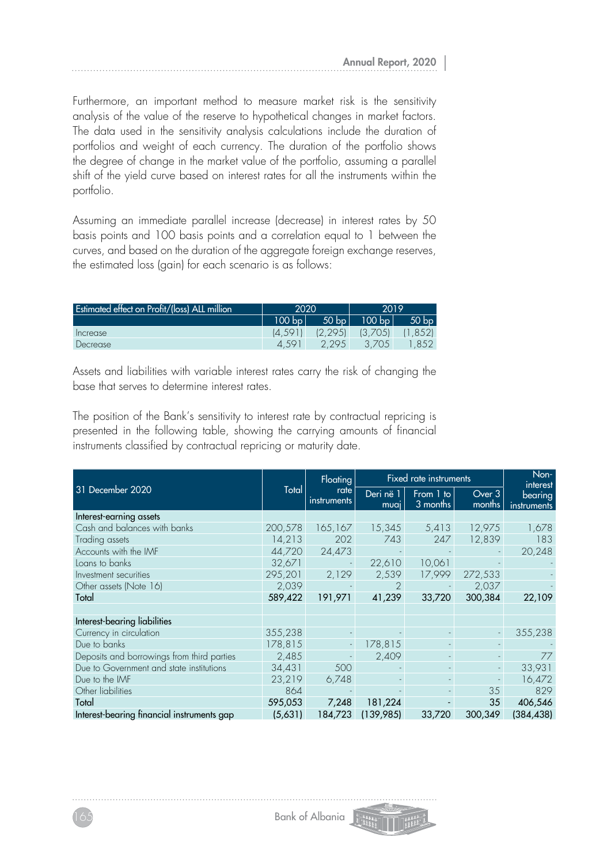Furthermore, an important method to measure market risk is the sensitivity analysis of the value of the reserve to hypothetical changes in market factors. The data used in the sensitivity analysis calculations include the duration of portfolios and weight of each currency. The duration of the portfolio shows the degree of change in the market value of the portfolio, assuming a parallel shift of the yield curve based on interest rates for all the instruments within the portfolio.

Assuming an immediate parallel increase (decrease) in interest rates by 50 basis points and 100 basis points and a correlation equal to 1 between the curves, and based on the duration of the aggregate foreign exchange reserves, the estimated loss (gain) for each scenario is as follows:

| <b>Estimated effect on Profit/(loss) ALL million</b> | 2020              |           | 2019     |                  |
|------------------------------------------------------|-------------------|-----------|----------|------------------|
|                                                      | 100 <sub>ba</sub> | $50 b$ p  | $100$ bp | 50 <sub>bp</sub> |
| Increase                                             | (4.591)           | (2, 29.5) | (3.705)  | 1.8521           |
| Decrease                                             | 4.591             | 2.295     | 3.705    | $-8.52$          |

Assets and liabilities with variable interest rates carry the risk of changing the base that serves to determine interest rates.

The position of the Bank's sensitivity to interest rate by contractual repricing is presented in the following table, showing the carrying amounts of financial instruments classified by contractual repricing or maturity date.

|                                            |         | Floating            | <b>Fixed rate instruments</b> |                       |                  | Non-<br>interest              |
|--------------------------------------------|---------|---------------------|-------------------------------|-----------------------|------------------|-------------------------------|
| 31 December 2020                           | Total   | rate<br>instruments | Deri në 1<br>muai             | From 1 to<br>3 months | Over 3<br>months | bearing<br><i>instruments</i> |
| Interest-earning assets                    |         |                     |                               |                       |                  |                               |
| Cash and balances with banks               | 200,578 | 165, 167            | 15,345                        | 5,413                 | 12,975           | 1,678                         |
| Trading assets                             | 14,213  | 202                 | 743                           | 247                   | 12,839           | 183                           |
| Accounts with the IMF                      | 44,720  | 24,473              |                               |                       |                  | 20,248                        |
| Loans to banks                             | 32,671  |                     | 22,610                        | 10,061                |                  |                               |
| Investment securities                      | 295,201 | 2,129               | 2,539                         | 17,999                | 272,533          |                               |
| Other assets (Note 16)                     | 2,039   |                     | $\mathcal{P}$                 |                       | 2,037            |                               |
| Total                                      | 589,422 | 191,971             | 41,239                        | 33,720                | 300,384          | 22,109                        |
|                                            |         |                     |                               |                       |                  |                               |
| Interest-bearing liabilities               |         |                     |                               |                       |                  |                               |
| Currency in circulation                    | 355,238 |                     |                               |                       |                  | 355,238                       |
| Due to banks                               | 178,815 | $\sim$              | 178,815                       |                       |                  |                               |
| Deposits and borrowings from third parties | 2,485   |                     | 2,409                         |                       |                  | 77                            |
| Due to Government and state institutions   | 34,431  | 500                 |                               |                       |                  | 33,931                        |
| Due to the IMF                             | 23,219  | 6,748               |                               |                       |                  | 16,472                        |
| Other liabilities                          | 864     |                     |                               |                       | 35               | 829                           |
| Total                                      | 595,053 | 7,248               | 181,224                       |                       | 35               | 406,546                       |
| Interest-bearing financial instruments gap | (5,631) | 184,723             | (139,985)                     | 33,720                | 300,349          | (384, 438)                    |

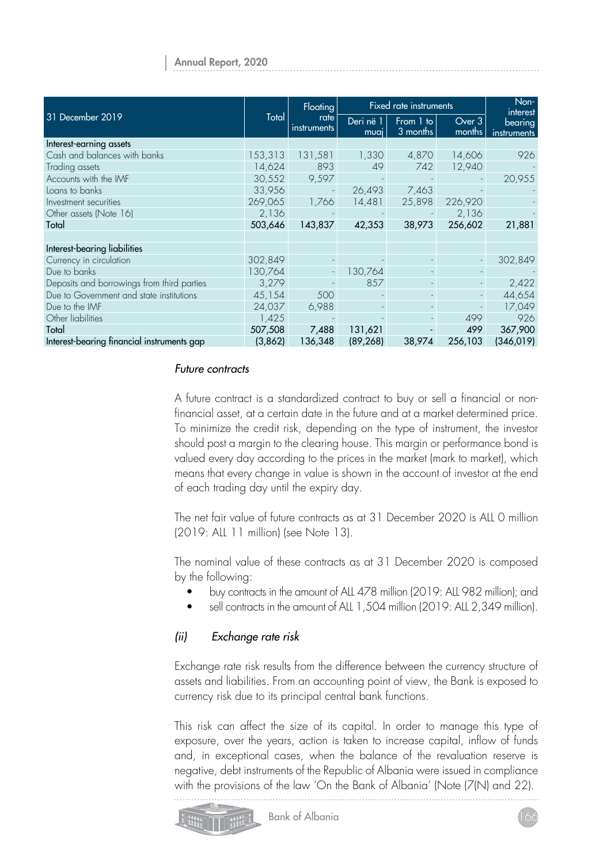|                                            | Fixed rate instruments<br>Floating |                     |                   | Non-<br>interest          |                  |                        |
|--------------------------------------------|------------------------------------|---------------------|-------------------|---------------------------|------------------|------------------------|
| 31 December 2019                           | Total                              | rate<br>instruments | Deri në 1<br>muai | From $1$ to<br>$3$ months | Over 3<br>months | bearing<br>instruments |
| Interest-earning assets                    |                                    |                     |                   |                           |                  |                        |
| Cash and balances with banks               | 153,313                            | 131,581             | 1,330             | 4,870                     | 14,606           | 926                    |
| Trading assets                             | 14,624                             | 893                 | 49                | 742                       | 12,940           |                        |
| Accounts with the IMF                      | 30,552                             | 9,597               |                   |                           |                  | 20,955                 |
| Loans to banks                             | 33,956                             |                     | 26,493            | 7,463                     |                  |                        |
| Investment securities                      | 269,065                            | 1,766               | 14,481            | 25,898                    | 226,920          |                        |
| Other assets (Note 16)                     | 2,136                              |                     |                   |                           | 2,136            |                        |
| Total                                      | 503,646                            | 143,837             | 42,353            | 38,973                    | 256,602          | 21,881                 |
|                                            |                                    |                     |                   |                           |                  |                        |
| Interest-bearing liabilities               |                                    |                     |                   |                           |                  |                        |
| Currency in circulation                    | 302,849                            |                     |                   |                           |                  | 302,849                |
| Due to banks                               | 130,764                            |                     | 130,764           |                           |                  |                        |
| Deposits and borrowings from third parties | 3,279                              |                     | 857               |                           |                  | 2,422                  |
| Due to Government and state institutions   | 45,154                             | 500                 |                   |                           |                  | 44,654                 |
| Due to the IMF                             | 24,037                             | 6,988               |                   |                           |                  | 17,049                 |
| Other liabilities                          | 1,425                              |                     |                   |                           | 499              | 926                    |
| Total                                      | 507,508                            | 7,488               | 131,621           |                           | 499              | 367,900                |
| Interest-bearing financial instruments gap | (3,862)                            | 136,348             | (89, 268)         | 38,974                    | 256,103          | (346, 019)             |

#### *Future contracts*

A future contract is a standardized contract to buy or sell a financial or nonfinancial asset, at a certain date in the future and at a market determined price. To minimize the credit risk, depending on the type of instrument, the investor should post a margin to the clearing house. This margin or performance bond is valued every day according to the prices in the market (mark to market), which means that every change in value is shown in the account of investor at the end of each trading day until the expiry day.

The net fair value of future contracts as at 31 December 2020 is ALL 0 million (2019: ALL 11 million) (see Note 13).

The nominal value of these contracts as at 31 December 2020 is composed by the following:

- buy contracts in the amount of ALL 478 million (2019: ALL 982 million); and
- sell contracts in the amount of ALL 1,504 million (2019: ALL 2,349 million).

# *(ii) Exchange rate risk*

Exchange rate risk results from the difference between the currency structure of assets and liabilities. From an accounting point of view, the Bank is exposed to currency risk due to its principal central bank functions.

This risk can affect the size of its capital. In order to manage this type of exposure, over the years, action is taken to increase capital, inflow of funds and, in exceptional cases, when the balance of the revaluation reserve is negative, debt instruments of the Republic of Albania were issued in compliance with the provisions of the law 'On the Bank of Albania' (Note (7(N) and 22).

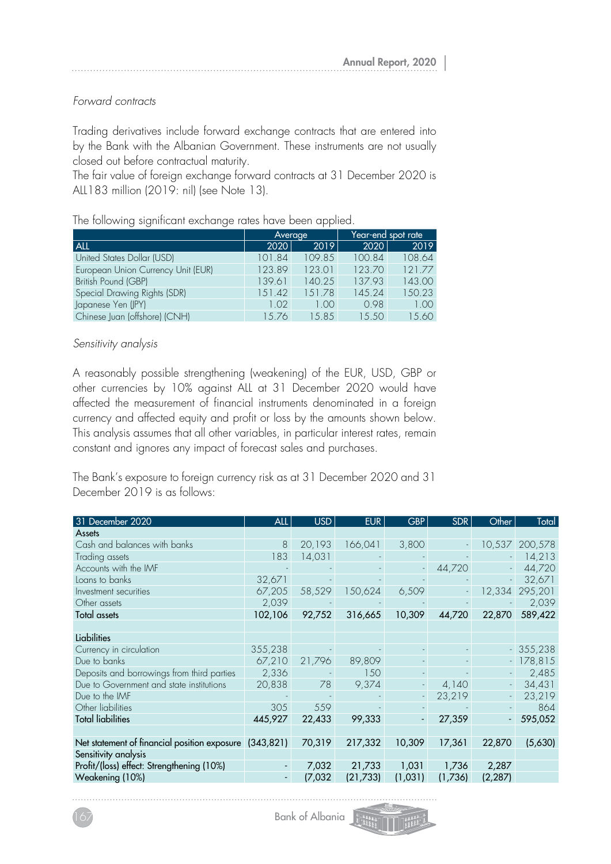## *Forward contracts*

Trading derivatives include forward exchange contracts that are entered into by the Bank with the Albanian Government. These instruments are not usually closed out before contractual maturity.

The fair value of foreign exchange forward contracts at 31 December 2020 is ALL183 million (2019: nil) (see Note 13).

The following significant exchange rates have been applied.

|                                    | Average           |        | Year-end spot rate |        |  |  |
|------------------------------------|-------------------|--------|--------------------|--------|--|--|
| <b>ALL</b>                         | 2020              | 2019   | 2020               | 2019   |  |  |
| United States Dollar (USD)         | 101.84            | 109.85 | 100.84             | 108.64 |  |  |
| European Union Currency Unit (EUR) | 123.89            | 123.01 | 123.70             | 12177  |  |  |
| British Pound (GBP)                | 139.61            | 140.25 | 137.93             | 143.00 |  |  |
| Special Drawing Rights (SDR)       | 151.42            | 151.78 | 145.24             | 150.23 |  |  |
| Japanese Yen (JPY)                 | 1.02 <sub>1</sub> | 1.00   | 0.98               | 1.00   |  |  |
| Chinese Juan (offshore) (CNH)      | 15.76             | 15.85  | 15.50              | 15.60  |  |  |

#### *Sensitivity analysis*

A reasonably possible strengthening (weakening) of the EUR, USD, GBP or other currencies by 10% against ALL at 31 December 2020 would have affected the measurement of financial instruments denominated in a foreign currency and affected equity and profit or loss by the amounts shown below. This analysis assumes that all other variables, in particular interest rates, remain constant and ignores any impact of forecast sales and purchases.

The Bank's exposure to foreign currency risk as at 31 December 2020 and 31 December 2019 is as follows:

| 31 December 2020                                       | <b>ALL</b> | <b>USD</b> | <b>EUR</b> | <b>GBP</b>     | SDR     | Other                       | Total          |
|--------------------------------------------------------|------------|------------|------------|----------------|---------|-----------------------------|----------------|
| Assets                                                 |            |            |            |                |         |                             |                |
| Cash and balances with banks                           | 8          | 20,193     | 166,041    | 3,800          |         |                             | 10,537 200,578 |
| Trading assets                                         | 183        | 14,031     |            |                |         |                             | 14,213         |
| Accounts with the IMF                                  |            |            |            |                | 44,720  |                             | 44,720         |
| Loans to banks                                         | 32,671     |            |            |                |         |                             | 32,671         |
| Investment securities                                  | 67,205     | 58,529     | 150,624    | 6,509          |         |                             | 12,334 295,201 |
| Other assets                                           | 2,039      |            |            |                |         |                             | 2,039          |
| Total assets                                           | 102,106    | 92,752     | 316,665    | 10,309         | 44,720  | 22,870                      | 589,422        |
|                                                        |            |            |            |                |         |                             |                |
| Liabilities                                            |            |            |            |                |         |                             |                |
| Currency in circulation                                | 355,238    |            |            |                |         | ÷,                          | 355,238        |
| Due to banks                                           | 67,210     | 21,796     | 89,809     |                |         | $\mathcal{L}_{\mathcal{A}}$ | 178,815        |
| Deposits and borrowings from third parties             | 2,336      |            | 150        |                |         |                             | 2,485          |
| Due to Government and state institutions               | 20,838     | 78         | 9,374      |                | 4,140   |                             | 34,431         |
| Due to the IMF                                         |            |            |            |                | 23,219  |                             | 23,219         |
| Other liabilities                                      | 305        | 559        |            |                |         |                             | 864            |
| <b>Total liabilities</b>                               | 445,927    | 22,433     | 99,333     | $\blacksquare$ | 27,359  |                             | 595,052        |
|                                                        |            |            |            |                |         |                             |                |
| Net statement of financial position exposure (343,821) |            | 70,319     | 217,332    | 10,309         | 17,361  | 22,870                      | (5,630)        |
| Sensitivity analysis                                   |            |            |            |                |         |                             |                |
| Profit/(loss) effect: Strengthening (10%)              |            | 7,032      | 21,733     | 1,031          | 1,736   | 2,287                       |                |
| Weakening (10%)                                        |            | (7,032)    | (21,733)   | (1,031)        | (1,736) | (2, 287)                    |                |



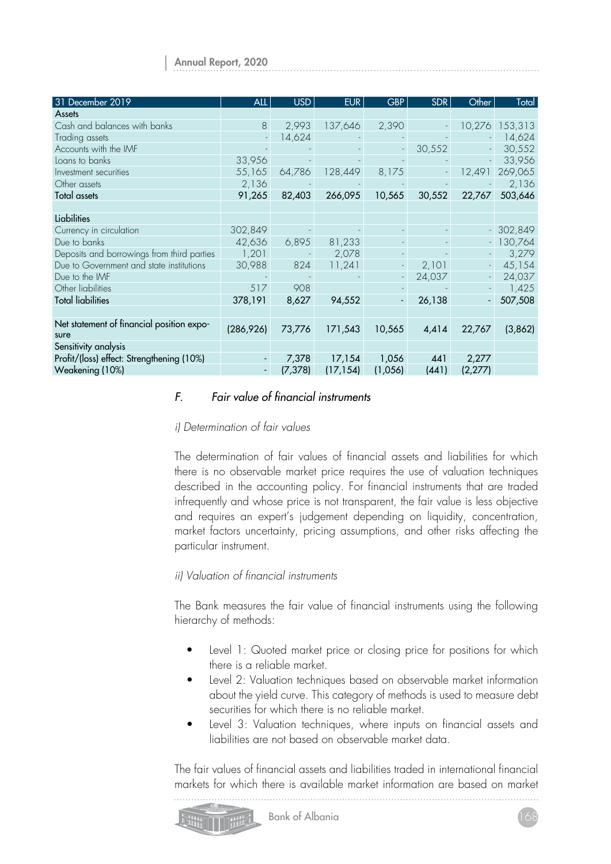|                                            | <b>ALL</b> | <b>USD</b>               | EUR       | <b>GBP</b> | SDR      | Other            | Total      |
|--------------------------------------------|------------|--------------------------|-----------|------------|----------|------------------|------------|
| 31 December 2019                           |            |                          |           |            |          |                  |            |
| Assets                                     |            |                          |           |            |          |                  |            |
| Cash and balances with banks               | 8          | 2,993                    | 137,646   | 2,390      |          | 10,276           | 153,313    |
| Trading assets                             |            | 14,624                   |           |            |          |                  | 14,624     |
| Accounts with the IMF                      |            |                          |           |            | 30,552   |                  | 30,552     |
| Loans to banks                             | 33,956     |                          |           |            |          |                  | 33,956     |
| Investment securities                      | 55,165     | 64,786                   | 128,449   | 8,175      | $\omega$ | 12,491           | 269,065    |
| Other assets                               | 2,136      |                          |           |            |          |                  | 2,136      |
| Total assets                               | 91,265     | 82,403                   | 266,095   | 10,565     | 30,552   | 22,767           | 503,646    |
|                                            |            |                          |           |            |          |                  |            |
| <b>Liabilities</b>                         |            |                          |           |            |          |                  |            |
| Currency in circulation                    | 302,849    |                          |           |            |          |                  | $-302,849$ |
| Due to banks                               | 42,636     | 6,895                    | 81,233    |            |          | ÷.               | 130,764    |
| Deposits and borrowings from third parties | 1,201      | $\overline{\phantom{a}}$ | 2,078     |            |          |                  | 3,279      |
| Due to Government and state institutions   | 30,988     | 824                      | 11,241    |            | 2,101    | $\omega_{\rm c}$ | 45,154     |
| Due to the IMF                             |            |                          |           |            | 24,037   |                  | 24,037     |
| Other liabilities                          | 517        | 908                      |           |            |          |                  | 1,425      |
| <b>Total liabilities</b>                   | 378,191    | 8,627                    | 94,552    | $\sim$     | 26,138   |                  | 507,508    |
|                                            |            |                          |           |            |          |                  |            |
| Net statement of financial position expo-  |            |                          |           |            |          |                  |            |
| sure                                       | (286, 926) | 73,776                   | 171,543   | 10,565     | 4,414    | 22,767           | (3,862)    |
| Sensitivity analysis                       |            |                          |           |            |          |                  |            |
| Profit/(loss) effect: Strengthening (10%)  |            | 7,378                    | 17,154    | 1,056      | 441      | 2,277            |            |
| Weakening (10%)                            |            | (7, 378)                 | (17, 154) | (1,056)    | (441)    | (2, 277)         |            |

### *F. Fair value of financial instruments*

#### *i) Determination of fair values*

The determination of fair values of financial assets and liabilities for which there is no observable market price requires the use of valuation techniques described in the accounting policy. For financial instruments that are traded infrequently and whose price is not transparent, the fair value is less objective and requires an expert's judgement depending on liquidity, concentration, market factors uncertainty, pricing assumptions, and other risks affecting the particular instrument.

#### *ii) Valuation of financial instruments*

The Bank measures the fair value of financial instruments using the following hierarchy of methods:

- Level 1: Quoted market price or closing price for positions for which there is a reliable market.
- Level 2: Valuation techniques based on observable market information about the yield curve. This category of methods is used to measure debt securities for which there is no reliable market.
- Level 3: Valuation techniques, where inputs on financial assets and liabilities are not based on observable market data.

The fair values of financial assets and liabilities traded in international financial markets for which there is available market information are based on market

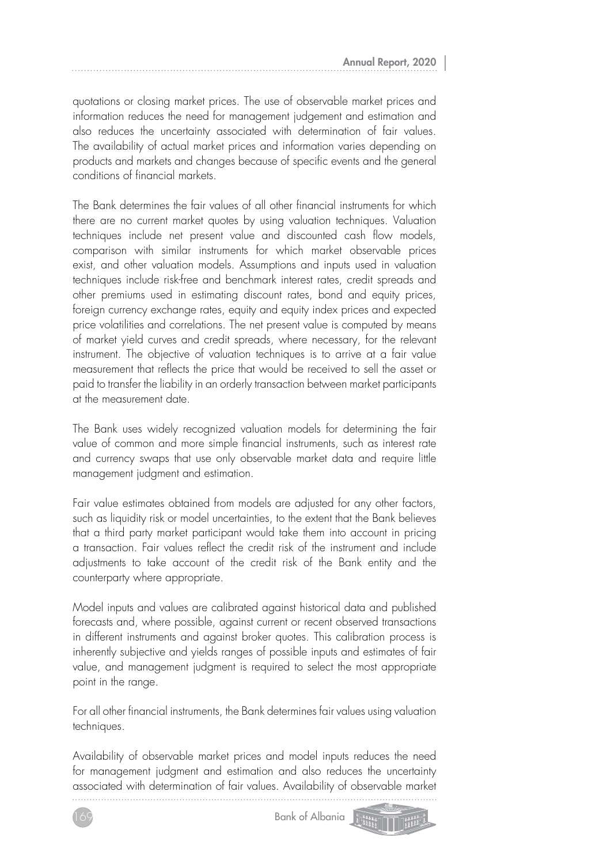quotations or closing market prices. The use of observable market prices and information reduces the need for management judgement and estimation and also reduces the uncertainty associated with determination of fair values. The availability of actual market prices and information varies depending on products and markets and changes because of specific events and the general conditions of financial markets.

The Bank determines the fair values of all other financial instruments for which there are no current market quotes by using valuation techniques. Valuation techniques include net present value and discounted cash flow models, comparison with similar instruments for which market observable prices exist, and other valuation models. Assumptions and inputs used in valuation techniques include risk-free and benchmark interest rates, credit spreads and other premiums used in estimating discount rates, bond and equity prices, foreign currency exchange rates, equity and equity index prices and expected price volatilities and correlations. The net present value is computed by means of market yield curves and credit spreads, where necessary, for the relevant instrument. The objective of valuation techniques is to arrive at a fair value measurement that reflects the price that would be received to sell the asset or paid to transfer the liability in an orderly transaction between market participants at the measurement date.

The Bank uses widely recognized valuation models for determining the fair value of common and more simple financial instruments, such as interest rate and currency swaps that use only observable market data and require little management judgment and estimation.

Fair value estimates obtained from models are adjusted for any other factors, such as liquidity risk or model uncertainties, to the extent that the Bank believes that a third party market participant would take them into account in pricing a transaction. Fair values reflect the credit risk of the instrument and include adjustments to take account of the credit risk of the Bank entity and the counterparty where appropriate.

Model inputs and values are calibrated against historical data and published forecasts and, where possible, against current or recent observed transactions in different instruments and against broker quotes. This calibration process is inherently subjective and yields ranges of possible inputs and estimates of fair value, and management judgment is required to select the most appropriate point in the range.

For all other financial instruments, the Bank determines fair values using valuation techniques.

Availability of observable market prices and model inputs reduces the need for management judgment and estimation and also reduces the uncertainty associated with determination of fair values. Availability of observable market

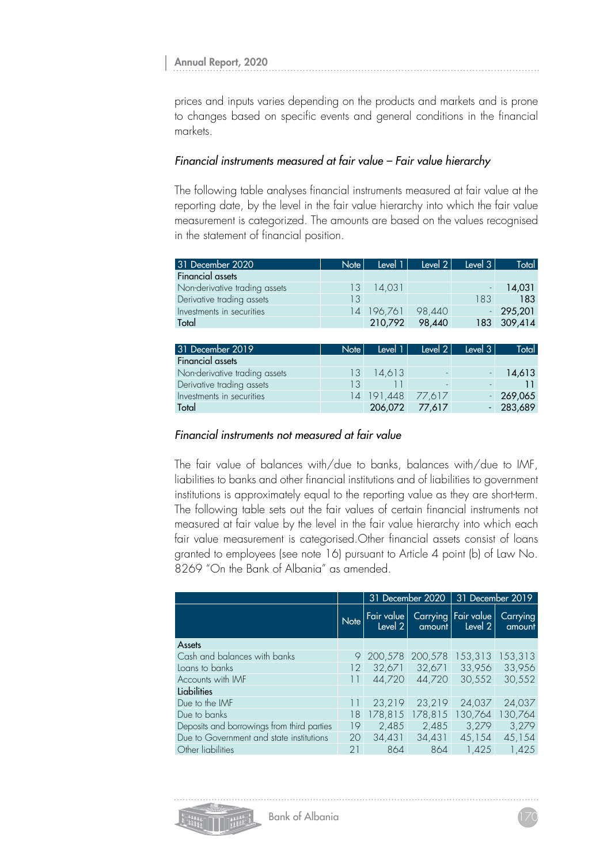prices and inputs varies depending on the products and markets and is prone to changes based on specific events and general conditions in the financial markets.

#### *Financial instruments measured at fair value – Fair value hierarchy*

The following table analyses financial instruments measured at fair value at the reporting date, by the level in the fair value hierarchy into which the fair value measurement is categorized. The amounts are based on the values recognised in the statement of financial position.

| 31 December 2020              | <b>Note</b>     | Level 1 | Level <sub>2</sub> | Level 3 | Total   |
|-------------------------------|-----------------|---------|--------------------|---------|---------|
| <b>Financial assets</b>       |                 |         |                    |         |         |
| Non-derivative trading assets | 13              | 14,031  |                    |         | 14,031  |
| Derivative trading assets     | 13              |         |                    | 183     | 183     |
| Investments in securities     | $\overline{14}$ | 196,761 | 98,440             |         | 295,201 |
| Total                         |                 | 210,792 | 98,440             | 183     | 309,414 |
|                               |                 |         |                    |         |         |
| 31 December 2019              | <b>Note</b>     | Level 1 | Level 2            | Level 3 | Total   |
| <b>Financial assets</b>       |                 |         |                    |         |         |
| Non-derivative trading assets | 13              | 14,613  |                    |         | 14,613  |
| Derivative trading assets     | 13              | 11      |                    |         |         |
| Investments in securities     | 14              | 191,448 | 77,617             |         | 269,065 |
| Total                         |                 | 206,072 | 77,617             | $\sim$  | 283,689 |

#### *Financial instruments not measured at fair value*

The fair value of balances with/due to banks, balances with/due to IMF, liabilities to banks and other financial institutions and of liabilities to government institutions is approximately equal to the reporting value as they are short-term. The following table sets out the fair values of certain financial instruments not measured at fair value by the level in the fair value hierarchy into which each fair value measurement is categorised.Other financial assets consist of loans granted to employees (see note 16) pursuant to Article 4 point (b) of Law No. 8269 "On the Bank of Albania" as amended.

|                                            |      |                                                                  | 31 December 2020 | 31 December 2019                                                              |                    |
|--------------------------------------------|------|------------------------------------------------------------------|------------------|-------------------------------------------------------------------------------|--------------------|
|                                            | Note | $\left\vert \frac{\text{Fair value}}{\text{Level 2}}\right\vert$ |                  | $\begin{bmatrix} \text{Carrying} \\ \text{amount} \end{bmatrix}$ [Fair value] | Carrying<br>amount |
| Assets                                     |      |                                                                  |                  |                                                                               |                    |
| Cash and balances with banks               | 9.   | 200,578                                                          | 200,578          | 153,313                                                                       | 153,313            |
| Loans to banks                             | 12.  | 32.671                                                           | 32.671           | 33,956                                                                        | 33,956             |
| Accounts with IMF                          | 11   | 44,720                                                           | 44,720           | 30,552                                                                        | 30,552             |
| Liabilities                                |      |                                                                  |                  |                                                                               |                    |
| Due to the IMF                             |      | 23,219                                                           | 23,219           | 24,037                                                                        | 24,037             |
| Due to banks                               | 18   | 178,815                                                          | 178,815          | 130,764                                                                       | 130,764            |
| Deposits and borrowings from third parties | 19   | 2,485                                                            | 2,485            | 3,279                                                                         | 3,279              |
| Due to Government and state institutions   | 20   | 34.431                                                           | 34,431           | 45,154                                                                        | 45,154             |
| Other liabilities                          | 21   | 864                                                              | 864              | 1.425                                                                         | 1.425              |

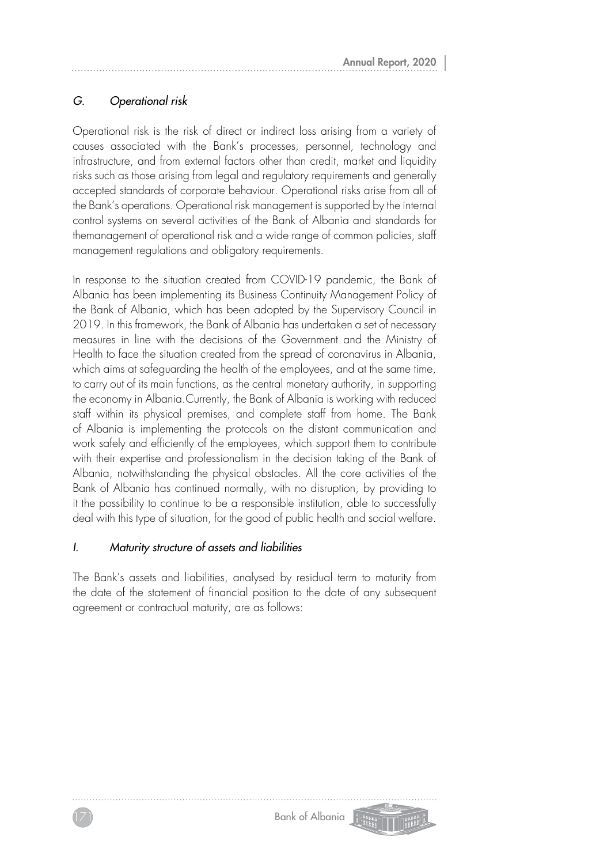## *G. Operational risk*

Operational risk is the risk of direct or indirect loss arising from a variety of causes associated with the Bank's processes, personnel, technology and infrastructure, and from external factors other than credit, market and liquidity risks such as those arising from legal and regulatory requirements and generally accepted standards of corporate behaviour. Operational risks arise from all of the Bank's operations. Operational risk management is supported by the internal control systems on several activities of the Bank of Albania and standards for themanagement of operational risk and a wide range of common policies, staff management regulations and obligatory requirements.

In response to the situation created from COVID-19 pandemic, the Bank of Albania has been implementing its Business Continuity Management Policy of the Bank of Albania, which has been adopted by the Supervisory Council in 2019. In this framework, the Bank of Albania has undertaken a set of necessary measures in line with the decisions of the Government and the Ministry of Health to face the situation created from the spread of coronavirus in Albania, which aims at safeguarding the health of the employees, and at the same time, to carry out of its main functions, as the central monetary authority, in supporting the economy in Albania.Currently, the Bank of Albania is working with reduced staff within its physical premises, and complete staff from home. The Bank of Albania is implementing the protocols on the distant communication and work safely and efficiently of the employees, which support them to contribute with their expertise and professionalism in the decision taking of the Bank of Albania, notwithstanding the physical obstacles. All the core activities of the Bank of Albania has continued normally, with no disruption, by providing to it the possibility to continue to be a responsible institution, able to successfully deal with this type of situation, for the good of public health and social welfare.

#### *I. Maturity structure of assets and liabilities*

The Bank's assets and liabilities, analysed by residual term to maturity from the date of the statement of financial position to the date of any subsequent agreement or contractual maturity, are as follows: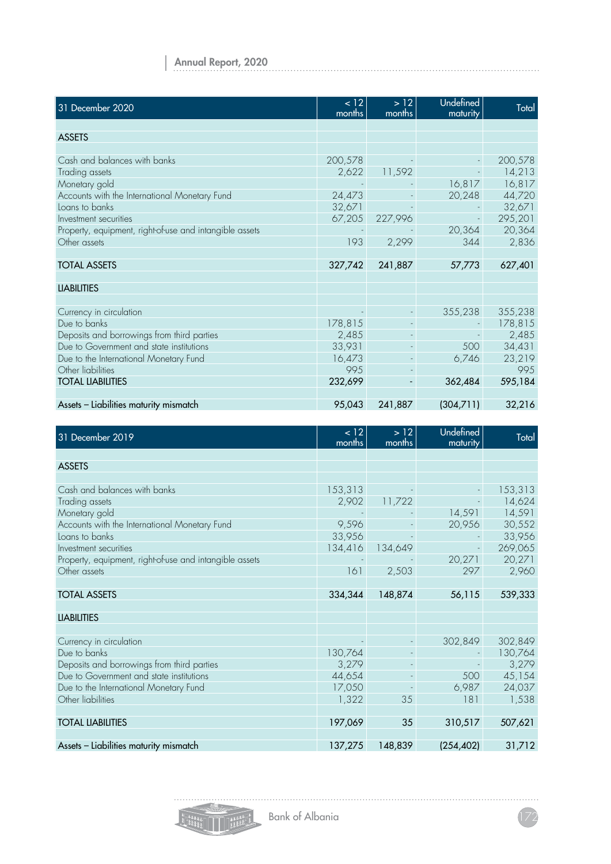| 31 December 2020                                        | < 12<br>months | >12<br>months | Undefined<br>maturity    | Total   |
|---------------------------------------------------------|----------------|---------------|--------------------------|---------|
|                                                         |                |               |                          |         |
| <b>ASSETS</b>                                           |                |               |                          |         |
|                                                         |                |               |                          |         |
| Cash and balances with banks                            | 200,578        |               |                          | 200,578 |
| Trading assets                                          | 2,622          | 11,592        | $\overline{\phantom{a}}$ | 14,213  |
| Monetary gold                                           |                |               | 16,817                   | 16,817  |
| Accounts with the International Monetary Fund           | 24,473         |               | 20,248                   | 44,720  |
| Loans to banks                                          | 32,671         |               |                          | 32,671  |
| Investment securities                                   | 67,205         | 227,996       | $\overline{\phantom{a}}$ | 295,201 |
| Property, equipment, right-of-use and intangible assets |                |               | 20,364                   | 20,364  |
| Other assets                                            | 193            | 2,299         | 344                      | 2,836   |
|                                                         |                |               |                          |         |
| <b>TOTAL ASSETS</b>                                     | 327,742        | 241,887       | 57,773                   | 627,401 |
|                                                         |                |               |                          |         |
| <b>LIABILITIES</b>                                      |                |               |                          |         |
|                                                         |                |               |                          |         |
| Currency in circulation                                 |                |               | 355,238                  | 355,238 |
| Due to banks                                            | 178,815        |               |                          | 178,815 |
| Deposits and borrowings from third parties              | 2,485          |               |                          | 2,485   |
| Due to Government and state institutions                | 33,931         |               | 500                      | 34,431  |
| Due to the International Monetary Fund                  | 16,473         |               | 6,746                    | 23,219  |
| Other liabilities                                       | 995            |               |                          | 995     |
| <b>TOTAL LIABILITIES</b>                                | 232,699        |               | 362,484                  | 595,184 |
|                                                         |                |               |                          |         |
| Assets - Liabilities maturity mismatch                  | 95,043         | 241,887       | (304,711)                | 32,216  |

| 31 December 2019                                        | $\sqrt{2}$<br>months | >12<br>months | Undefined<br>maturity | Total   |
|---------------------------------------------------------|----------------------|---------------|-----------------------|---------|
|                                                         |                      |               |                       |         |
| <b>ASSETS</b>                                           |                      |               |                       |         |
| Cash and balances with banks                            | 153,313              |               |                       | 153,313 |
| Trading assets                                          | 2,902                | 11,722        |                       | 14,624  |
| Monetary gold                                           |                      |               | 14,591                | 14,591  |
| Accounts with the International Monetary Fund           | 9,596                |               | 20,956                | 30,552  |
| Loans to banks                                          | 33,956               |               |                       | 33,956  |
| Investment securities                                   | 134,416              | 134,649       |                       | 269,065 |
| Property, equipment, right-of-use and intangible assets |                      |               | 20,271                | 20,271  |
| Other assets                                            | 161                  | 2,503         | 297                   | 2,960   |
|                                                         |                      |               |                       |         |
| <b>TOTAL ASSETS</b>                                     | 334,344              | 148,874       | 56,115                | 539,333 |
|                                                         |                      |               |                       |         |
| <b>LIABILITIES</b>                                      |                      |               |                       |         |
|                                                         |                      |               | 302,849               | 302,849 |
| Currency in circulation<br>Due to banks                 | 130,764              |               |                       | 130,764 |
| Deposits and borrowings from third parties              | 3,279                |               |                       | 3,279   |
| Due to Government and state institutions                | 44,654               |               | 500                   | 45,154  |
| Due to the International Monetary Fund                  | 17,050               |               | 6,987                 | 24,037  |
| Other liabilities                                       | 1,322                | 35            | 181                   | 1,538   |
|                                                         |                      |               |                       |         |
| <b>TOTAL LIABILITIES</b>                                | 197,069              | 35            | 310,517               | 507,621 |
|                                                         |                      |               |                       |         |
| Assets - Liabilities maturity mismatch                  | 137,275              | 148,839       | (254, 402)            | 31,712  |

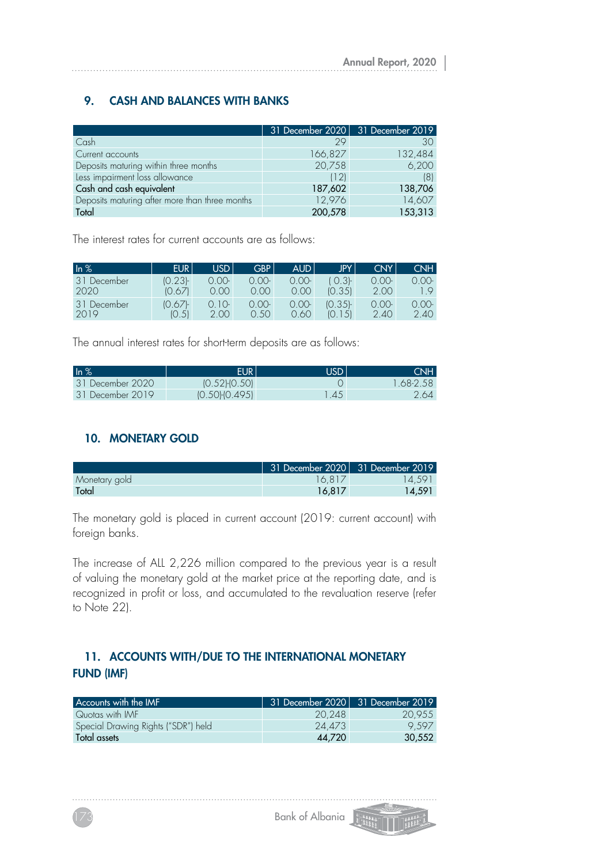## 9. CASH AND BALANCES WITH BANKS

|                                                |         | 31 December 2020 31 December 2019 |
|------------------------------------------------|---------|-----------------------------------|
| Cash                                           | 29      | 30                                |
| Current accounts                               | 166,827 | 132,484                           |
| Deposits maturing within three months          | 20,758  | 6,200                             |
| Less impairment loss allowance                 | (12)    | 181                               |
| Cash and cash equivalent                       | 187,602 | 138,706                           |
| Deposits maturing after more than three months | 12,976  | 14,607                            |
| Total                                          | 200,578 | 153,313                           |

The interest rates for current accounts are as follows:

| ln %                   | EUR <sup>1</sup>            | USD <sup>1</sup> | $GBP$ $ $        | AUD              | JPY.                | <b>CNY</b>       | CNH              |
|------------------------|-----------------------------|------------------|------------------|------------------|---------------------|------------------|------------------|
| 31<br>December<br>2020 | 10.23 <sup>1</sup><br>10.67 | $0.00 -$<br>0.00 | $0.00 -$<br>0.00 | $0.00 -$<br>0.00 | $(0.3)$ -<br>(0.35) | $0.00 -$<br>2.00 | 0.00-            |
| 31 December<br>2019    | 10.671-<br>(0.5)            | 0.10-<br>2.00    | $0.00 -$<br>0.50 | $0.00 -$<br>0.60 | $10.35$ -           | 0.00-<br>2.40    | $0.00 -$<br>2.40 |

The annual interest rates for short-term deposits are as follows:

| ln %             | <b>EUR</b>           | USD l | <b>CNH</b> |
|------------------|----------------------|-------|------------|
| 31 December 2020 | $[0.52]$ - $[0.50]$  |       | 68-2.58 ا  |
| 31 December 2019 | $[0.50]$ - $[0.495]$ | .45   | 2.64       |

### 10. MONETARY GOLD

|               |        | 31 December 2020 31 December 2019 |
|---------------|--------|-----------------------------------|
| Monetary gold | 16.817 | 14.591                            |
| Total         | 16.817 | 14.591                            |

The monetary gold is placed in current account (2019: current account) with foreign banks.

The increase of ALL 2,226 million compared to the previous year is a result of valuing the monetary gold at the market price at the reporting date, and is recognized in profit or loss, and accumulated to the revaluation reserve (refer to Note 22).

## 11. ACCOUNTS WITH/DUE TO THE INTERNATIONAL MONETARY FUND (IMF)

| Accounts with the IMF               |        | 31 December 2020 31 December 2019 |
|-------------------------------------|--------|-----------------------------------|
| Quotas with IMF                     | 20.248 | 20.955                            |
| Special Drawing Rights ("SDR") held | 24.473 | 9.597                             |
| Total assets                        | 44.720 | 30,552                            |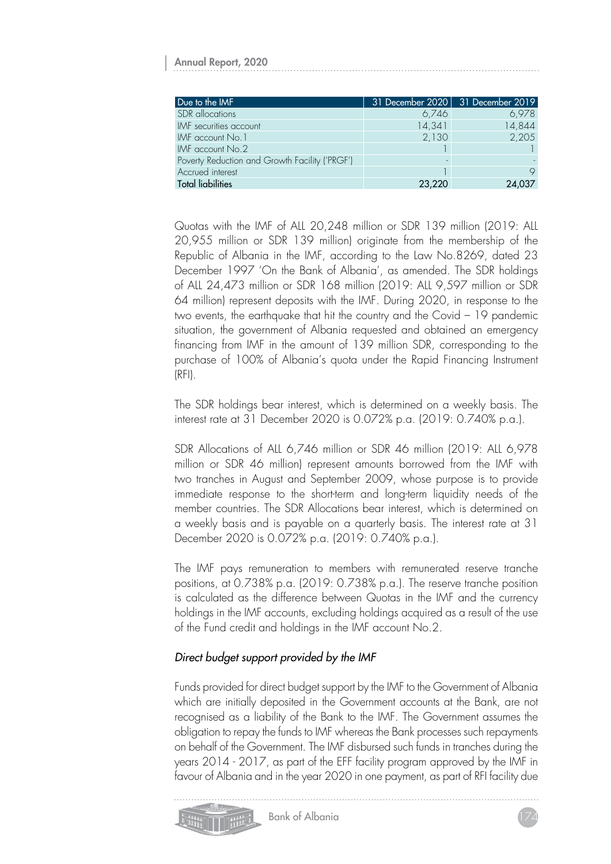| Annual Report, 2020 |  |
|---------------------|--|
|                     |  |

| Due to the IMF                                 |        | 31 December 2020   31 December 2019 |
|------------------------------------------------|--------|-------------------------------------|
| SDR allocations                                | 6,746  | 6,978                               |
| IMF securities account                         | 14,341 | 14,844                              |
| IMF account No. 1                              | 2,130  | 2,205                               |
| IMF account No.2                               |        |                                     |
| Poverty Reduction and Growth Facility ('PRGF') |        |                                     |
| Accrued interest                               |        | Q                                   |
| <b>Total liabilities</b>                       | 23,220 | 24.037                              |

. . . . . . . . . . . . . . . . . . .

Quotas with the IMF of ALL 20,248 million or SDR 139 million (2019: ALL 20,955 million or SDR 139 million) originate from the membership of the Republic of Albania in the IMF, according to the Law No.8269, dated 23 December 1997 'On the Bank of Albania', as amended. The SDR holdings of ALL 24,473 million or SDR 168 million (2019: ALL 9,597 million or SDR 64 million) represent deposits with the IMF. During 2020, in response to the two events, the earthquake that hit the country and the Covid – 19 pandemic situation, the government of Albania requested and obtained an emergency financing from IMF in the amount of 139 million SDR, corresponding to the purchase of 100% of Albania's quota under the Rapid Financing Instrument (RFI).

The SDR holdings bear interest, which is determined on a weekly basis. The interest rate at 31 December 2020 is 0.072% p.a. (2019: 0.740% p.a.).

SDR Allocations of ALL 6,746 million or SDR 46 million (2019: ALL 6,978 million or SDR 46 million) represent amounts borrowed from the IMF with two tranches in August and September 2009, whose purpose is to provide immediate response to the short-term and long-term liquidity needs of the member countries. The SDR Allocations bear interest, which is determined on a weekly basis and is payable on a quarterly basis. The interest rate at 31 December 2020 is 0.072% p.a. (2019: 0.740% p.a.).

The IMF pays remuneration to members with remunerated reserve tranche positions, at 0.738% p.a. (2019: 0.738% p.a.). The reserve tranche position is calculated as the difference between Quotas in the IMF and the currency holdings in the IMF accounts, excluding holdings acquired as a result of the use of the Fund credit and holdings in the IMF account No.2.

## *Direct budget support provided by the IMF*

Funds provided for direct budget support by the IMF to the Government of Albania which are initially deposited in the Government accounts at the Bank, are not recognised as a liability of the Bank to the IMF. The Government assumes the obligation to repay the funds to IMF whereas the Bank processes such repayments on behalf of the Government. The IMF disbursed such funds in tranches during the years 2014 - 2017, as part of the EFF facility program approved by the IMF in favour of Albania and in the year 2020 in one payment, as part of RFI facility due



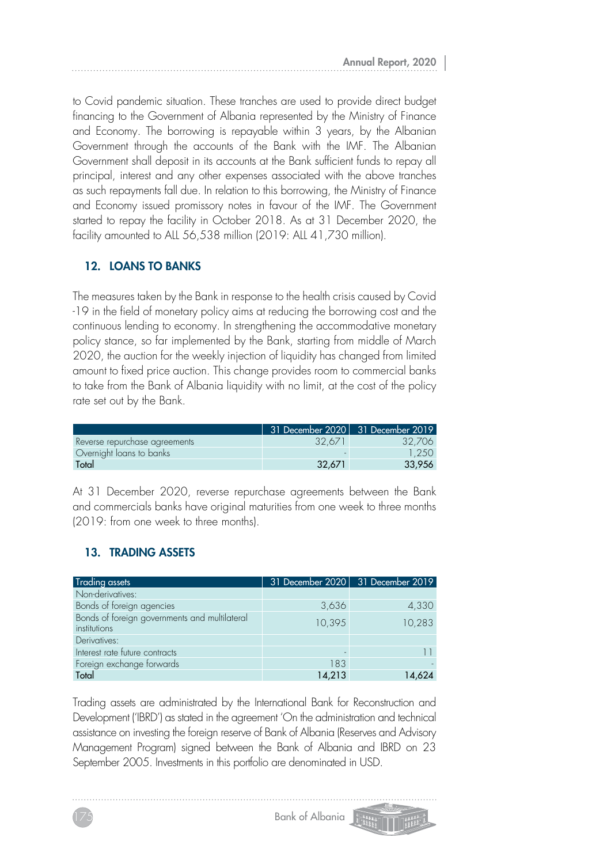to Covid pandemic situation. These tranches are used to provide direct budget financing to the Government of Albania represented by the Ministry of Finance and Economy. The borrowing is repayable within 3 years, by the Albanian Government through the accounts of the Bank with the IMF. The Albanian Government shall deposit in its accounts at the Bank sufficient funds to repay all principal, interest and any other expenses associated with the above tranches as such repayments fall due. In relation to this borrowing, the Ministry of Finance and Economy issued promissory notes in favour of the IMF. The Government started to repay the facility in October 2018. As at 31 December 2020, the facility amounted to ALL 56,538 million (2019: ALL 41,730 million).

## 12. LOANS TO BANKS

The measures taken by the Bank in response to the health crisis caused by Covid -19 in the field of monetary policy aims at reducing the borrowing cost and the continuous lending to economy. In strengthening the accommodative monetary policy stance, so far implemented by the Bank, starting from middle of March 2020, the auction for the weekly injection of liquidity has changed from limited amount to fixed price auction. This change provides room to commercial banks to take from the Bank of Albania liquidity with no limit, at the cost of the policy rate set out by the Bank.

|                               |        | 31 December 2020 31 December 2019 |
|-------------------------------|--------|-----------------------------------|
| Reverse repurchase agreements | 32.671 | 32.706                            |
| Overnight loans to banks      |        | 1.250                             |
| Total                         | 32.671 | 33.956                            |

At 31 December 2020, reverse repurchase agreements between the Bank and commercials banks have original maturities from one week to three months (2019: from one week to three months).

# 13. TRADING ASSETS

| <b>Trading assets</b>                                         |        | 31 December 2020   31 December 2019 |
|---------------------------------------------------------------|--------|-------------------------------------|
| Non-derivatives:                                              |        |                                     |
| Bonds of foreign agencies                                     | 3,636  | 4,330                               |
| Bonds of foreign governments and multilateral<br>institutions | 10,395 | 10,283                              |
| Derivatives:                                                  |        |                                     |
| Interest rate future contracts                                |        |                                     |
| Foreign exchange forwards                                     | 183    |                                     |
| Total                                                         | 14,213 |                                     |

Trading assets are administrated by the International Bank for Reconstruction and Development ('IBRD') as stated in the agreement 'On the administration and technical assistance on investing the foreign reserve of Bank of Albania (Reserves and Advisory Management Program) signed between the Bank of Albania and IBRD on 23 September 2005. Investments in this portfolio are denominated in USD.



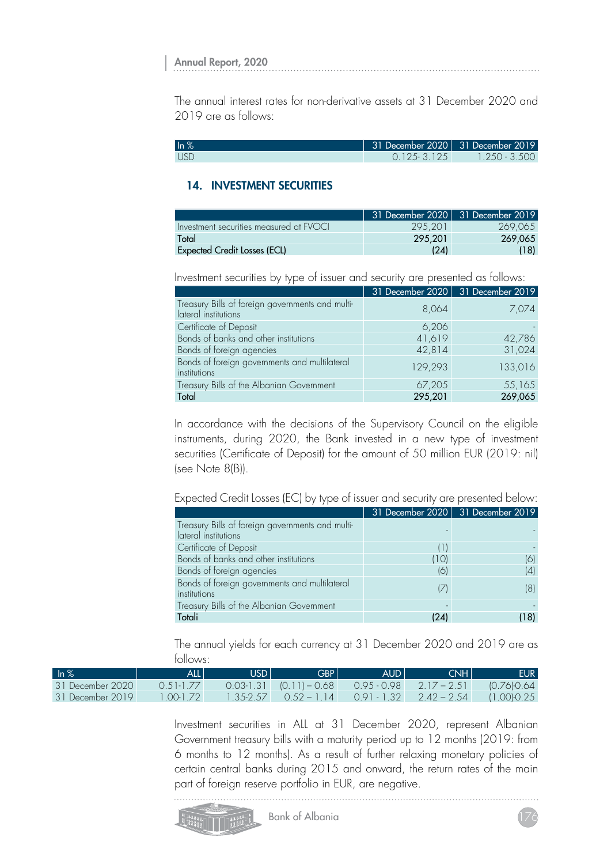The annual interest rates for non-derivative assets at 31 December 2020 and 2019 are as follows:

| ln %       | 31 December 2020 31 December 2019 |                 |
|------------|-----------------------------------|-----------------|
| <b>USD</b> | $0.125 - 3.125$                   | $1.250 - 3.500$ |

#### 14. INVESTMENT SECURITIES

|                                         |         | 31 December 2020 31 December 2019 |
|-----------------------------------------|---------|-----------------------------------|
| Investment securities measured at FVOCI | 295.201 | 269,065                           |
| Total                                   | 295,201 | 269,065                           |
| <b>Expected Credit Losses (ECL)</b>     | (24)    | (18)                              |

Investment securities by type of issuer and security are presented as follows:

|                                                                          | 31 December 2020 | 31 December 2019 |
|--------------------------------------------------------------------------|------------------|------------------|
| Treasury Bills of foreign governments and multi-<br>lateral institutions | 8.064            | 7.074            |
| Certificate of Deposit                                                   | 6,206            |                  |
| Bonds of banks and other institutions                                    | 41,619           | 42,786           |
| Bonds of foreign agencies                                                | 42,814           | 31,024           |
| Bonds of foreign governments and multilateral<br>institutions            | 129,293          | 133,016          |
| Treasury Bills of the Albanian Government                                | 67,205           | 55,165           |
| Total                                                                    | 295,201          | 269,065          |

In accordance with the decisions of the Supervisory Council on the eligible instruments, during 2020, the Bank invested in a new type of investment securities (Certificate of Deposit) for the amount of 50 million EUR (2019: nil) (see Note 8(B)).

Expected Credit Losses (EC) by type of issuer and security are presented below:

|                                                               |      | 31 December 2020   31 December 2019 |
|---------------------------------------------------------------|------|-------------------------------------|
| Treasury Bills of foreign governments and multi-              |      |                                     |
| lateral institutions                                          |      |                                     |
| Certificate of Deposit                                        |      |                                     |
| Bonds of banks and other institutions                         | (10) |                                     |
| Bonds of foreign agencies                                     | 161  |                                     |
| Bonds of foreign governments and multilateral<br>institutions |      | 181                                 |
| Treasury Bills of the Albanian Government                     |      |                                     |
| Totali                                                        | '24  | [18]                                |

The annual yields for each currency at 31 December 2020 and 2019 are as follows:

| $\ln \%$         | <b>ALL</b>  | USD | GBP                                                       | AUD | CNH | <b>EUR</b>     |
|------------------|-------------|-----|-----------------------------------------------------------|-----|-----|----------------|
| 31 December 2020 | $0.51 - 77$ |     | $0.03 - 1.31$ $(0.11) - 0.68$ $0.95 - 0.98$ $2.17 - 2.51$ |     |     | 10.761-0.64    |
| 31 December 2019 | $1.00 - 72$ |     | $1.35-2.57$ 0.52 - 1.14 0.91 - 1.32 2.42 - 2.54           |     |     | $(1.00)$ -0.25 |

Investment securities in ALL at 31 December 2020, represent Albanian Government treasury bills with a maturity period up to 12 months (2019: from 6 months to 12 months). As a result of further relaxing monetary policies of certain central banks during 2015 and onward, the return rates of the main part of foreign reserve portfolio in EUR, are negative.

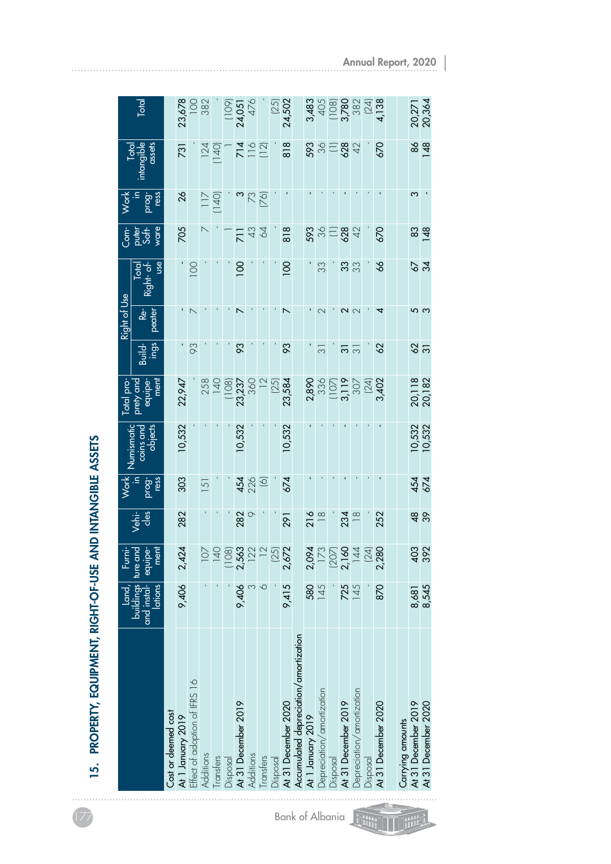|                                       |                                                                           |                                                                                                                                                                                                                                                                                                       |                  |                        | Numismatic           |                                                                                                 |                     | Right of Use    |                            |                 | Work                                                                                                                                                            |                               |                                                 |
|---------------------------------------|---------------------------------------------------------------------------|-------------------------------------------------------------------------------------------------------------------------------------------------------------------------------------------------------------------------------------------------------------------------------------------------------|------------------|------------------------|----------------------|-------------------------------------------------------------------------------------------------|---------------------|-----------------|----------------------------|-----------------|-----------------------------------------------------------------------------------------------------------------------------------------------------------------|-------------------------------|-------------------------------------------------|
|                                       | Land, Furni-<br>buildings ture and<br>and instal- equipe-<br>lations ment |                                                                                                                                                                                                                                                                                                       | Vehi-<br>des     | Work<br>Prog-<br>prog- | coins and<br>objects | Total pro-<br>prety and<br>equipe-<br>ment                                                      | Build-<br>ings      | Re-<br>peater   | use<br>Total<br>Right- of- | $68 + 8$        | $rac{1}{2}$<br>$rac{1}{2}$<br>$rac{1}{2}$<br>$rac{1}{2}$<br><br>$rac{1}{2}$<br><br><br><br><br><br><br><br><br><br><br><br><br><br><br><br><br><br><br><br><br> | Total<br>intangible<br>assets | Total                                           |
| Cost or deemed cost                   |                                                                           |                                                                                                                                                                                                                                                                                                       |                  |                        |                      |                                                                                                 |                     |                 |                            |                 |                                                                                                                                                                 |                               |                                                 |
| At 1 January 2019                     | 9,406                                                                     | 2,424                                                                                                                                                                                                                                                                                                 | 282              | 303                    | 10,532               | 22,947                                                                                          |                     |                 |                            | 705             | $\frac{8}{2}$                                                                                                                                                   | 731                           |                                                 |
| Effect of adoption of IFRS 16         |                                                                           |                                                                                                                                                                                                                                                                                                       |                  |                        |                      |                                                                                                 | $\Im$               |                 | 100                        |                 |                                                                                                                                                                 |                               |                                                 |
| Additions                             |                                                                           |                                                                                                                                                                                                                                                                                                       |                  | 151                    |                      |                                                                                                 |                     |                 |                            |                 | $\frac{1}{2}$                                                                                                                                                   |                               | 23,678<br>100<br>382                            |
| Transfers                             |                                                                           |                                                                                                                                                                                                                                                                                                       |                  |                        |                      |                                                                                                 |                     |                 |                            |                 | 140                                                                                                                                                             | $\frac{124}{140}$             |                                                 |
| Disposal                              |                                                                           |                                                                                                                                                                                                                                                                                                       |                  |                        |                      |                                                                                                 |                     |                 |                            |                 |                                                                                                                                                                 |                               |                                                 |
| At 31 December 2019                   | 9,406                                                                     | $\begin{array}{r} 107 \\ 140 \\ 108 \\ 2,563 \\ 127 \\ 2,672 \\ 2,672 \\ 2,672 \\ 2,672 \\ 2,672 \\ 2,672 \\ 2,672 \\ 2,672 \\ 2,672 \\ 2,672 \\ 2,672 \\ 2,672 \\ 2,672 \\ 2,672 \\ 2,672 \\ 2,672 \\ 2,672 \\ 2,672 \\ 2,672 \\ 2,672 \\ 2,672 \\ 2,672 \\ 2,672 \\ 2,672 \\ 2,672 \\ 2,672 \\ 2,6$ | 282              |                        | 0,532                |                                                                                                 | 83                  |                 | 100                        | 71              |                                                                                                                                                                 | $714$<br>$110$<br>$12$        | $\frac{1109}{24,051}$                           |
| Additions                             |                                                                           |                                                                                                                                                                                                                                                                                                       | $\circ$          | 454                    |                      |                                                                                                 |                     |                 |                            |                 |                                                                                                                                                                 |                               |                                                 |
| Transters                             | $\circ$                                                                   |                                                                                                                                                                                                                                                                                                       |                  | $\odot$                |                      |                                                                                                 |                     |                 |                            | $\mathcal{Q}$   | $\frac{3}{2}$                                                                                                                                                   |                               |                                                 |
| Disposal                              |                                                                           |                                                                                                                                                                                                                                                                                                       |                  |                        |                      |                                                                                                 |                     |                 |                            |                 |                                                                                                                                                                 |                               |                                                 |
| At 31 December 2020                   | 9,415                                                                     |                                                                                                                                                                                                                                                                                                       | 291              | 674                    | 10,532               | $\begin{array}{r} 258 \\ 140 \\ 108 \\ 23,237 \\ 360 \\ 125 \\ 23,584 \\ 23,584 \\ \end{array}$ | 8S                  |                 | $\overline{100}$           | 818             |                                                                                                                                                                 | 818                           | $(25)$<br>24,502                                |
| Accumulated depreciation/amortization |                                                                           |                                                                                                                                                                                                                                                                                                       |                  |                        |                      |                                                                                                 |                     |                 |                            |                 |                                                                                                                                                                 |                               |                                                 |
| At 1 January 2019                     | 580                                                                       |                                                                                                                                                                                                                                                                                                       | $\frac{216}{18}$ |                        |                      |                                                                                                 |                     |                 |                            |                 |                                                                                                                                                                 |                               |                                                 |
| Depreciation/amortization             | 145                                                                       | 2,094<br>173<br>1207<br>2,160<br>2,280<br>2,280                                                                                                                                                                                                                                                       |                  |                        |                      | 2,890<br>336<br>5,119<br>5,024<br>3,402<br>3,402                                                | $\overline{\circ}$  | $\mathbf{\sim}$ | 33                         | 289524          |                                                                                                                                                                 | $389 = 294$                   | 3,483<br>405<br>1080<br>3,780<br>3,138<br>4,138 |
| Disposal                              |                                                                           |                                                                                                                                                                                                                                                                                                       |                  |                        |                      |                                                                                                 |                     |                 |                            |                 |                                                                                                                                                                 |                               |                                                 |
| At 31 December 2019                   | 725                                                                       |                                                                                                                                                                                                                                                                                                       | $234$<br>$18$    |                        |                      |                                                                                                 | $\overline{\Omega}$ | $\sim$ $\sim$   | 33 <sup>o</sup>            |                 |                                                                                                                                                                 |                               |                                                 |
| Depreciation/amortization             | 145                                                                       |                                                                                                                                                                                                                                                                                                       |                  |                        |                      |                                                                                                 | $\overline{\circ}$  |                 |                            |                 |                                                                                                                                                                 |                               |                                                 |
| Disposal                              |                                                                           |                                                                                                                                                                                                                                                                                                       |                  |                        |                      |                                                                                                 |                     |                 |                            |                 |                                                                                                                                                                 |                               |                                                 |
| At 31 December 2020                   | 870                                                                       |                                                                                                                                                                                                                                                                                                       | 252              |                        |                      |                                                                                                 | $\delta$            | 4               | 8 <sup>o</sup>             | 670             |                                                                                                                                                                 | 670                           |                                                 |
|                                       |                                                                           |                                                                                                                                                                                                                                                                                                       |                  |                        |                      |                                                                                                 |                     |                 |                            |                 |                                                                                                                                                                 |                               |                                                 |
| Carrying amounts                      |                                                                           |                                                                                                                                                                                                                                                                                                       |                  |                        |                      |                                                                                                 |                     |                 |                            |                 |                                                                                                                                                                 |                               |                                                 |
| At 31 December 2019                   | 8,681                                                                     | 403<br>392                                                                                                                                                                                                                                                                                            | $\frac{48}{3}$   | 454<br>674             | 10,532<br>10,532     | 20,118<br>20,182                                                                                | $rac{2}{3}$         | ს ს             | 24                         | $\frac{83}{48}$ | ო                                                                                                                                                               | 86                            | 20,271<br>20,364                                |
| At 31 December 2020                   | 8,545                                                                     |                                                                                                                                                                                                                                                                                                       |                  |                        |                      |                                                                                                 |                     |                 |                            |                 |                                                                                                                                                                 | 148                           |                                                 |

15. PROPERTY, EQUIPMENT, RIGHT-OF-USE AND INTANGIBLE ASSETS 15. PROPERTY, EQUIPMENT, RIGHT-OF-USE AND INTANGIBLE ASSETS

177

Annual Report, 2020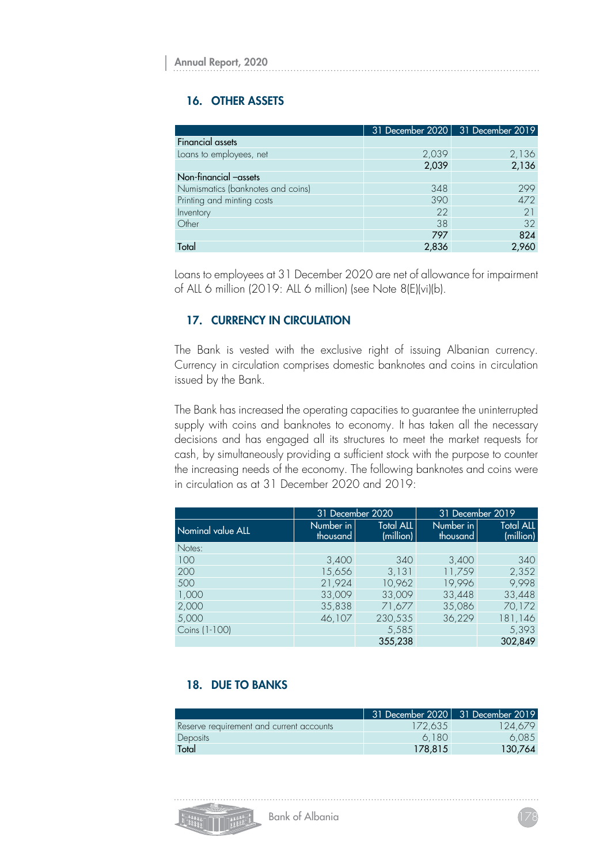## 16. OTHER ASSETS

|                                   | 31 December 2020 | 31 December 2019 |
|-----------------------------------|------------------|------------------|
| <b>Financial assets</b>           |                  |                  |
| Loans to employees, net           | 2,039            | 2,136            |
|                                   | 2,039            | 2,136            |
| Non-financial -assets             |                  |                  |
| Numismatics (banknotes and coins) | 348              | 299              |
| Printing and minting costs        | 390              | 472              |
| Inventory                         | 22               | 21               |
| Other                             | 38               | 32               |
|                                   | 797              | 824              |
| Total                             | 2,836            | 2,960            |

Loans to employees at 31 December 2020 are net of allowance for impairment of ALL 6 million (2019: ALL 6 million) (see Note 8(E)(vi)(b).

### 17. CURRENCY IN CIRCULATION

The Bank is vested with the exclusive right of issuing Albanian currency. Currency in circulation comprises domestic banknotes and coins in circulation issued by the Bank.

The Bank has increased the operating capacities to guarantee the uninterrupted supply with coins and banknotes to economy. It has taken all the necessary decisions and has engaged all its structures to meet the market requests for cash, by simultaneously providing a sufficient stock with the purpose to counter the increasing needs of the economy. The following banknotes and coins were in circulation as at 31 December 2020 and 2019:

|                   | 31 December 2020      |                               | 31 December 2019      |                               |
|-------------------|-----------------------|-------------------------------|-----------------------|-------------------------------|
| Nominal value ALL | Number in<br>thousand | <b>Total ALL</b><br>(million) | Number in<br>thousand | <b>Total ALL</b><br>(million) |
| Notes:            |                       |                               |                       |                               |
| 100               | 3,400                 | 340                           | 3,400                 | 340                           |
| 200               | 15,656                | 3,131                         | 11,759                | 2,352                         |
| 500               | 21,924                | 10,962                        | 19,996                | 9,998                         |
| 1,000             | 33,009                | 33,009                        | 33,448                | 33,448                        |
| 2,000             | 35,838                | 71,677                        | 35,086                | 70,172                        |
| 5,000             | 46,107                | 230,535                       | 36,229                | 181,146                       |
| Coins (1-100)     |                       | 5,585                         |                       | 5,393                         |
|                   |                       | 355,238                       |                       | 302,849                       |

## 18. DUE TO BANKS

|                                          |         | - 31 December 2020∣ 31 December 2019∣ |
|------------------------------------------|---------|---------------------------------------|
| Reserve requirement and current accounts | 172.635 | 124.679                               |
| Deposits                                 | 6.180   | 6.085                                 |
| Total                                    | 178,815 | 130.764                               |

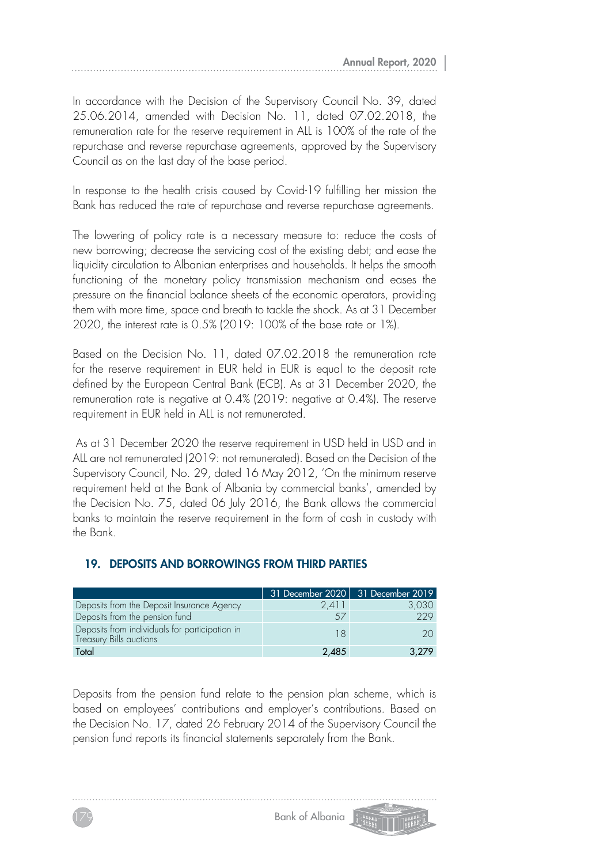In accordance with the Decision of the Supervisory Council No. 39, dated 25.06.2014, amended with Decision No. 11, dated 07.02.2018, the remuneration rate for the reserve requirement in ALL is 100% of the rate of the repurchase and reverse repurchase agreements, approved by the Supervisory Council as on the last day of the base period.

In response to the health crisis caused by Covid-19 fulfilling her mission the Bank has reduced the rate of repurchase and reverse repurchase agreements.

The lowering of policy rate is a necessary measure to: reduce the costs of new borrowing; decrease the servicing cost of the existing debt; and ease the liquidity circulation to Albanian enterprises and households. It helps the smooth functioning of the monetary policy transmission mechanism and eases the pressure on the financial balance sheets of the economic operators, providing them with more time, space and breath to tackle the shock. As at 31 December 2020, the interest rate is 0.5% (2019: 100% of the base rate or 1%).

Based on the Decision No. 11, dated 07.02.2018 the remuneration rate for the reserve requirement in EUR held in EUR is equal to the deposit rate defined by the European Central Bank (ECB). As at 31 December 2020, the remuneration rate is negative at 0.4% (2019: negative at 0.4%). The reserve requirement in EUR held in ALL is not remunerated.

 As at 31 December 2020 the reserve requirement in USD held in USD and in ALL are not remunerated (2019: not remunerated). Based on the Decision of the Supervisory Council, No. 29, dated 16 May 2012, 'On the minimum reserve requirement held at the Bank of Albania by commercial banks', amended by the Decision No. 75, dated 06 July 2016, the Bank allows the commercial banks to maintain the reserve requirement in the form of cash in custody with the Bank.

#### 31 December 2020 31 December 2019 Deposits from the Deposit Insurance Agency 2,411 3,030 Deposits from the pension fund 57 229 Deposits from individuals for participation in Deposits from individuals for participation in Treasury Bills auctions 18 20<br>
Treasury Bills auctions **18 2.485** 2.279 Total 2,485 3,279

### 19. DEPOSITS AND BORROWINGS FROM THIRD PARTIES

Deposits from the pension fund relate to the pension plan scheme, which is based on employees' contributions and employer's contributions. Based on the Decision No. 17, dated 26 February 2014 of the Supervisory Council the pension fund reports its financial statements separately from the Bank.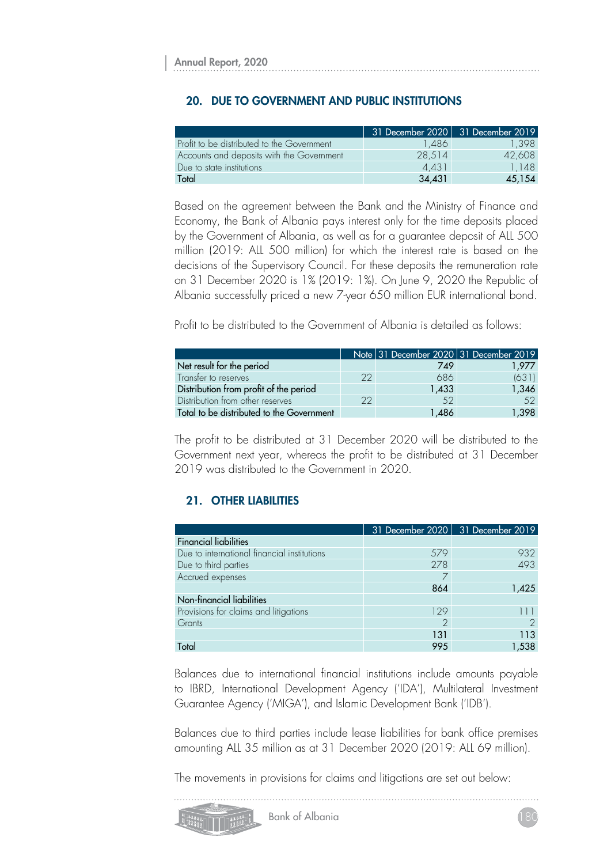## 20. DUE TO GOVERNMENT and public institutions

|                                            |        | 31 December 2020 31 December 2019 |
|--------------------------------------------|--------|-----------------------------------|
| Profit to be distributed to the Government | 1.486  | 1.398                             |
| Accounts and deposits with the Government  | 28.514 | 42.608                            |
| Due to state institutions                  | 4.431  | 1.148                             |
| Total                                      | 34.431 | 45.154                            |

Based on the agreement between the Bank and the Ministry of Finance and Economy, the Bank of Albania pays interest only for the time deposits placed by the Government of Albania, as well as for a guarantee deposit of ALL 500 million (2019: ALL 500 million) for which the interest rate is based on the decisions of the Supervisory Council. For these deposits the remuneration rate on 31 December 2020 is 1% (2019: 1%). On June 9, 2020 the Republic of Albania successfully priced a new 7-year 650 million EUR international bond.

Profit to be distributed to the Government of Albania is detailed as follows:

|                                           |    |       | Note 31 December 2020 31 December 2019 |
|-------------------------------------------|----|-------|----------------------------------------|
| Net result for the period                 |    | 749   | 1.977                                  |
| Transfer to reserves                      | 22 | 686   | (631)                                  |
| Distribution from profit of the period    |    | 1,433 | 1,346                                  |
| Distribution from other reserves          | 22 | 52    | .52                                    |
| Total to be distributed to the Government |    | 1.486 | 1.398                                  |

The profit to be distributed at 31 December 2020 will be distributed to the Government next year, whereas the profit to be distributed at 31 December 2019 was distributed to the Government in 2020.

# 21. OTHER LIABILITIES

|                                             |               | 31 December 2020 31 December 2019 |
|---------------------------------------------|---------------|-----------------------------------|
| <b>Financial liabilities</b>                |               |                                   |
| Due to international financial institutions | 579           | 932                               |
| Due to third parties                        | 278           | 493                               |
| Accrued expenses                            |               |                                   |
|                                             | 864           | 1,425                             |
| Non-financial liabilities                   |               |                                   |
| Provisions for claims and litigations       | 129           | 111                               |
| Grants                                      | $\mathcal{D}$ | 2                                 |
|                                             | 131           | 113                               |
| Total                                       | 995           | 1,538                             |

Balances due to international financial institutions include amounts payable to IBRD, International Development Agency ('IDA'), Multilateral Investment Guarantee Agency ('MIGA'), and Islamic Development Bank ('IDB').

Balances due to third parties include lease liabilities for bank office premises amounting ALL 35 million as at 31 December 2020 (2019: ALL 69 million).

The movements in provisions for claims and litigations are set out below:

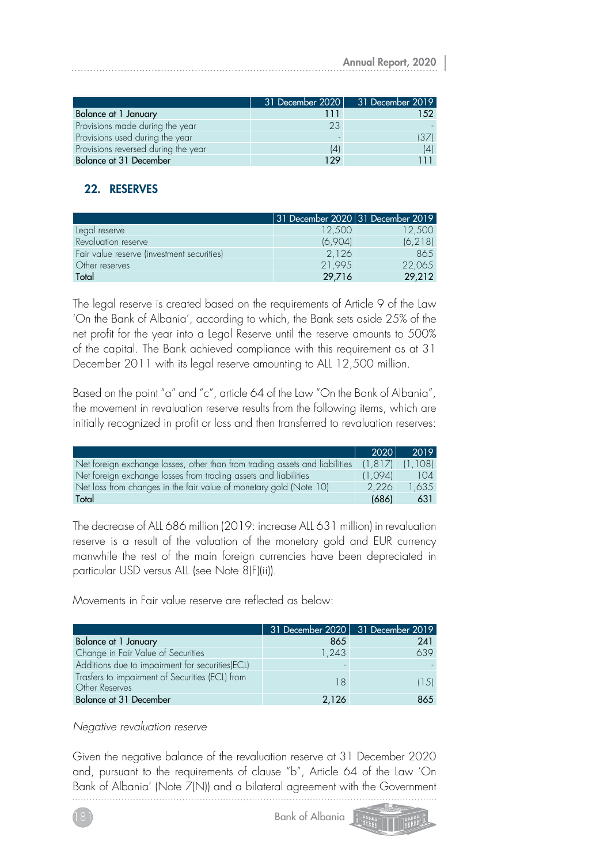| <b>Annual Report, 2020</b> |  |
|----------------------------|--|
|                            |  |

|                                     | 31 December 2020 | 31 December 2019 |
|-------------------------------------|------------------|------------------|
| Balance at 1 January                |                  | 1.52             |
| Provisions made during the year     | 23               |                  |
| Provisions used during the year     |                  | (37)             |
| Provisions reversed during the year | (4)              | (4)              |
| Balance at 31 December              | 129              |                  |

## 22. RESERVES

 $1.1.1.1$ 

|                                            | 31 December 2020 31 December 2019 |          |
|--------------------------------------------|-----------------------------------|----------|
| Legal reserve                              | 12.500                            | 12.500   |
| Revaluation reserve                        | (6,904)                           | (6, 218) |
| Fair value reserve (investment securities) | 2.126                             | 865      |
| Other reserves                             | 21.995                            | 22,065   |
| Total                                      | 29,716                            | 29,212   |

The legal reserve is created based on the requirements of Article 9 of the Law 'On the Bank of Albania', according to which, the Bank sets aside 25% of the net profit for the year into a Legal Reserve until the reserve amounts to 500% of the capital. The Bank achieved compliance with this requirement as at 31 December 2011 with its legal reserve amounting to ALL 12,500 million.

Based on the point "a" and "c", article 64 of the Law "On the Bank of Albania", the movement in revaluation reserve results from the following items, which are initially recognized in profit or loss and then transferred to revaluation reserves:

|                                                                             | 2020    | 2019  |
|-----------------------------------------------------------------------------|---------|-------|
| Net foreign exchange losses, other than from trading assets and liabilities | (1.817) | .1081 |
| Net foreign exchange losses from trading assets and liabilities             | (1.094) | 104   |
| Net loss from changes in the fair value of monetary gold (Note 10)          | 2.226   | 1.635 |
| Total                                                                       | (686)   | 631   |

The decrease of ALL 686 million (2019: increase ALL 631 million) in revaluation reserve is a result of the valuation of the monetary gold and EUR currency manwhile the rest of the main foreign currencies have been depreciated in particular USD versus ALL (see Note 8(F)(ii)).

Movements in Fair value reserve are reflected as below:

|                                                                   |       | 31 December 2020 31 December 2019 |
|-------------------------------------------------------------------|-------|-----------------------------------|
| Balance at 1 January                                              | 865   | 241                               |
| Change in Fair Value of Securities                                | 1.243 | 639                               |
| Additions due to impairment for securities(ECL)                   |       |                                   |
| Trasfers to impairment of Securities (ECL) from<br>Other Reserves | 18    | (15)                              |
| <b>Balance at 31 December</b>                                     | 2,126 | 865                               |

### *Negative revaluation reserve*

Given the negative balance of the revaluation reserve at 31 December 2020 and, pursuant to the requirements of clause "b", Article 64 of the Law 'On Bank of Albania' (Note 7(N)) and a bilateral agreement with the Government



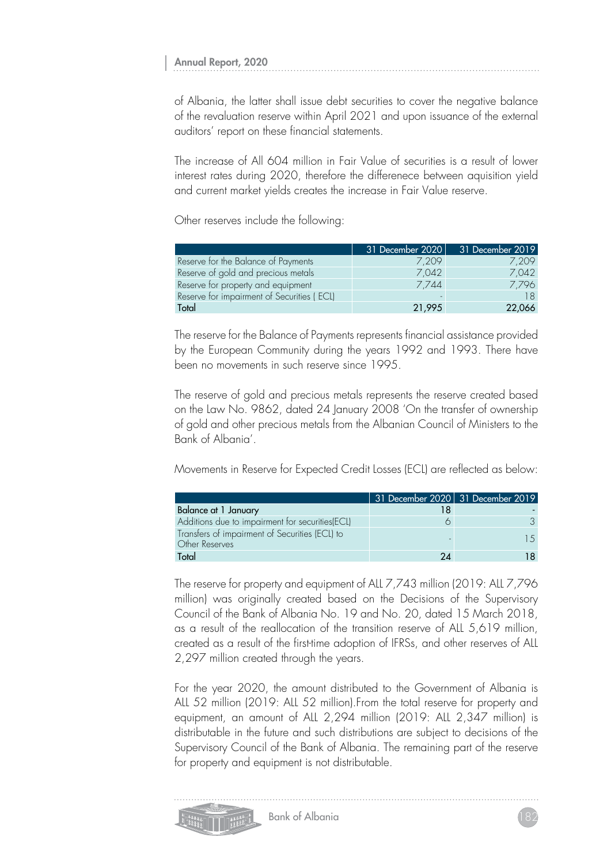of Albania, the latter shall issue debt securities to cover the negative balance of the revaluation reserve within April 2021 and upon issuance of the external auditors' report on these financial statements.

The increase of All 604 million in Fair Value of securities is a result of lower interest rates during 2020, therefore the differenece between aquisition yield and current market yields creates the increase in Fair Value reserve.

Other reserves include the following:

|                                            | 31 December 2020 | 31 December 2019 |
|--------------------------------------------|------------------|------------------|
| Reserve for the Balance of Payments        | 7.209            | 7,209            |
| Reserve of gold and precious metals        | 7.042            | 7.042            |
| Reserve for property and equipment         | 7.744            | 7.796            |
| Reserve for impairment of Securities (ECL) |                  |                  |
| Total                                      | 21,995           | 22,066           |

The reserve for the Balance of Payments represents financial assistance provided by the European Community during the years 1992 and 1993. There have been no movements in such reserve since 1995.

The reserve of gold and precious metals represents the reserve created based on the Law No. 9862, dated 24 January 2008 'On the transfer of ownership of gold and other precious metals from the Albanian Council of Ministers to the Bank of Albania'.

Movements in Reserve for Expected Credit Losses (ECL) are reflected as below:

|                                                                  | 31 December 2020 31 December 2019 |
|------------------------------------------------------------------|-----------------------------------|
| Balance at 1 January                                             |                                   |
| Additions due to impairment for securities(ECL)                  |                                   |
| Transfers of impairment of Securities (ECL) to<br>Other Reserves |                                   |
| Total                                                            |                                   |

The reserve for property and equipment of ALL 7,743 million (2019: ALL 7,796 million) was originally created based on the Decisions of the Supervisory Council of the Bank of Albania No. 19 and No. 20, dated 15 March 2018, as a result of the reallocation of the transition reserve of ALL 5,619 million, created as a result of the first-time adoption of IFRSs, and other reserves of ALL 2,297 million created through the years.

For the year 2020, the amount distributed to the Government of Albania is ALL 52 million (2019: ALL 52 million).From the total reserve for property and equipment, an amount of ALL 2,294 million (2019: ALL 2,347 million) is distributable in the future and such distributions are subject to decisions of the Supervisory Council of the Bank of Albania. The remaining part of the reserve for property and equipment is not distributable.



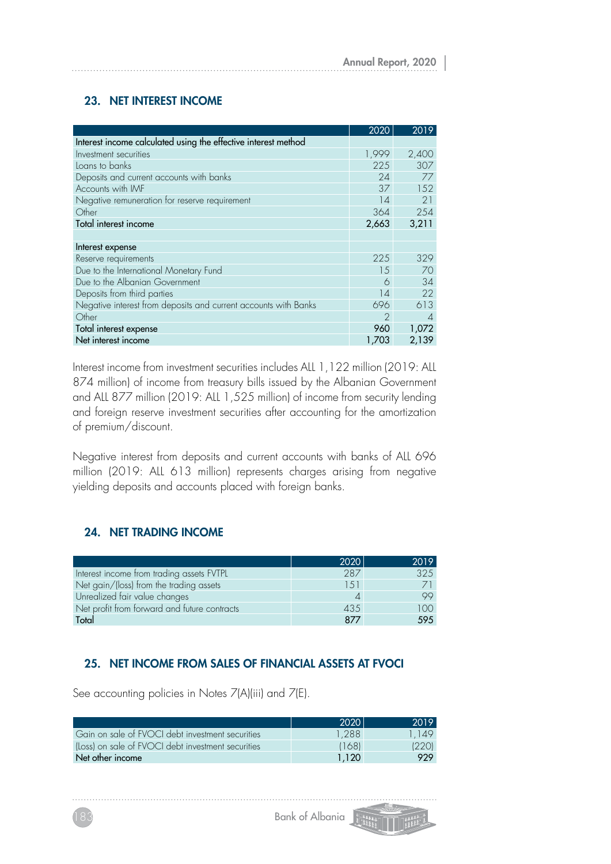# 23. NET INTEREST INCOME

|                                                                 | 2020          | $\overline{2019}$ |
|-----------------------------------------------------------------|---------------|-------------------|
| Interest income calculated using the effective interest method  |               |                   |
| Investment securities                                           | 1,999         | 2,400             |
| Loans to banks                                                  | 225           | 307               |
| Deposits and current accounts with banks                        | 24            | 77                |
| Accounts with IMF                                               | 37            | 152               |
| Negative remuneration for reserve requirement                   | 14            | 21                |
| Other                                                           | 364           | 254               |
| Total interest income                                           | 2,663         | 3,211             |
|                                                                 |               |                   |
| Interest expense                                                |               |                   |
| Reserve requirements                                            | 225           | 329               |
| Due to the International Monetary Fund                          | 1.5           | 70                |
| Due to the Albanian Government                                  | $\triangle$   | 34                |
| Deposits from third parties                                     | 14            | 22                |
| Negative interest from deposits and current accounts with Banks | 696           | 613               |
| Other                                                           | $\mathcal{D}$ |                   |
| Total interest expense                                          | 960           | 1,072             |
| Net interest income                                             | 1,703         | 2,139             |

Interest income from investment securities includes ALL 1,122 million (2019: ALL 874 million) of income from treasury bills issued by the Albanian Government and ALL 877 million (2019: ALL 1,525 million) of income from security lending and foreign reserve investment securities after accounting for the amortization of premium/discount.

Negative interest from deposits and current accounts with banks of ALL 696 million (2019: ALL 613 million) represents charges arising from negative yielding deposits and accounts placed with foreign banks.

## 24. NET TRADING INCOME

|                                              | 2020 | 2019 |
|----------------------------------------------|------|------|
| Interest income from trading assets FVTPL    | 287  | 325  |
| Net gain/(loss) from the trading assets      | 1.51 |      |
| Unrealized fair value changes                |      | 99   |
| Net profit from forward and future contracts | 435  | 100  |
| Total                                        | 877  | 595  |

## 25. Net Income from sales of Financial assets at FVOCI

|                                                    | 2020  | 2019  |
|----------------------------------------------------|-------|-------|
| Gain on sale of FVOCI debt investment securities   | 1.288 | 1149  |
| (Loss) on sale of FVOCI debt investment securities | (168) | (220) |
| Net other income                                   | 1.120 | 929   |

See accounting policies in Notes 7(A)(iii) and 7(E).





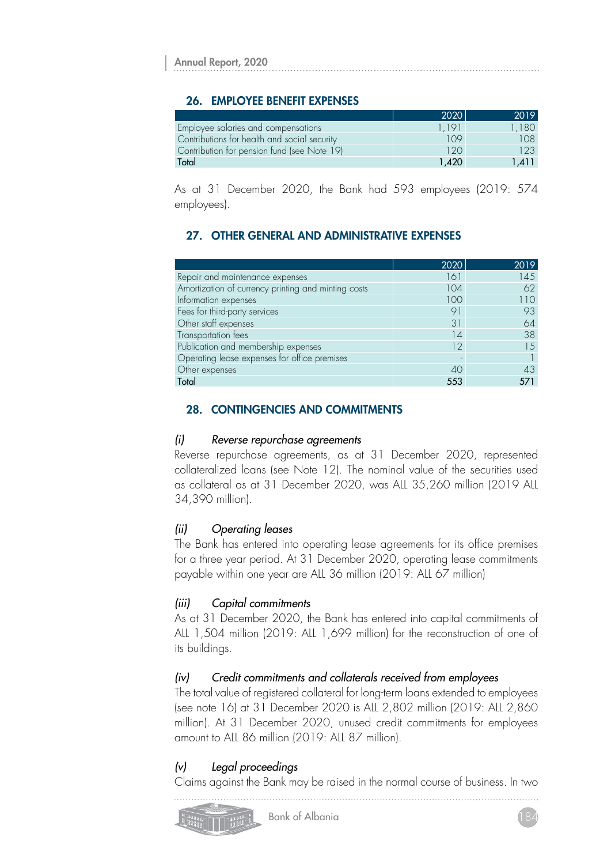## 26. EMPLOYEE BENEFIT EXPENSES

|                                              | 2020  | 2019  |
|----------------------------------------------|-------|-------|
| Employee salaries and compensations          | 1191  | 1.180 |
| Contributions for health and social security | 109   | 108   |
| Contribution for pension fund (see Note 19)  | 120   | 123   |
| Total                                        | 1.420 | 1.411 |

As at 31 December 2020, the Bank had 593 employees (2019: 574 employees).

## 27. Other GENERAL AND administrative expenses

|                                                     | 2020 | 2019 |
|-----------------------------------------------------|------|------|
| Repair and maintenance expenses                     | 161  | 145  |
| Amortization of currency printing and minting costs | 104  | 62   |
| Information expenses                                | 100  | 110  |
| Fees for third-party services                       | 91   | 93   |
| Other staff expenses                                | 31   | 64   |
| Transportation fees                                 | 14   | 38   |
| Publication and membership expenses                 | 12   | 15   |
| Operating lease expenses for office premises        |      |      |
| Other expenses                                      | 40   | 43   |
| Total                                               | 553  |      |

## 28. CONTINGENCIES AND COMMITMENTS

### *(i) Reverse repurchase agreements*

Reverse repurchase agreements, as at 31 December 2020, represented collateralized loans (see Note 12). The nominal value of the securities used as collateral as at 31 December 2020, was ALL 35,260 million (2019 ALL 34,390 million).

### *(ii) Operating leases*

The Bank has entered into operating lease agreements for its office premises for a three year period. At 31 December 2020, operating lease commitments payable within one year are ALL 36 million (2019: ALL 67 million)

### *(iii) Capital commitments*

As at 31 December 2020, the Bank has entered into capital commitments of ALL 1,504 million (2019: ALL 1,699 million) for the reconstruction of one of its buildings.

### *(iv) Credit commitments and collaterals received from employees*

The total value of registered collateral for long-term loans extended to employees (see note 16) at 31 December 2020 is ALL 2,802 million (2019: ALL 2,860 million). At 31 December 2020, unused credit commitments for employees amount to ALL 86 million (2019: ALL 87 million).

## *(v) Legal proceedings*

Claims against the Bank may be raised in the normal course of business. In two

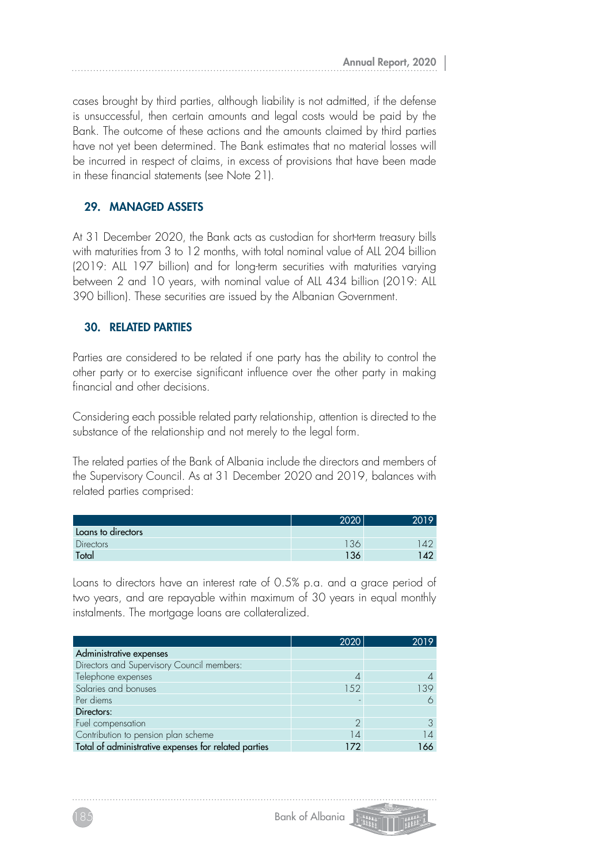cases brought by third parties, although liability is not admitted, if the defense is unsuccessful, then certain amounts and legal costs would be paid by the Bank. The outcome of these actions and the amounts claimed by third parties have not yet been determined. The Bank estimates that no material losses will be incurred in respect of claims, in excess of provisions that have been made in these financial statements (see Note 21).

## 29. MANAGED ASSETS

At 31 December 2020, the Bank acts as custodian for short-term treasury bills with maturities from 3 to 12 months, with total nominal value of ALL 204 billion (2019: ALL 197 billion) and for long-term securities with maturities varying between 2 and 10 years, with nominal value of ALL 434 billion (2019: ALL 390 billion). These securities are issued by the Albanian Government.

## 30. RELATED PARTIES

Parties are considered to be related if one party has the ability to control the other party or to exercise significant influence over the other party in making financial and other decisions.

Considering each possible related party relationship, attention is directed to the substance of the relationship and not merely to the legal form.

The related parties of the Bank of Albania include the directors and members of the Supervisory Council. As at 31 December 2020 and 2019, balances with related parties comprised:

|                    | 2020 | 2019       |
|--------------------|------|------------|
| Loans to directors |      |            |
| <b>Directors</b>   | ' 36 |            |
| Total              | 136  | $\sqrt{2}$ |

Loans to directors have an interest rate of 0.5% p.a. and a grace period of two years, and are repayable within maximum of 30 years in equal monthly instalments. The mortagae loans are collateralized.

|                                                      | 2020          | 2019 |
|------------------------------------------------------|---------------|------|
| Administrative expenses                              |               |      |
| Directors and Supervisory Council members:           |               |      |
| Telephone expenses                                   | 4             |      |
| Salaries and bonuses                                 | 1.52          | 139  |
| Per diems                                            |               |      |
| Directors:                                           |               |      |
| Fuel compensation                                    | $\mathcal{D}$ |      |
| Contribution to pension plan scheme                  | 14            | 14   |
| Total of administrative expenses for related parties | 172           | 166  |